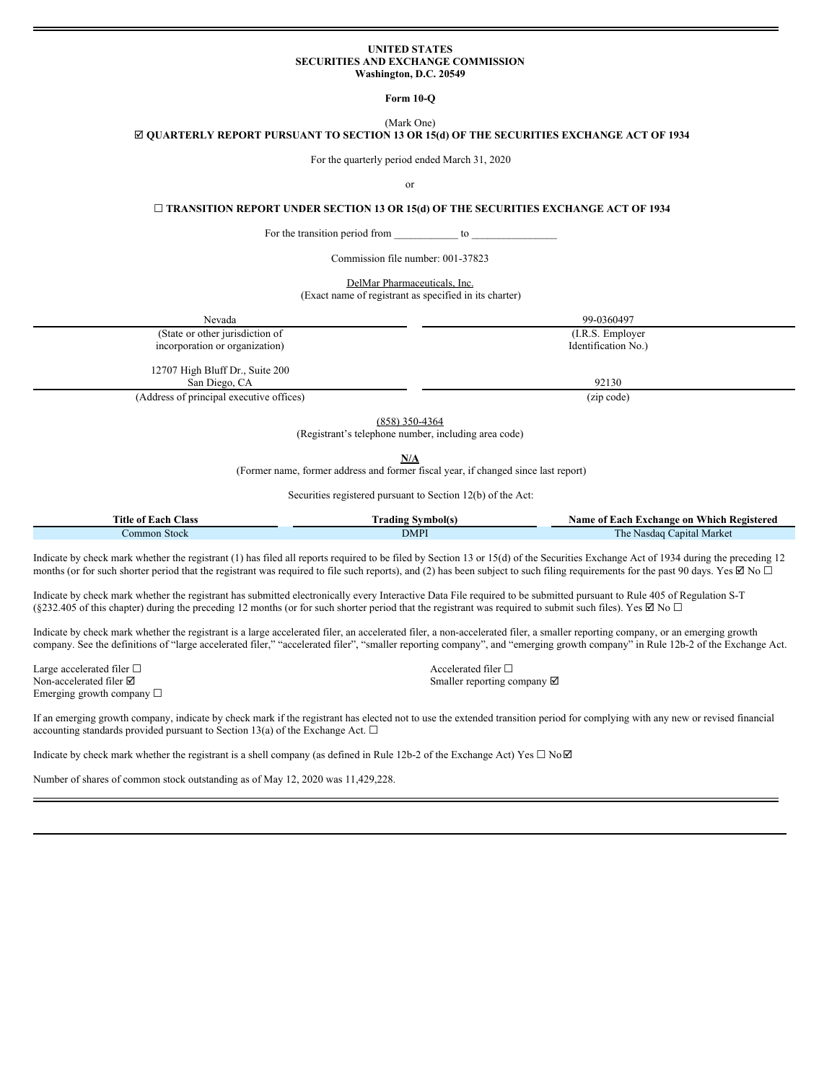### **UNITED STATES SECURITIES AND EXCHANGE COMMISSION Washington, D.C. 20549**

**Form 10-Q**

(Mark One) þ **QUARTERLY REPORT PURSUANT TO SECTION 13 OR 15(d) OF THE SECURITIES EXCHANGE ACT OF 1934**

For the quarterly period ended March 31, 2020

or

☐ **TRANSITION REPORT UNDER SECTION 13 OR 15(d) OF THE SECURITIES EXCHANGE ACT OF 1934**

For the transition period from \_\_\_\_\_\_\_\_\_\_\_\_\_\_ to

Commission file number: 001-37823

DelMar Pharmaceuticals, Inc.

(Exact name of registrant as specified in its charter)

| Nevada                                   | 99-0360497          |
|------------------------------------------|---------------------|
| (State or other jurisdiction of          | (I.R.S. Employer)   |
| incorporation or organization)           | Identification No.) |
|                                          |                     |
| 12707 High Bluff Dr., Suite 200          |                     |
| San Diego, CA                            | 92130               |
| (Address of principal executive offices) | (zip code)          |

(858) 350-4364

(Registrant's telephone number, including area code)

**N/A**

(Former name, former address and former fiscal year, if changed since last report)

Securities registered pursuant to Section 12(b) of the Act:

| Title of <b>1</b><br>Class<br>∴acr | .svmbol(c<br>rading                                                                                                           | Registered<br><b>Name</b><br>Which<br>#ach :<br><b>Exchange on</b> |
|------------------------------------|-------------------------------------------------------------------------------------------------------------------------------|--------------------------------------------------------------------|
| Stock<br>Common                    | <b>DMPI</b><br>and the state of the state of the state of the state of the state of the state of the state of the state of th | ∴apıtal Market<br>Nasdag<br>l he                                   |

Indicate by check mark whether the registrant (1) has filed all reports required to be filed by Section 13 or 15(d) of the Securities Exchange Act of 1934 during the preceding 12 months (or for such shorter period that the registrant was required to file such reports), and (2) has been subject to such filing requirements for the past 90 days. Yes  $\Box$  No  $\Box$ 

Indicate by check mark whether the registrant has submitted electronically every Interactive Data File required to be submitted pursuant to Rule 405 of Regulation S-T (§232.405 of this chapter) during the preceding 12 months (or for such shorter period that the registrant was required to submit such files). Yes  $\Box$  No  $\Box$ 

Indicate by check mark whether the registrant is a large accelerated filer, an accelerated filer, a non-accelerated filer, a smaller reporting company, or an emerging growth company. See the definitions of "large accelerated filer," "accelerated filer", "smaller reporting company", and "emerging growth company" in Rule 12b-2 of the Exchange Act.

Large accelerated filer □ and set of large accelerated filer □ and set of large accelerated filer □ Non-accelerated filer  $\boxtimes$ Emerging growth company  $\Box$ 

Smaller reporting company  $\boxtimes$ 

If an emerging growth company, indicate by check mark if the registrant has elected not to use the extended transition period for complying with any new or revised financial accounting standards provided pursuant to Section 13(a) of the Exchange Act.  $\Box$ 

Indicate by check mark whether the registrant is a shell company (as defined in Rule 12b-2 of the Exchange Act) Yes  $\Box$  No $\Box$ 

Number of shares of common stock outstanding as of May 12, 2020 was 11,429,228.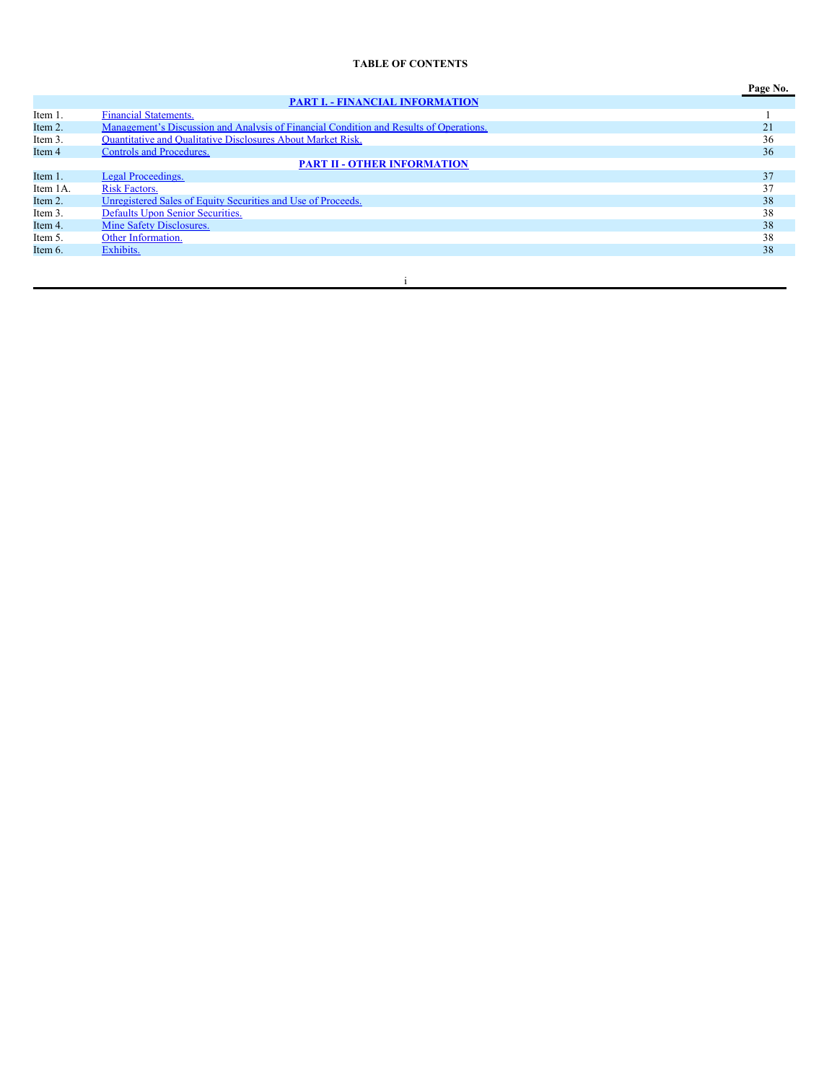## **TABLE OF CONTENTS**

|          |                                                                                        | Page No. |
|----------|----------------------------------------------------------------------------------------|----------|
|          | <b>PART I. - FINANCIAL INFORMATION</b>                                                 |          |
| Item 1.  | <b>Financial Statements.</b>                                                           |          |
| Item 2.  | Management's Discussion and Analysis of Financial Condition and Results of Operations. | 21       |
| Item 3.  | <b>Quantitative and Qualitative Disclosures About Market Risk.</b>                     | 36       |
| Item 4   | Controls and Procedures.                                                               | 36       |
|          | <b>PART II - OTHER INFORMATION</b>                                                     |          |
| Item 1.  | Legal Proceedings.                                                                     | 37       |
| Item 1A. | <b>Risk Factors.</b>                                                                   | 37       |
| Item 2.  | Unregistered Sales of Equity Securities and Use of Proceeds.                           | 38       |
| Item 3.  | Defaults Upon Senior Securities.                                                       | 38       |
| Item 4.  | Mine Safety Disclosures.                                                               | 38       |
| Item 5.  | Other Information.                                                                     | 38       |
| Item 6.  | Exhibits.                                                                              | 38       |
|          |                                                                                        |          |

i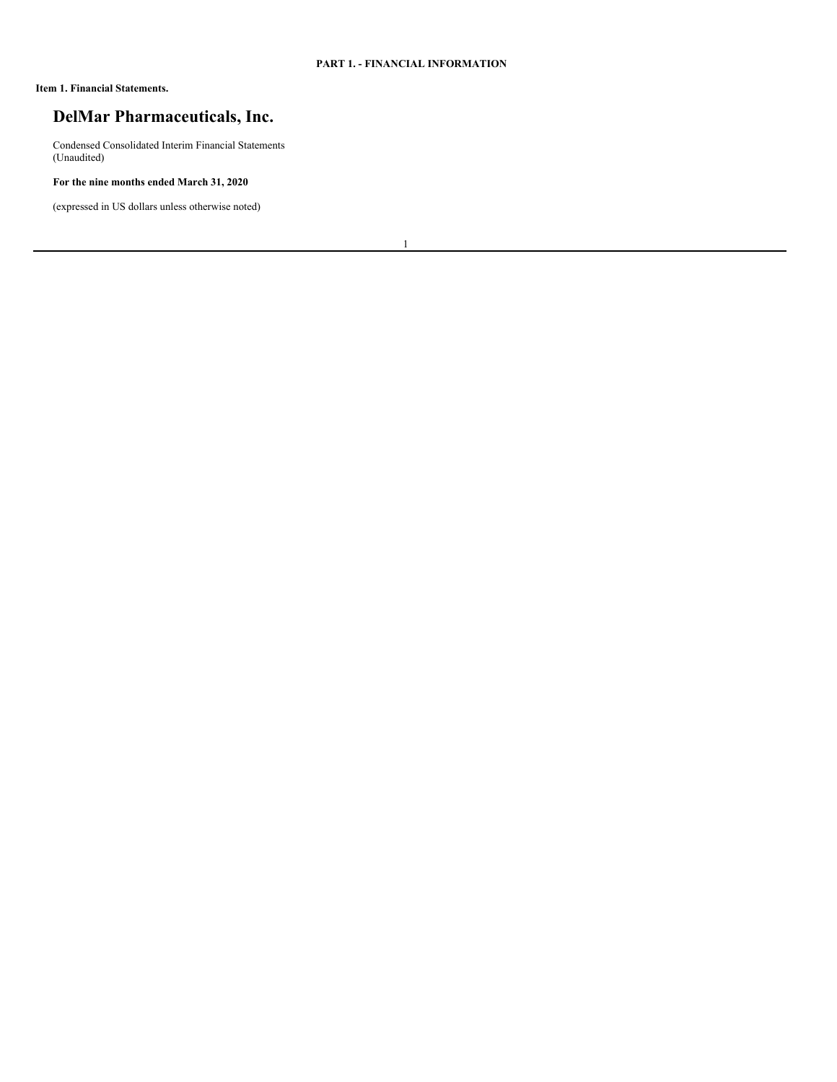<span id="page-2-1"></span>**Item 1. Financial Statements.**

# <span id="page-2-0"></span>**DelMar Pharmaceuticals, Inc.**

Condensed Consolidated Interim Financial Statements (Unaudited)

## **For the nine months ended March 31, 2020**

(expressed in US dollars unless otherwise noted)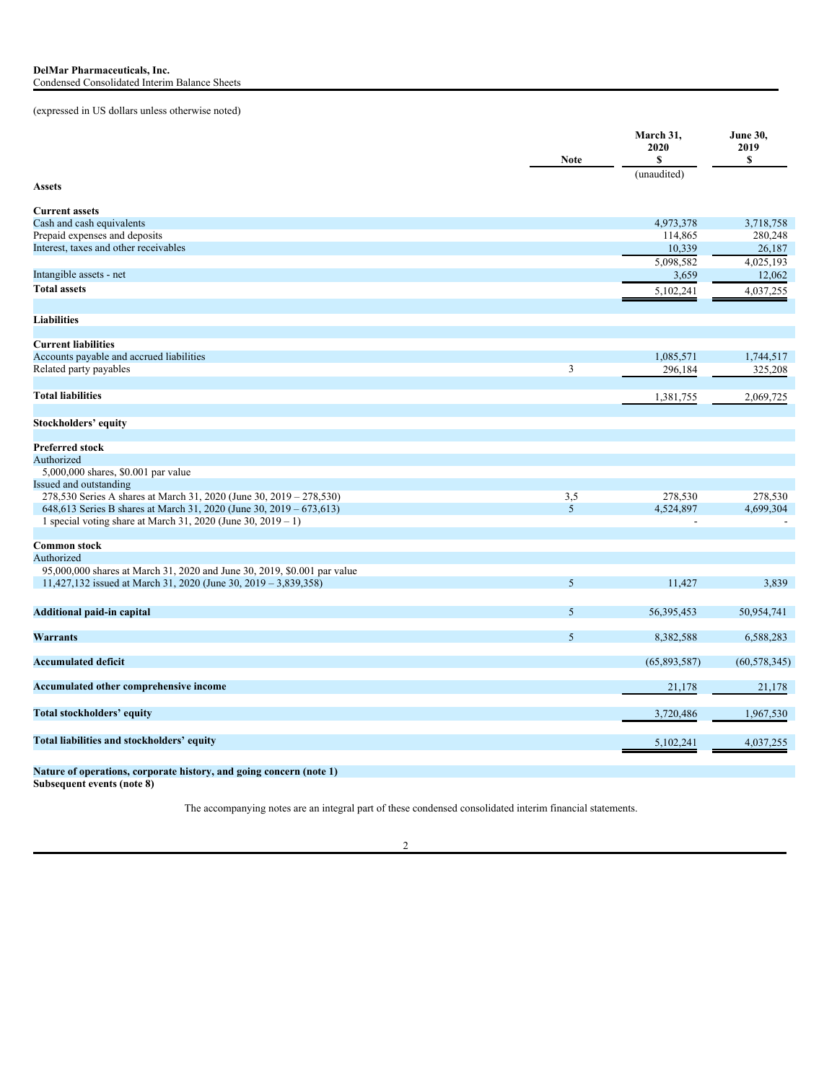|                                                                                                                                            | <b>Note</b>             | March 31,<br>2020<br>\$<br>(unaudited) | <b>June 30,</b><br>2019<br>\$ |
|--------------------------------------------------------------------------------------------------------------------------------------------|-------------------------|----------------------------------------|-------------------------------|
| <b>Assets</b>                                                                                                                              |                         |                                        |                               |
| <b>Current assets</b>                                                                                                                      |                         |                                        |                               |
| Cash and cash equivalents                                                                                                                  |                         | 4,973,378                              | 3,718,758                     |
| Prepaid expenses and deposits                                                                                                              |                         | 114,865                                | 280,248                       |
| Interest, taxes and other receivables                                                                                                      |                         | 10,339                                 | 26,187                        |
|                                                                                                                                            |                         | 5,098,582                              | 4,025,193                     |
| Intangible assets - net                                                                                                                    |                         | 3,659                                  | 12,062                        |
| <b>Total assets</b>                                                                                                                        |                         | 5,102,241                              | 4,037,255                     |
| <b>Liabilities</b>                                                                                                                         |                         |                                        |                               |
| <b>Current liabilities</b>                                                                                                                 |                         |                                        |                               |
| Accounts payable and accrued liabilities                                                                                                   |                         | 1,085,571                              | 1,744,517                     |
| Related party payables                                                                                                                     | $\overline{\mathbf{3}}$ | 296,184                                | 325,208                       |
|                                                                                                                                            |                         |                                        |                               |
| <b>Total liabilities</b>                                                                                                                   |                         | 1,381,755                              | 2,069,725                     |
| Stockholders' equity                                                                                                                       |                         |                                        |                               |
|                                                                                                                                            |                         |                                        |                               |
| <b>Preferred stock</b>                                                                                                                     |                         |                                        |                               |
| Authorized                                                                                                                                 |                         |                                        |                               |
| 5,000,000 shares, \$0.001 par value                                                                                                        |                         |                                        |                               |
| Issued and outstanding                                                                                                                     | 3,5                     | 278,530                                | 278,530                       |
| 278,530 Series A shares at March 31, 2020 (June 30, 2019 – 278,530)<br>648,613 Series B shares at March 31, 2020 (June 30, 2019 – 673,613) | 5                       | 4,524,897                              | 4,699,304                     |
| 1 special voting share at March 31, 2020 (June 30, $2019 - 1$ )                                                                            |                         |                                        |                               |
|                                                                                                                                            |                         |                                        |                               |
| <b>Common stock</b>                                                                                                                        |                         |                                        |                               |
| Authorized                                                                                                                                 |                         |                                        |                               |
| 95,000,000 shares at March 31, 2020 and June 30, 2019, \$0.001 par value                                                                   |                         |                                        |                               |
| 11,427,132 issued at March 31, 2020 (June 30, 2019 – 3,839,358)                                                                            | 5                       | 11,427                                 | 3,839                         |
| Additional paid-in capital                                                                                                                 | 5                       | 56,395,453                             | 50,954,741                    |
| <b>Warrants</b>                                                                                                                            | $\overline{5}$          | 8,382,588                              | 6,588,283                     |
|                                                                                                                                            |                         |                                        |                               |
| <b>Accumulated deficit</b>                                                                                                                 |                         | (65,893,587)                           | (60, 578, 345)                |
| Accumulated other comprehensive income                                                                                                     |                         | 21,178                                 | 21,178                        |
| Total stockholders' equity                                                                                                                 |                         | 3,720,486                              | 1,967,530                     |
| Total liabilities and stockholders' equity                                                                                                 |                         | 5,102,241                              | 4,037,255                     |
|                                                                                                                                            |                         |                                        |                               |

**Nature of operations, corporate history, and going concern (note 1) Subsequent events (note 8)**

The accompanying notes are an integral part of these condensed consolidated interim financial statements.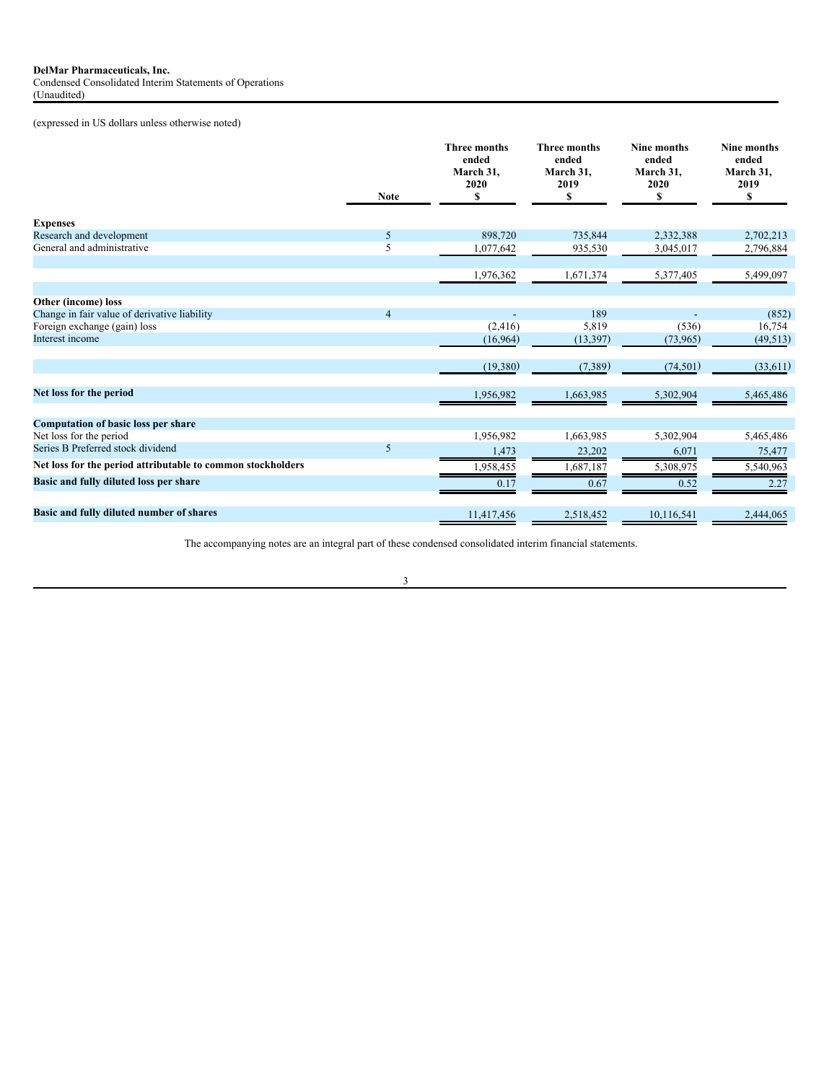## **DelMar Pharmaceuticals, Inc.**

Condensed Consolidated Interim Statements of Operations (Unaudited)

(expressed in US dollars unless otherwise noted)

|                                                             | <b>Note</b>    | Three months<br>ended<br>March 31,<br>2020<br>S | Three months<br>ended<br>March 31,<br>2019<br>S | Nine months<br>ended<br>March 31,<br>2020<br>\$ | Nine months<br>ended<br>March 31,<br>2019<br>\$ |
|-------------------------------------------------------------|----------------|-------------------------------------------------|-------------------------------------------------|-------------------------------------------------|-------------------------------------------------|
| <b>Expenses</b>                                             |                |                                                 |                                                 |                                                 |                                                 |
| Research and development                                    | 5              | 898,720                                         | 735,844                                         | 2,332,388                                       | 2,702,213                                       |
| General and administrative                                  | 5              | 1,077,642                                       | 935,530                                         | 3,045,017                                       | 2,796,884                                       |
|                                                             |                | 1,976,362                                       | 1,671,374                                       | 5,377,405                                       | 5,499,097                                       |
| Other (income) loss                                         |                |                                                 |                                                 |                                                 |                                                 |
| Change in fair value of derivative liability                | $\overline{4}$ |                                                 | 189                                             |                                                 | (852)                                           |
| Foreign exchange (gain) loss                                |                | (2,416)                                         | 5,819                                           | (536)                                           | 16,754                                          |
| Interest income                                             |                | (16,964)                                        | (13, 397)                                       | (73,965)                                        | (49, 513)                                       |
|                                                             |                | (19,380)                                        | (7, 389)                                        | (74, 501)                                       | (33,611)                                        |
| Net loss for the period                                     |                | 1,956,982                                       | 1,663,985                                       | 5,302,904                                       | 5,465,486                                       |
| <b>Computation of basic loss per share</b>                  |                |                                                 |                                                 |                                                 |                                                 |
| Net loss for the period                                     |                | 1,956,982                                       | 1,663,985                                       | 5,302,904                                       | 5,465,486                                       |
| Series B Preferred stock dividend                           | 5              | 1,473                                           | 23,202                                          | 6,071                                           | 75,477                                          |
| Net loss for the period attributable to common stockholders |                | 1,958,455                                       | 1,687,187                                       | 5,308,975                                       | 5,540,963                                       |
| Basic and fully diluted loss per share                      |                | 0.17                                            | 0.67                                            | 0.52                                            | 2.27                                            |
|                                                             |                |                                                 |                                                 |                                                 |                                                 |
| Basic and fully diluted number of shares                    |                | 11,417,456                                      | 2,518,452                                       | 10,116,541                                      | 2,444,065                                       |

The accompanying notes are an integral part of these condensed consolidated interim financial statements.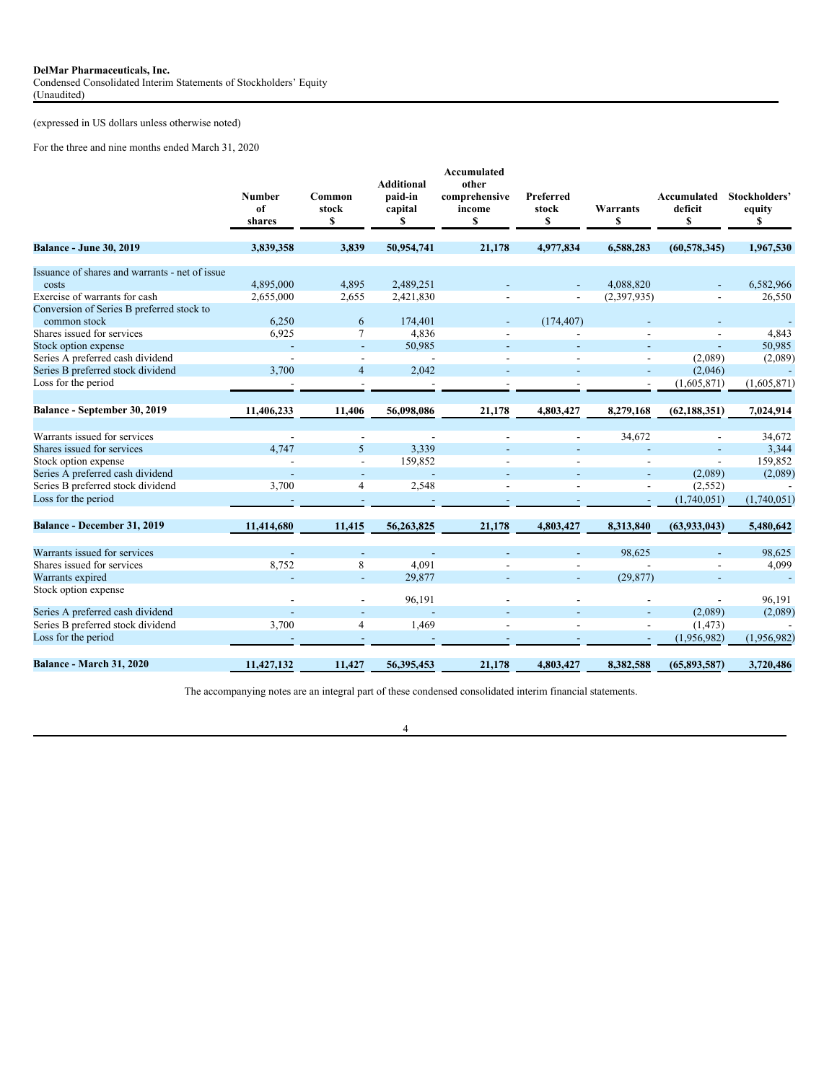## **DelMar Pharmaceuticals, Inc.**

Condensed Consolidated Interim Statements of Stockholders' Equity (Unaudited)

## (expressed in US dollars unless otherwise noted)

For the three and nine months ended March 31, 2020

|                                                | <b>Number</b><br>of<br>shares | Common<br>stock<br>\$    | <b>Additional</b><br>paid-in<br>capital<br>\$ | Accumulated<br>other<br>comprehensive<br>income<br>\$ | Preferred<br>stock<br>S  | Warrants<br>S            | Accumulated<br>deficit<br>\$ | Stockholders'<br>equity<br>\$ |
|------------------------------------------------|-------------------------------|--------------------------|-----------------------------------------------|-------------------------------------------------------|--------------------------|--------------------------|------------------------------|-------------------------------|
| <b>Balance - June 30, 2019</b>                 | 3,839,358                     | 3,839                    | 50,954,741                                    | 21,178                                                | 4,977,834                | 6,588,283                | (60, 578, 345)               | 1,967,530                     |
| Issuance of shares and warrants - net of issue |                               |                          |                                               |                                                       |                          |                          |                              |                               |
| costs                                          | 4,895,000                     | 4,895                    | 2,489,251                                     |                                                       |                          | 4,088,820                |                              | 6,582,966                     |
| Exercise of warrants for cash                  | 2,655,000                     | 2,655                    | 2,421,830                                     |                                                       | $\overline{a}$           | (2,397,935)              |                              | 26,550                        |
| Conversion of Series B preferred stock to      |                               |                          |                                               |                                                       |                          |                          |                              |                               |
| common stock                                   | 6,250                         | 6                        | 174,401                                       |                                                       | (174, 407)               |                          |                              |                               |
| Shares issued for services                     | 6,925                         | $\tau$                   | 4,836                                         |                                                       |                          |                          |                              | 4,843                         |
| Stock option expense                           | $\overline{a}$                | $\omega$                 | 50,985                                        |                                                       |                          |                          | $\omega$                     | 50,985                        |
| Series A preferred cash dividend               |                               | $\blacksquare$           | $\overline{a}$                                |                                                       | $\overline{a}$           |                          | (2,089)                      | (2,089)                       |
| Series B preferred stock dividend              | 3,700                         | $\overline{4}$           | 2,042                                         |                                                       | $\overline{\phantom{a}}$ | $\blacksquare$           | (2,046)                      |                               |
| Loss for the period                            |                               |                          |                                               |                                                       |                          |                          | (1,605,871)                  | (1,605,871)                   |
|                                                |                               |                          |                                               |                                                       |                          |                          |                              |                               |
| Balance - September 30, 2019                   | 11,406,233                    | 11,406                   | 56,098,086                                    | 21,178                                                | 4,803,427                | 8,279,168                | (62, 188, 351)               | 7,024,914                     |
| Warrants issued for services                   |                               |                          |                                               |                                                       | $\overline{a}$           | 34,672                   |                              | 34,672                        |
| Shares issued for services                     | 4,747                         | 5                        | 3,339                                         |                                                       |                          |                          |                              | 3,344                         |
| Stock option expense                           |                               | $\blacksquare$           | 159,852                                       |                                                       |                          |                          | $\overline{\phantom{a}}$     | 159,852                       |
| Series A preferred cash dividend               |                               | $\sim$                   |                                               | $\overline{\phantom{a}}$                              | ÷                        | $\blacksquare$           | (2,089)                      | (2,089)                       |
| Series B preferred stock dividend              | 3,700                         | $\overline{4}$           | 2,548                                         | $\overline{a}$                                        | $\overline{a}$           | $\blacksquare$           | (2,552)                      |                               |
| Loss for the period                            |                               |                          |                                               |                                                       |                          |                          | (1,740,051)                  | (1,740,051)                   |
|                                                |                               |                          |                                               |                                                       |                          |                          |                              |                               |
| Balance - December 31, 2019                    | 11,414,680                    | 11,415                   | 56,263,825                                    | 21,178                                                | 4,803,427                | 8,313,840                | (63,933,043)                 | 5,480,642                     |
| Warrants issued for services                   |                               | $\overline{\phantom{a}}$ |                                               |                                                       | $\overline{a}$           | 98,625                   |                              | 98,625                        |
| Shares issued for services                     | 8,752                         | 8                        | 4,091                                         |                                                       | $\overline{a}$           |                          |                              | 4,099                         |
| Warrants expired                               |                               | $\sim$                   | 29,877                                        |                                                       | L.                       | (29, 877)                |                              |                               |
| Stock option expense                           |                               |                          |                                               |                                                       |                          |                          |                              |                               |
|                                                |                               | $\blacksquare$           | 96,191                                        |                                                       | $\overline{a}$           | $\overline{\phantom{a}}$ | $\overline{\phantom{a}}$     | 96,191                        |
| Series A preferred cash dividend               |                               | $\overline{\phantom{a}}$ | ÷                                             | $\overline{\phantom{a}}$                              | $\blacksquare$           | $\blacksquare$           | (2,089)                      | (2,089)                       |
| Series B preferred stock dividend              | 3,700                         | $\overline{4}$           | 1,469                                         |                                                       |                          | $\overline{a}$           | (1, 473)                     |                               |
| Loss for the period                            |                               |                          |                                               |                                                       |                          |                          | (1,956,982)                  | (1,956,982)                   |
| <b>Balance - March 31, 2020</b>                | 11,427,132                    | 11,427                   | 56,395,453                                    | 21,178                                                | 4,803,427                | 8,382,588                | (65,893,587)                 | 3.720.486                     |

The accompanying notes are an integral part of these condensed consolidated interim financial statements.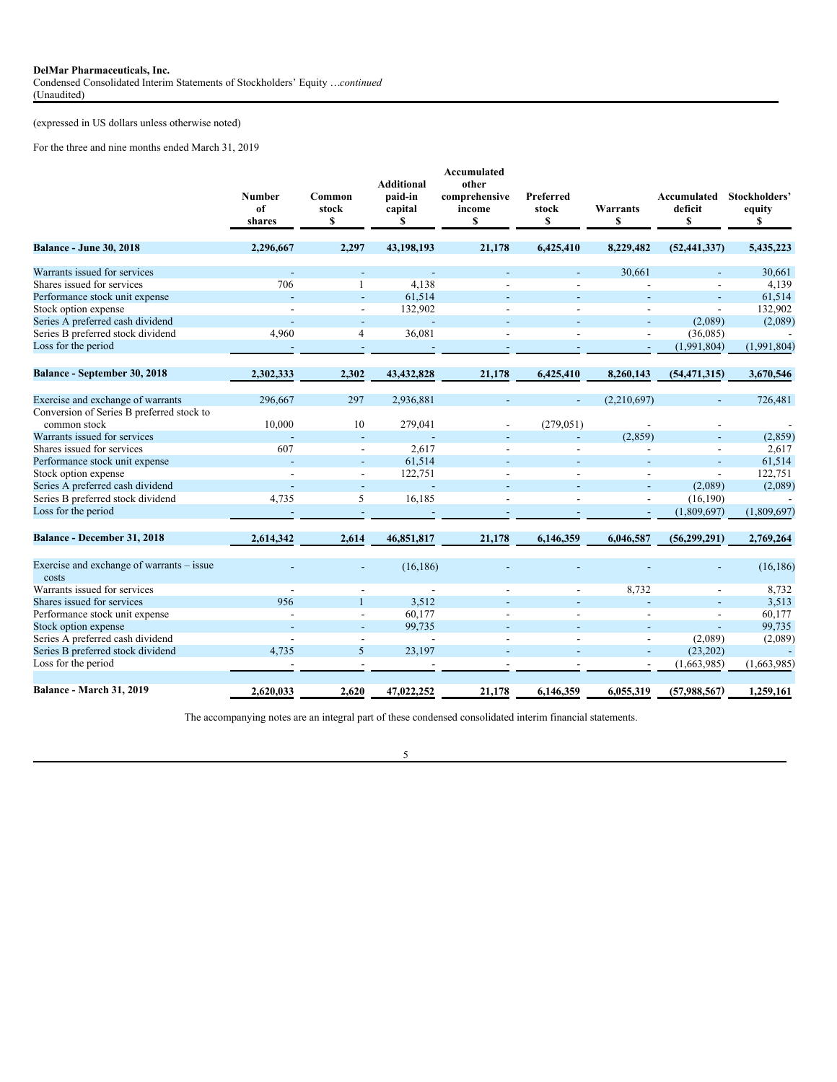## **DelMar Pharmaceuticals, Inc.**

Condensed Consolidated Interim Statements of Stockholders' Equity …*continued* (Unaudited)

## (expressed in US dollars unless otherwise noted)

For the three and nine months ended March 31, 2019

|                                                           | <b>Number</b><br>of<br>shares | Common<br>stock<br>\$    | <b>Additional</b><br>paid-in<br>capital<br>S | Accumulated<br>other<br>comprehensive<br>income<br>S | Preferred<br>stock<br>S | Warrants<br>S            | Accumulated<br>deficit<br>S | Stockholders'<br>equity<br>S |
|-----------------------------------------------------------|-------------------------------|--------------------------|----------------------------------------------|------------------------------------------------------|-------------------------|--------------------------|-----------------------------|------------------------------|
| <b>Balance - June 30, 2018</b>                            | 2,296,667                     | 2,297                    | 43,198,193                                   | 21,178                                               | 6,425,410               | 8,229,482                | (52, 441, 337)              | 5,435,223                    |
| Warrants issued for services                              |                               |                          |                                              |                                                      |                         | 30.661                   |                             | 30.661                       |
| Shares issued for services                                | 706                           | $\mathbf{1}$             | 4,138                                        |                                                      |                         |                          |                             | 4,139                        |
| Performance stock unit expense                            |                               |                          | 61,514                                       |                                                      |                         |                          |                             | 61,514                       |
| Stock option expense                                      |                               | $\overline{\phantom{a}}$ | 132,902                                      |                                                      |                         |                          | $\overline{\phantom{a}}$    | 132,902                      |
| Series A preferred cash dividend                          |                               |                          |                                              |                                                      |                         |                          | (2,089)                     | (2,089)                      |
| Series B preferred stock dividend                         | 4,960                         | $\overline{4}$           | 36,081                                       |                                                      |                         |                          | (36,085)                    |                              |
| Loss for the period                                       |                               |                          |                                              |                                                      |                         |                          | (1,991,804)                 | (1,991,804)                  |
| Balance - September 30, 2018                              | 2,302,333                     | 2,302                    | 43,432,828                                   | 21,178                                               | 6,425,410               | 8,260,143                | (54, 471, 315)              | 3,670,546                    |
|                                                           |                               |                          |                                              |                                                      |                         |                          |                             |                              |
| Exercise and exchange of warrants                         | 296,667                       | 297                      | 2,936,881                                    |                                                      | $\overline{a}$          | (2,210,697)              |                             | 726,481                      |
| Conversion of Series B preferred stock to<br>common stock | 10,000                        | 10                       | 279,041                                      | $\overline{\phantom{a}}$                             | (279, 051)              |                          |                             |                              |
| Warrants issued for services                              | $\overline{a}$                | $\blacksquare$           | ÷.                                           | $\overline{\phantom{a}}$                             | $\blacksquare$          | (2,859)                  | $\blacksquare$              | (2,859)                      |
| Shares issued for services                                | 607                           | $\overline{a}$           | 2.617                                        |                                                      | $\overline{a}$          |                          | $\overline{a}$              | 2,617                        |
| Performance stock unit expense                            | $\overline{a}$                | ÷.                       | 61,514                                       |                                                      | $\overline{a}$          |                          | ÷.                          | 61,514                       |
| Stock option expense                                      | $\overline{a}$                | $\sim$                   | 122,751                                      |                                                      |                         | $\blacksquare$           | $\overline{a}$              | 122,751                      |
| Series A preferred cash dividend                          |                               | ÷                        |                                              |                                                      |                         |                          | (2,089)                     | (2,089)                      |
| Series B preferred stock dividend                         | 4,735                         | 5                        | 16,185                                       |                                                      |                         | $\overline{\phantom{a}}$ | (16, 190)                   |                              |
| Loss for the period                                       |                               |                          |                                              |                                                      |                         |                          | (1,809,697)                 | (1,809,697)                  |
| Balance - December 31, 2018                               | 2,614,342                     | 2,614                    | 46,851,817                                   | 21,178                                               | 6,146,359               | 6,046,587                | (56, 299, 291)              | 2,769,264                    |
| Exercise and exchange of warrants - issue<br>costs        |                               | $\overline{\phantom{a}}$ | (16, 186)                                    |                                                      |                         |                          |                             | (16, 186)                    |
| Warrants issued for services                              |                               |                          |                                              |                                                      |                         | 8,732                    |                             | 8,732                        |
| Shares issued for services                                | 956                           | $\mathbf{1}$             | 3,512                                        |                                                      | ÷                       |                          | ٠                           | 3,513                        |
| Performance stock unit expense                            |                               | $\overline{\phantom{a}}$ | 60,177                                       |                                                      | $\overline{a}$          |                          | $\overline{a}$              | 60,177                       |
| Stock option expense                                      |                               | $\blacksquare$           | 99,735                                       |                                                      |                         |                          | $\omega$                    | 99,735                       |
| Series A preferred cash dividend                          |                               |                          | $\overline{a}$                               |                                                      |                         |                          | (2,089)                     | (2,089)                      |
| Series B preferred stock dividend                         | 4,735                         | 5                        | 23,197                                       |                                                      | ÷,                      | $\blacksquare$           | (23,202)                    |                              |
| Loss for the period                                       |                               |                          |                                              |                                                      |                         |                          | (1,663,985)                 | (1,663,985)                  |
| <b>Balance - March 31, 2019</b>                           | 2.620.033                     | 2.620                    | 47.022.252                                   | 21,178                                               | 6.146.359               | 6,055,319                | (57,988,567)                | 1.259.161                    |

The accompanying notes are an integral part of these condensed consolidated interim financial statements.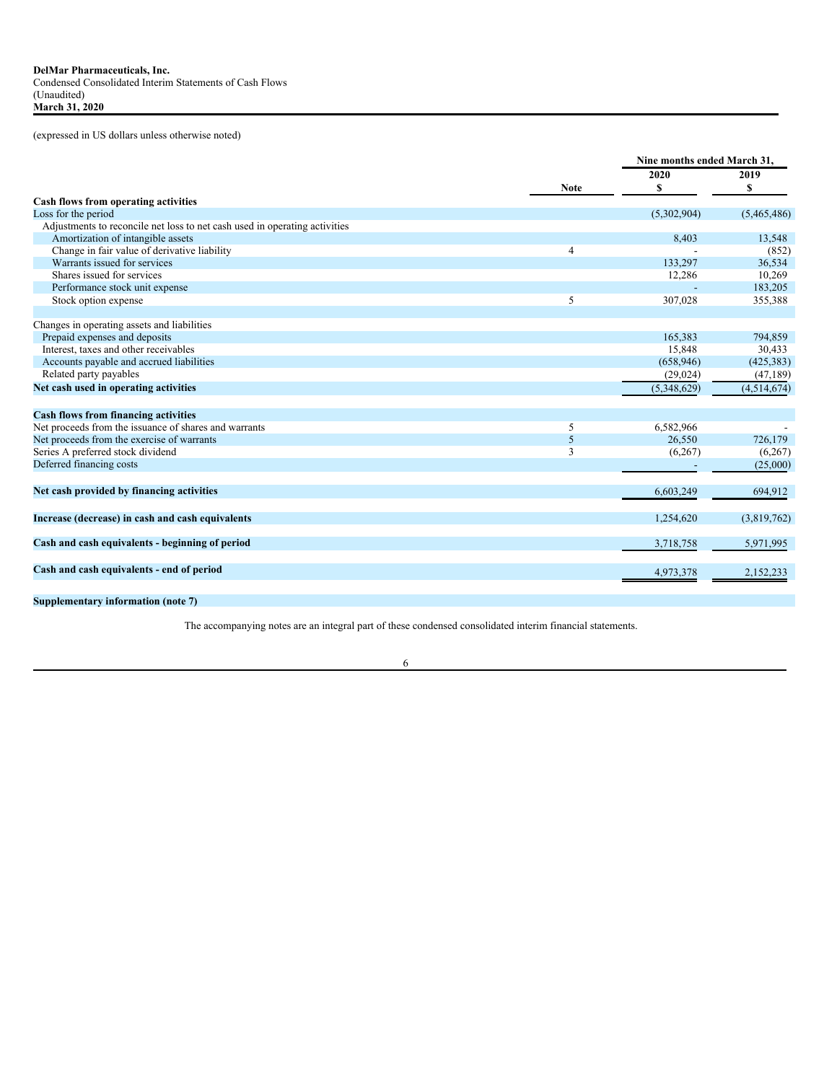Condensed Consolidated Interim Statements of Cash Flows (Unaudited) **March 31, 2020**

(expressed in US dollars unless otherwise noted)

|                                                                            |                | Nine months ended March 31, |             |
|----------------------------------------------------------------------------|----------------|-----------------------------|-------------|
|                                                                            |                | 2020                        | 2019        |
|                                                                            | <b>Note</b>    | S                           | S           |
| Cash flows from operating activities                                       |                |                             |             |
| Loss for the period                                                        |                | (5,302,904)                 | (5,465,486) |
| Adjustments to reconcile net loss to net cash used in operating activities |                |                             |             |
| Amortization of intangible assets                                          |                | 8,403                       | 13,548      |
| Change in fair value of derivative liability                               | $\overline{4}$ |                             | (852)       |
| Warrants issued for services                                               |                | 133,297                     | 36,534      |
| Shares issued for services                                                 |                | 12,286                      | 10,269      |
| Performance stock unit expense                                             |                |                             | 183,205     |
| Stock option expense                                                       | 5              | 307,028                     | 355,388     |
| Changes in operating assets and liabilities                                |                |                             |             |
| Prepaid expenses and deposits                                              |                | 165,383                     | 794,859     |
| Interest, taxes and other receivables                                      |                | 15,848                      | 30,433      |
| Accounts payable and accrued liabilities                                   |                | (658, 946)                  | (425, 383)  |
| Related party payables                                                     |                | (29, 024)                   | (47, 189)   |
| Net cash used in operating activities                                      |                | (5,348,629)                 | (4,514,674) |
| <b>Cash flows from financing activities</b>                                |                |                             |             |
| Net proceeds from the issuance of shares and warrants                      | 5              | 6,582,966                   |             |
| Net proceeds from the exercise of warrants                                 | 5              | 26.550                      | 726,179     |
| Series A preferred stock dividend                                          | 3              | (6,267)                     | (6,267)     |
| Deferred financing costs                                                   |                |                             | (25,000)    |
| Net cash provided by financing activities                                  |                | 6,603,249                   | 694,912     |
|                                                                            |                |                             |             |
| Increase (decrease) in cash and cash equivalents                           |                | 1,254,620                   | (3,819,762) |
| Cash and cash equivalents - beginning of period                            |                | 3,718,758                   | 5,971,995   |
| Cash and cash equivalents - end of period                                  |                | 4,973,378                   | 2,152,233   |
|                                                                            |                |                             |             |
| Supplementary information (note 7)                                         |                |                             |             |

The accompanying notes are an integral part of these condensed consolidated interim financial statements.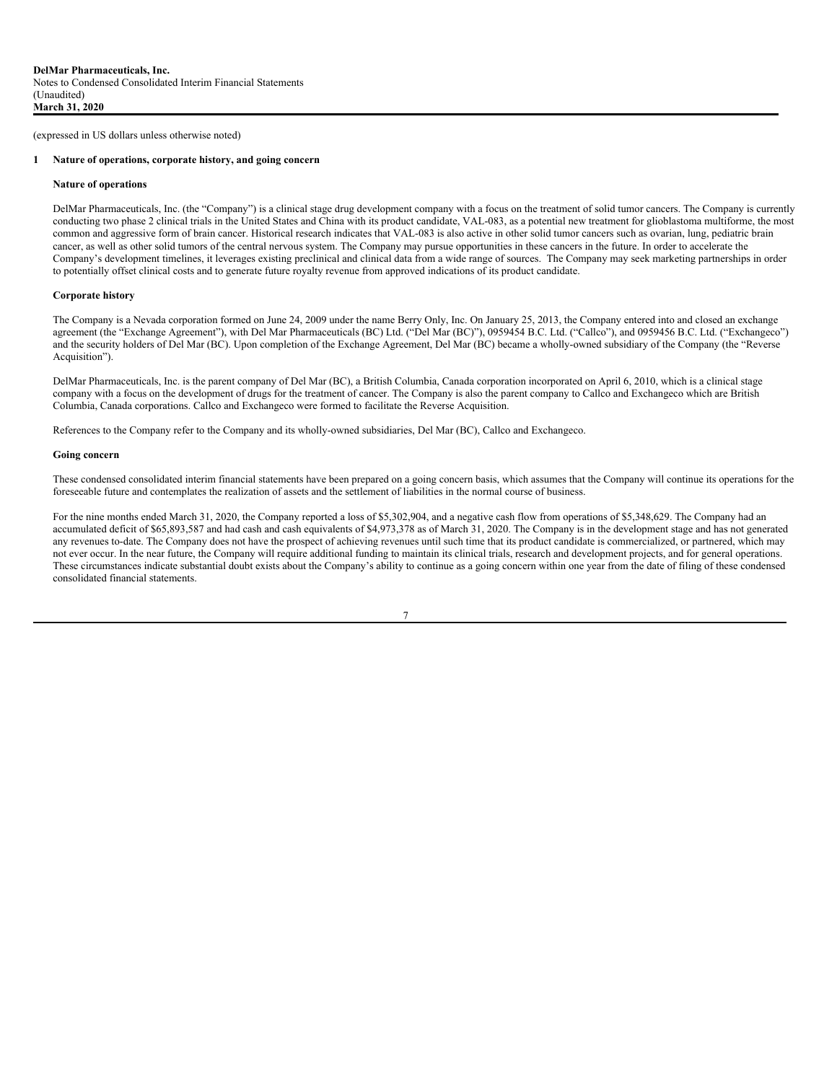#### **1 Nature of operations, corporate history, and going concern**

#### **Nature of operations**

DelMar Pharmaceuticals, Inc. (the "Company") is a clinical stage drug development company with a focus on the treatment of solid tumor cancers. The Company is currently conducting two phase 2 clinical trials in the United States and China with its product candidate, VAL-083, as a potential new treatment for glioblastoma multiforme, the most common and aggressive form of brain cancer. Historical research indicates that VAL-083 is also active in other solid tumor cancers such as ovarian, lung, pediatric brain cancer, as well as other solid tumors of the central nervous system. The Company may pursue opportunities in these cancers in the future. In order to accelerate the Company's development timelines, it leverages existing preclinical and clinical data from a wide range of sources. The Company may seek marketing partnerships in order to potentially offset clinical costs and to generate future royalty revenue from approved indications of its product candidate.

### **Corporate history**

The Company is a Nevada corporation formed on June 24, 2009 under the name Berry Only, Inc. On January 25, 2013, the Company entered into and closed an exchange agreement (the "Exchange Agreement"), with Del Mar Pharmaceuticals (BC) Ltd. ("Del Mar (BC)"), 0959454 B.C. Ltd. ("Callco"), and 0959456 B.C. Ltd. ("Exchangeco") and the security holders of Del Mar (BC). Upon completion of the Exchange Agreement, Del Mar (BC) became a wholly-owned subsidiary of the Company (the "Reverse Acquisition").

DelMar Pharmaceuticals, Inc. is the parent company of Del Mar (BC), a British Columbia, Canada corporation incorporated on April 6, 2010, which is a clinical stage company with a focus on the development of drugs for the treatment of cancer. The Company is also the parent company to Callco and Exchangeco which are British Columbia, Canada corporations. Callco and Exchangeco were formed to facilitate the Reverse Acquisition.

References to the Company refer to the Company and its wholly-owned subsidiaries, Del Mar (BC), Callco and Exchangeco.

#### **Going concern**

These condensed consolidated interim financial statements have been prepared on a going concern basis, which assumes that the Company will continue its operations for the foreseeable future and contemplates the realization of assets and the settlement of liabilities in the normal course of business.

For the nine months ended March 31, 2020, the Company reported a loss of \$5,302,904, and a negative cash flow from operations of \$5,348,629. The Company had an accumulated deficit of \$65,893,587 and had cash and cash equivalents of \$4,973,378 as of March 31, 2020. The Company is in the development stage and has not generated any revenues to-date. The Company does not have the prospect of achieving revenues until such time that its product candidate is commercialized, or partnered, which may not ever occur. In the near future, the Company will require additional funding to maintain its clinical trials, research and development projects, and for general operations. These circumstances indicate substantial doubt exists about the Company's ability to continue as a going concern within one year from the date of filing of these condensed consolidated financial statements.

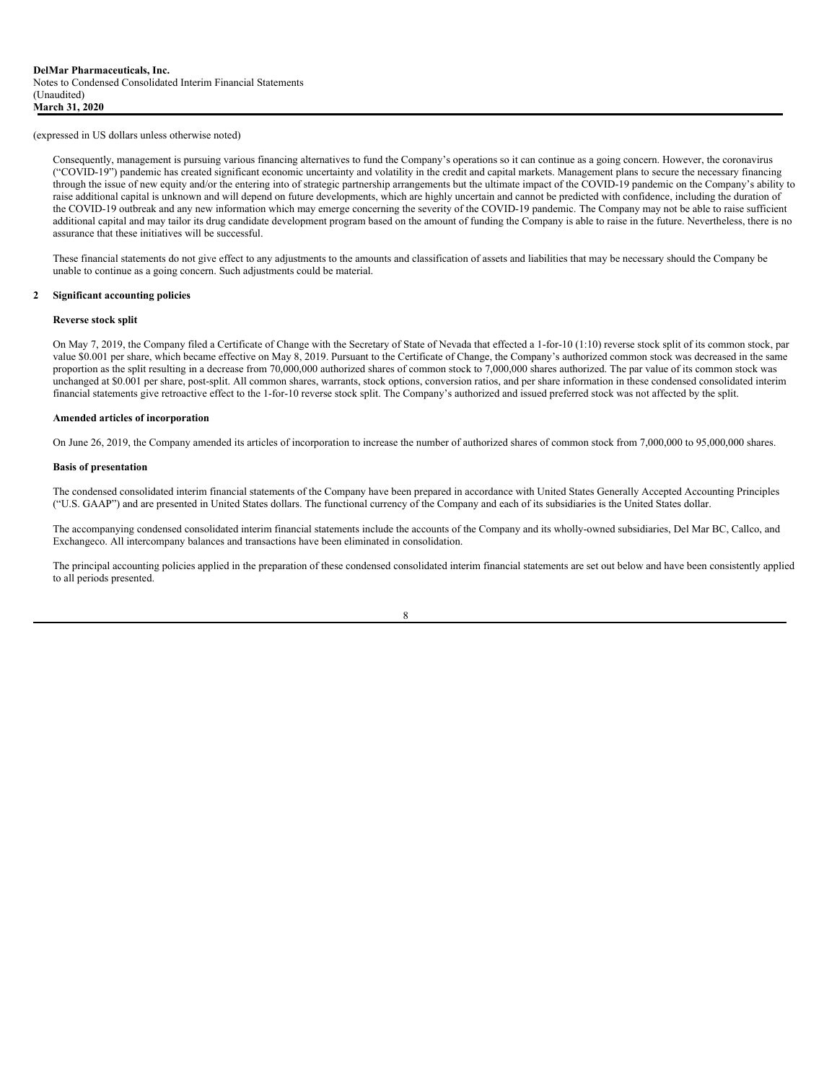Consequently, management is pursuing various financing alternatives to fund the Company's operations so it can continue as a going concern. However, the coronavirus ("COVID-19") pandemic has created significant economic uncertainty and volatility in the credit and capital markets. Management plans to secure the necessary financing through the issue of new equity and/or the entering into of strategic partnership arrangements but the ultimate impact of the COVID-19 pandemic on the Company's ability to raise additional capital is unknown and will depend on future developments, which are highly uncertain and cannot be predicted with confidence, including the duration of the COVID-19 outbreak and any new information which may emerge concerning the severity of the COVID-19 pandemic. The Company may not be able to raise sufficient additional capital and may tailor its drug candidate development program based on the amount of funding the Company is able to raise in the future. Nevertheless, there is no assurance that these initiatives will be successful.

These financial statements do not give effect to any adjustments to the amounts and classification of assets and liabilities that may be necessary should the Company be unable to continue as a going concern. Such adjustments could be material.

### **2 Significant accounting policies**

#### **Reverse stock split**

On May 7, 2019, the Company filed a Certificate of Change with the Secretary of State of Nevada that effected a 1-for-10 (1:10) reverse stock split of its common stock, par value \$0.001 per share, which became effective on May 8, 2019. Pursuant to the Certificate of Change, the Company's authorized common stock was decreased in the same proportion as the split resulting in a decrease from 70,000,000 authorized shares of common stock to 7,000,000 shares authorized. The par value of its common stock was unchanged at \$0.001 per share, post-split. All common shares, warrants, stock options, conversion ratios, and per share information in these condensed consolidated interim financial statements give retroactive effect to the 1-for-10 reverse stock split. The Company's authorized and issued preferred stock was not affected by the split.

### **Amended articles of incorporation**

On June 26, 2019, the Company amended its articles of incorporation to increase the number of authorized shares of common stock from 7,000,000 to 95,000,000 shares.

#### **Basis of presentation**

The condensed consolidated interim financial statements of the Company have been prepared in accordance with United States Generally Accepted Accounting Principles ("U.S. GAAP") and are presented in United States dollars. The functional currency of the Company and each of its subsidiaries is the United States dollar.

The accompanying condensed consolidated interim financial statements include the accounts of the Company and its wholly-owned subsidiaries, Del Mar BC, Callco, and Exchangeco. All intercompany balances and transactions have been eliminated in consolidation.

The principal accounting policies applied in the preparation of these condensed consolidated interim financial statements are set out below and have been consistently applied to all periods presented.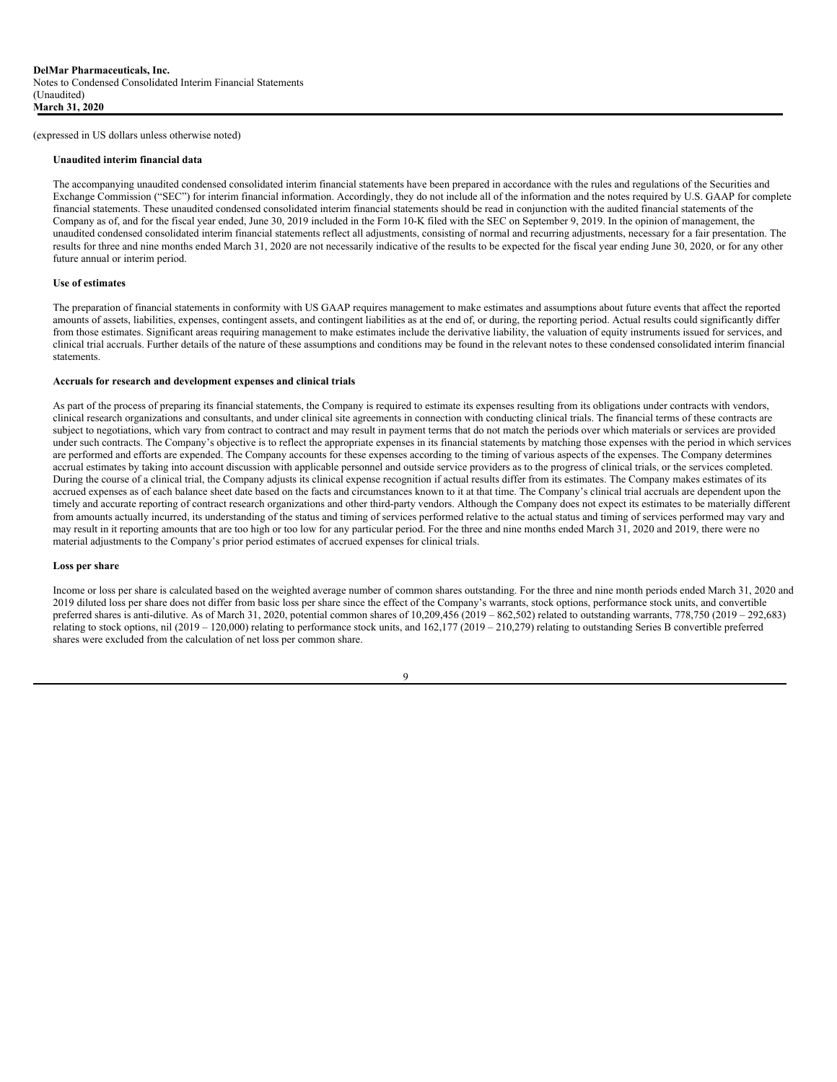#### **Unaudited interim financial data**

The accompanying unaudited condensed consolidated interim financial statements have been prepared in accordance with the rules and regulations of the Securities and Exchange Commission ("SEC") for interim financial information. Accordingly, they do not include all of the information and the notes required by U.S. GAAP for complete financial statements. These unaudited condensed consolidated interim financial statements should be read in conjunction with the audited financial statements of the Company as of, and for the fiscal year ended, June 30, 2019 included in the Form 10-K filed with the SEC on September 9, 2019. In the opinion of management, the unaudited condensed consolidated interim financial statements reflect all adjustments, consisting of normal and recurring adjustments, necessary for a fair presentation. The results for three and nine months ended March 31, 2020 are not necessarily indicative of the results to be expected for the fiscal year ending June 30, 2020, or for any other future annual or interim period.

#### **Use of estimates**

The preparation of financial statements in conformity with US GAAP requires management to make estimates and assumptions about future events that affect the reported amounts of assets, liabilities, expenses, contingent assets, and contingent liabilities as at the end of, or during, the reporting period. Actual results could significantly differ from those estimates. Significant areas requiring management to make estimates include the derivative liability, the valuation of equity instruments issued for services, and clinical trial accruals. Further details of the nature of these assumptions and conditions may be found in the relevant notes to these condensed consolidated interim financial statements.

### **Accruals for research and development expenses and clinical trials**

As part of the process of preparing its financial statements, the Company is required to estimate its expenses resulting from its obligations under contracts with vendors, clinical research organizations and consultants, and under clinical site agreements in connection with conducting clinical trials. The financial terms of these contracts are subject to negotiations, which vary from contract to contract and may result in payment terms that do not match the periods over which materials or services are provided under such contracts. The Company's objective is to reflect the appropriate expenses in its financial statements by matching those expenses with the period in which services are performed and efforts are expended. The Company accounts for these expenses according to the timing of various aspects of the expenses. The Company determines accrual estimates by taking into account discussion with applicable personnel and outside service providers as to the progress of clinical trials, or the services completed. During the course of a clinical trial, the Company adjusts its clinical expense recognition if actual results differ from its estimates. The Company makes estimates of its accrued expenses as of each balance sheet date based on the facts and circumstances known to it at that time. The Company's clinical trial accruals are dependent upon the timely and accurate reporting of contract research organizations and other third-party vendors. Although the Company does not expect its estimates to be materially different from amounts actually incurred, its understanding of the status and timing of services performed relative to the actual status and timing of services performed may vary and may result in it reporting amounts that are too high or too low for any particular period. For the three and nine months ended March 31, 2020 and 2019, there were no material adjustments to the Company's prior period estimates of accrued expenses for clinical trials.

#### **Loss per share**

Income or loss per share is calculated based on the weighted average number of common shares outstanding. For the three and nine month periods ended March 31, 2020 and 2019 diluted loss per share does not differ from basic loss per share since the effect of the Company's warrants, stock options, performance stock units, and convertible preferred shares is anti-dilutive. As of March 31, 2020, potential common shares of 10,209,456 (2019 – 862,502) related to outstanding warrants, 778,750 (2019 – 292,683) relating to stock options, nil (2019 – 120,000) relating to performance stock units, and 162,177 (2019 – 210,279) relating to outstanding Series B convertible preferred shares were excluded from the calculation of net loss per common share.

 $\alpha$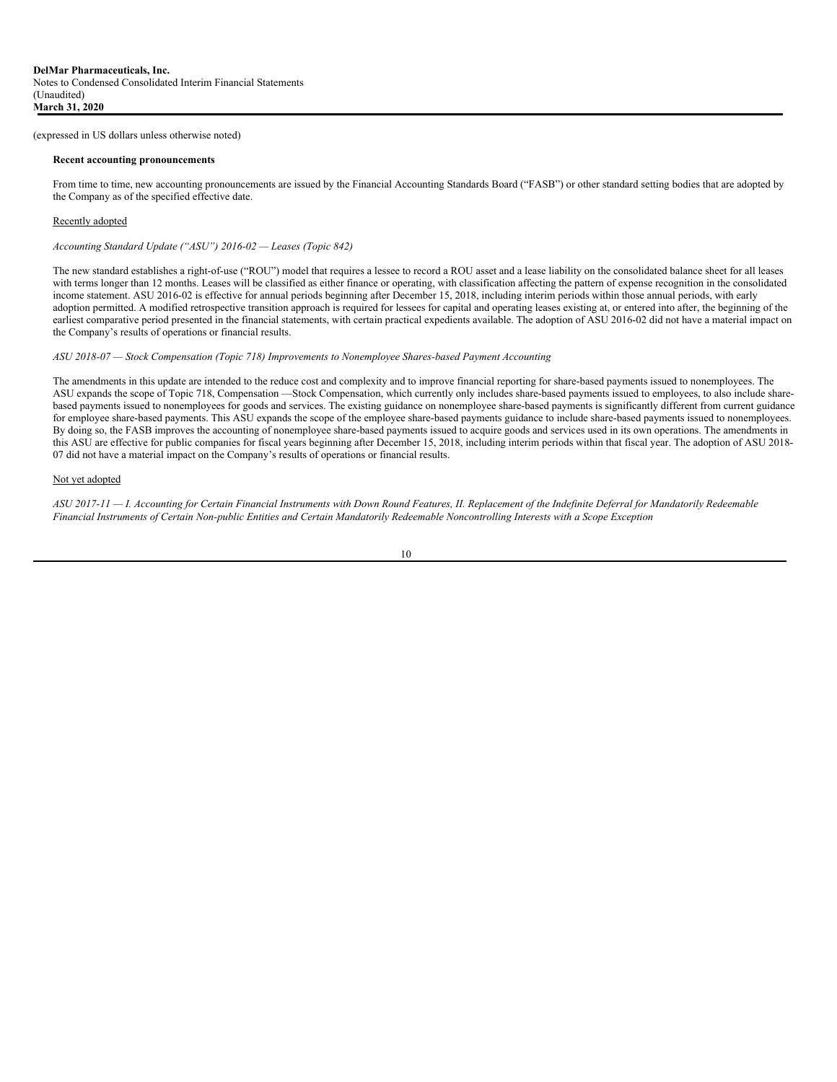#### **Recent accounting pronouncements**

From time to time, new accounting pronouncements are issued by the Financial Accounting Standards Board ("FASB") or other standard setting bodies that are adopted by the Company as of the specified effective date.

### Recently adopted

### *Accounting Standard Update ("ASU") 2016-02 — Leases (Topic 842)*

The new standard establishes a right-of-use ("ROU") model that requires a lessee to record a ROU asset and a lease liability on the consolidated balance sheet for all leases with terms longer than 12 months. Leases will be classified as either finance or operating, with classification affecting the pattern of expense recognition in the consolidated income statement. ASU 2016-02 is effective for annual periods beginning after December 15, 2018, including interim periods within those annual periods, with early adoption permitted. A modified retrospective transition approach is required for lessees for capital and operating leases existing at, or entered into after, the beginning of the earliest comparative period presented in the financial statements, with certain practical expedients available. The adoption of ASU 2016-02 did not have a material impact on the Company's results of operations or financial results.

### *ASU 2018-07 — Stock Compensation (Topic 718) Improvements to Nonemployee Shares-based Payment Accounting*

The amendments in this update are intended to the reduce cost and complexity and to improve financial reporting for share-based payments issued to nonemployees. The ASU expands the scope of Topic 718, Compensation —Stock Compensation, which currently only includes share-based payments issued to employees, to also include sharebased payments issued to nonemployees for goods and services. The existing guidance on nonemployee share-based payments is significantly different from current guidance for employee share-based payments. This ASU expands the scope of the employee share-based payments guidance to include share-based payments issued to nonemployees. By doing so, the FASB improves the accounting of nonemployee share-based payments issued to acquire goods and services used in its own operations. The amendments in this ASU are effective for public companies for fiscal years beginning after December 15, 2018, including interim periods within that fiscal year. The adoption of ASU 2018- 07 did not have a material impact on the Company's results of operations or financial results.

#### Not yet adopted

ASU 2017-11 - I. Accounting for Certain Financial Instruments with Down Round Features, II. Replacement of the Indefinite Deferral for Mandatorily Redeemable Financial Instruments of Certain Non-public Entities and Certain Mandatorily Redeemable Noncontrolling Interests with a Scope Exception

 $1<sub>0</sub>$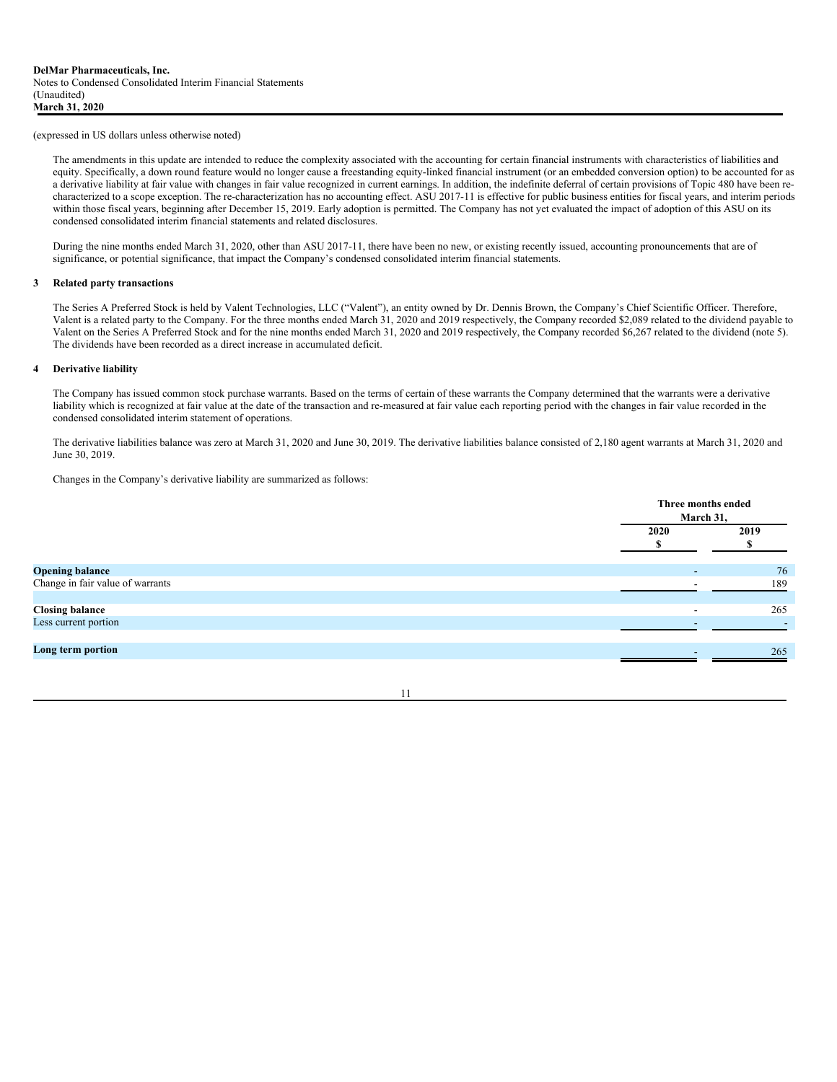The amendments in this update are intended to reduce the complexity associated with the accounting for certain financial instruments with characteristics of liabilities and equity. Specifically, a down round feature would no longer cause a freestanding equity-linked financial instrument (or an embedded conversion option) to be accounted for as a derivative liability at fair value with changes in fair value recognized in current earnings. In addition, the indefinite deferral of certain provisions of Topic 480 have been recharacterized to a scope exception. The re-characterization has no accounting effect. ASU 2017-11 is effective for public business entities for fiscal years, and interim periods within those fiscal years, beginning after December 15, 2019. Early adoption is permitted. The Company has not yet evaluated the impact of adoption of this ASU on its condensed consolidated interim financial statements and related disclosures.

During the nine months ended March 31, 2020, other than ASU 2017-11, there have been no new, or existing recently issued, accounting pronouncements that are of significance, or potential significance, that impact the Company's condensed consolidated interim financial statements.

### **3 Related party transactions**

The Series A Preferred Stock is held by Valent Technologies, LLC ("Valent"), an entity owned by Dr. Dennis Brown, the Company's Chief Scientific Officer. Therefore, Valent is a related party to the Company. For the three months ended March 31, 2020 and 2019 respectively, the Company recorded \$2,089 related to the dividend payable to Valent on the Series A Preferred Stock and for the nine months ended March 31, 2020 and 2019 respectively, the Company recorded \$6,267 related to the dividend (note 5). The dividends have been recorded as a direct increase in accumulated deficit.

### **4 Derivative liability**

The Company has issued common stock purchase warrants. Based on the terms of certain of these warrants the Company determined that the warrants were a derivative liability which is recognized at fair value at the date of the transaction and re-measured at fair value each reporting period with the changes in fair value recorded in the condensed consolidated interim statement of operations.

The derivative liabilities balance was zero at March 31, 2020 and June 30, 2019. The derivative liabilities balance consisted of 2,180 agent warrants at March 31, 2020 and June 30, 2019.

Changes in the Company's derivative liability are summarized as follows:

|                                  | Three months ended<br>March 31, |      |
|----------------------------------|---------------------------------|------|
|                                  | 2020                            | 2019 |
|                                  |                                 |      |
| <b>Opening balance</b>           | $\overline{\phantom{a}}$        | 76   |
| Change in fair value of warrants |                                 | 189  |
|                                  |                                 |      |
| <b>Closing balance</b>           |                                 | 265  |
| Less current portion             |                                 |      |
|                                  |                                 |      |
| Long term portion                |                                 | 265  |
|                                  |                                 |      |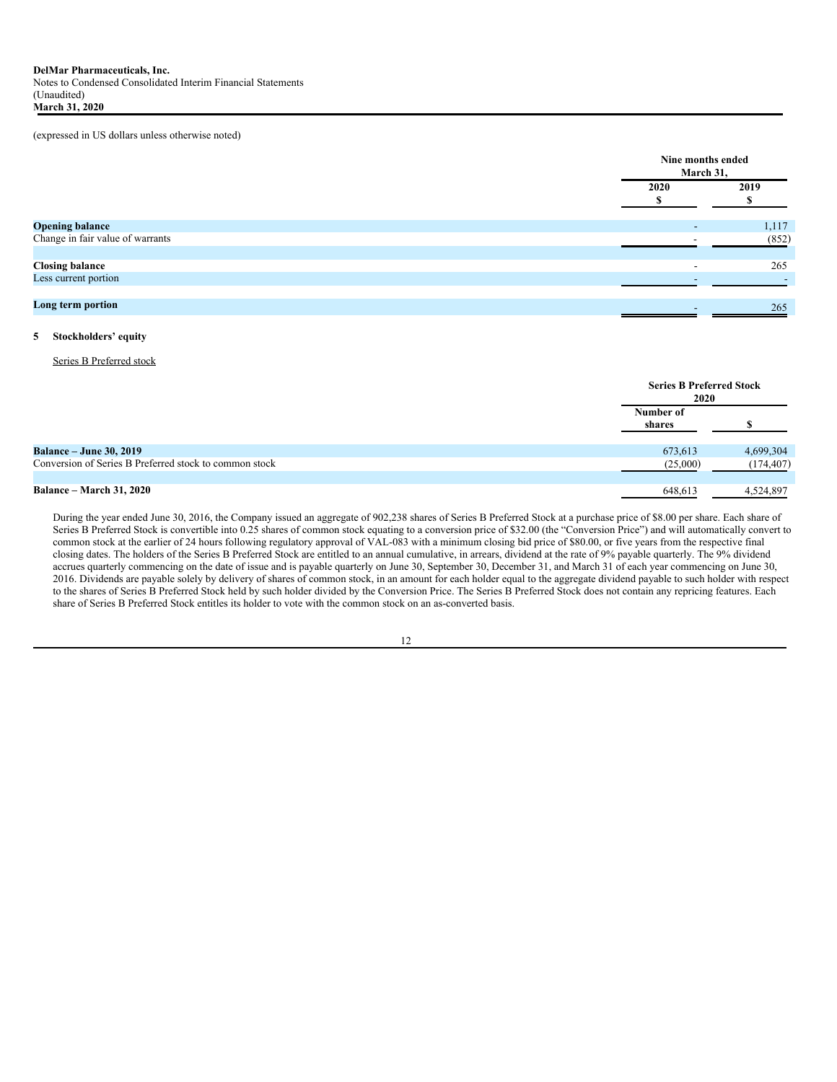(expressed in US dollars unless otherwise noted)

|                                  | Nine months ended        |       |
|----------------------------------|--------------------------|-------|
|                                  | March 31,                |       |
|                                  | 2020                     | 2019  |
|                                  |                          |       |
| <b>Opening balance</b>           | $\overline{\phantom{0}}$ | 1,117 |
| Change in fair value of warrants |                          | (852) |
|                                  |                          |       |
| <b>Closing balance</b>           |                          | 265   |
| Less current portion             | -                        |       |
|                                  |                          |       |
| Long term portion                | $\overline{\phantom{a}}$ | 265   |
|                                  |                          |       |

## **5 Stockholders' equity**

Series B Preferred stock

|                                                        | <b>Series B Preferred Stock</b><br>2020 |            |
|--------------------------------------------------------|-----------------------------------------|------------|
|                                                        | Number of<br>shares                     |            |
| <b>Balance – June 30, 2019</b>                         | 673,613                                 | 4,699,304  |
| Conversion of Series B Preferred stock to common stock | (25,000)                                | (174, 407) |
|                                                        |                                         |            |
| <b>Balance – March 31, 2020</b>                        | 648,613                                 | 4,524,897  |

During the year ended June 30, 2016, the Company issued an aggregate of 902,238 shares of Series B Preferred Stock at a purchase price of \$8.00 per share. Each share of Series B Preferred Stock is convertible into 0.25 shares of common stock equating to a conversion price of \$32.00 (the "Conversion Price") and will automatically convert to common stock at the earlier of 24 hours following regulatory approval of VAL-083 with a minimum closing bid price of \$80.00, or five years from the respective final closing dates. The holders of the Series B Preferred Stock are entitled to an annual cumulative, in arrears, dividend at the rate of 9% payable quarterly. The 9% dividend accrues quarterly commencing on the date of issue and is payable quarterly on June 30, September 30, December 31, and March 31 of each year commencing on June 30, 2016. Dividends are payable solely by delivery of shares of common stock, in an amount for each holder equal to the aggregate dividend payable to such holder with respect to the shares of Series B Preferred Stock held by such holder divided by the Conversion Price. The Series B Preferred Stock does not contain any repricing features. Each share of Series B Preferred Stock entitles its holder to vote with the common stock on an as-converted basis.

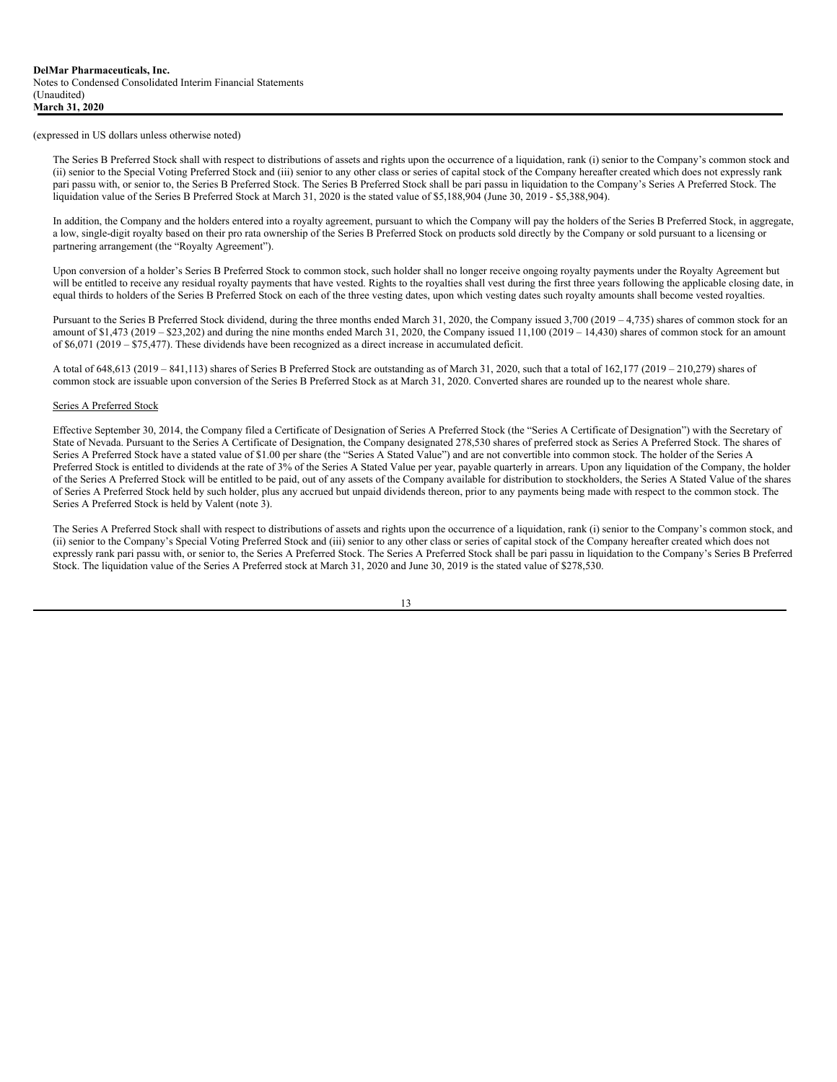The Series B Preferred Stock shall with respect to distributions of assets and rights upon the occurrence of a liquidation, rank (i) senior to the Company's common stock and (ii) senior to the Special Voting Preferred Stock and (iii) senior to any other class or series of capital stock of the Company hereafter created which does not expressly rank pari passu with, or senior to, the Series B Preferred Stock. The Series B Preferred Stock shall be pari passu in liquidation to the Company's Series A Preferred Stock. The liquidation value of the Series B Preferred Stock at March 31, 2020 is the stated value of \$5,188,904 (June 30, 2019 - \$5,388,904).

In addition, the Company and the holders entered into a royalty agreement, pursuant to which the Company will pay the holders of the Series B Preferred Stock, in aggregate, a low, single-digit royalty based on their pro rata ownership of the Series B Preferred Stock on products sold directly by the Company or sold pursuant to a licensing or partnering arrangement (the "Royalty Agreement").

Upon conversion of a holder's Series B Preferred Stock to common stock, such holder shall no longer receive ongoing royalty payments under the Royalty Agreement but will be entitled to receive any residual royalty payments that have vested. Rights to the royalties shall vest during the first three years following the applicable closing date, in equal thirds to holders of the Series B Preferred Stock on each of the three vesting dates, upon which vesting dates such royalty amounts shall become vested royalties.

Pursuant to the Series B Preferred Stock dividend, during the three months ended March 31, 2020, the Company issued 3,700 (2019 – 4,735) shares of common stock for an amount of \$1,473 (2019 – \$23,202) and during the nine months ended March 31, 2020, the Company issued 11,100 (2019 – 14,430) shares of common stock for an amount of \$6,071 (2019 – \$75,477). These dividends have been recognized as a direct increase in accumulated deficit.

A total of 648,613 (2019 – 841,113) shares of Series B Preferred Stock are outstanding as of March 31, 2020, such that a total of 162,177 (2019 – 210,279) shares of common stock are issuable upon conversion of the Series B Preferred Stock as at March 31, 2020. Converted shares are rounded up to the nearest whole share.

#### Series A Preferred Stock

Effective September 30, 2014, the Company filed a Certificate of Designation of Series A Preferred Stock (the "Series A Certificate of Designation") with the Secretary of State of Nevada. Pursuant to the Series A Certificate of Designation, the Company designated 278,530 shares of preferred stock as Series A Preferred Stock. The shares of Series A Preferred Stock have a stated value of \$1.00 per share (the "Series A Stated Value") and are not convertible into common stock. The holder of the Series A Preferred Stock is entitled to dividends at the rate of 3% of the Series A Stated Value per year, payable quarterly in arrears. Upon any liquidation of the Company, the holder of the Series A Preferred Stock will be entitled to be paid, out of any assets of the Company available for distribution to stockholders, the Series A Stated Value of the shares of Series A Preferred Stock held by such holder, plus any accrued but unpaid dividends thereon, prior to any payments being made with respect to the common stock. The Series A Preferred Stock is held by Valent (note 3).

The Series A Preferred Stock shall with respect to distributions of assets and rights upon the occurrence of a liquidation, rank (i) senior to the Company's common stock, and (ii) senior to the Company's Special Voting Preferred Stock and (iii) senior to any other class or series of capital stock of the Company hereafter created which does not expressly rank pari passu with, or senior to, the Series A Preferred Stock. The Series A Preferred Stock shall be pari passu in liquidation to the Company's Series B Preferred Stock. The liquidation value of the Series A Preferred stock at March 31, 2020 and June 30, 2019 is the stated value of \$278,530.

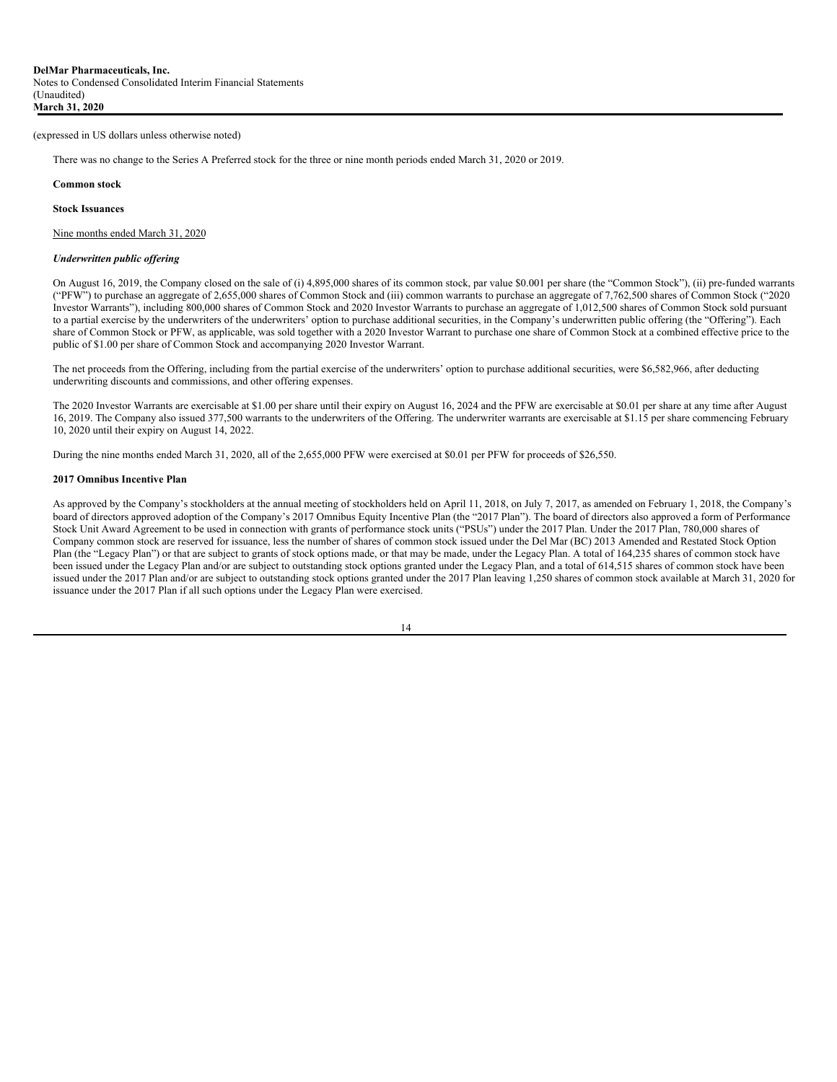There was no change to the Series A Preferred stock for the three or nine month periods ended March 31, 2020 or 2019.

#### **Common stock**

### **Stock Issuances**

Nine months ended March 31, 2020

#### *Underwritten public of ering*

On August 16, 2019, the Company closed on the sale of (i) 4,895,000 shares of its common stock, par value \$0.001 per share (the "Common Stock"), (ii) pre-funded warrants ("PFW") to purchase an aggregate of 2,655,000 shares of Common Stock and (iii) common warrants to purchase an aggregate of 7,762,500 shares of Common Stock ("2020 Investor Warrants"), including 800,000 shares of Common Stock and 2020 Investor Warrants to purchase an aggregate of 1,012,500 shares of Common Stock sold pursuant to a partial exercise by the underwriters of the underwriters' option to purchase additional securities, in the Company's underwritten public offering (the "Offering"). Each share of Common Stock or PFW, as applicable, was sold together with a 2020 Investor Warrant to purchase one share of Common Stock at a combined effective price to the public of \$1.00 per share of Common Stock and accompanying 2020 Investor Warrant.

The net proceeds from the Offering, including from the partial exercise of the underwriters' option to purchase additional securities, were \$6,582,966, after deducting underwriting discounts and commissions, and other offering expenses.

The 2020 Investor Warrants are exercisable at \$1.00 per share until their expiry on August 16, 2024 and the PFW are exercisable at \$0.01 per share at any time after August 16, 2019. The Company also issued 377,500 warrants to the underwriters of the Offering. The underwriter warrants are exercisable at \$1.15 per share commencing February 10, 2020 until their expiry on August 14, 2022.

During the nine months ended March 31, 2020, all of the 2,655,000 PFW were exercised at \$0.01 per PFW for proceeds of \$26,550.

#### **2017 Omnibus Incentive Plan**

As approved by the Company's stockholders at the annual meeting of stockholders held on April 11, 2018, on July 7, 2017, as amended on February 1, 2018, the Company's board of directors approved adoption of the Company's 2017 Omnibus Equity Incentive Plan (the "2017 Plan"). The board of directors also approved a form of Performance Stock Unit Award Agreement to be used in connection with grants of performance stock units ("PSUs") under the 2017 Plan. Under the 2017 Plan, 780,000 shares of Company common stock are reserved for issuance, less the number of shares of common stock issued under the Del Mar (BC) 2013 Amended and Restated Stock Option Plan (the "Legacy Plan") or that are subject to grants of stock options made, or that may be made, under the Legacy Plan. A total of 164,235 shares of common stock have been issued under the Legacy Plan and/or are subject to outstanding stock options granted under the Legacy Plan, and a total of 614,515 shares of common stock have been issued under the 2017 Plan and/or are subject to outstanding stock options granted under the 2017 Plan leaving 1,250 shares of common stock available at March 31, 2020 for issuance under the 2017 Plan if all such options under the Legacy Plan were exercised.

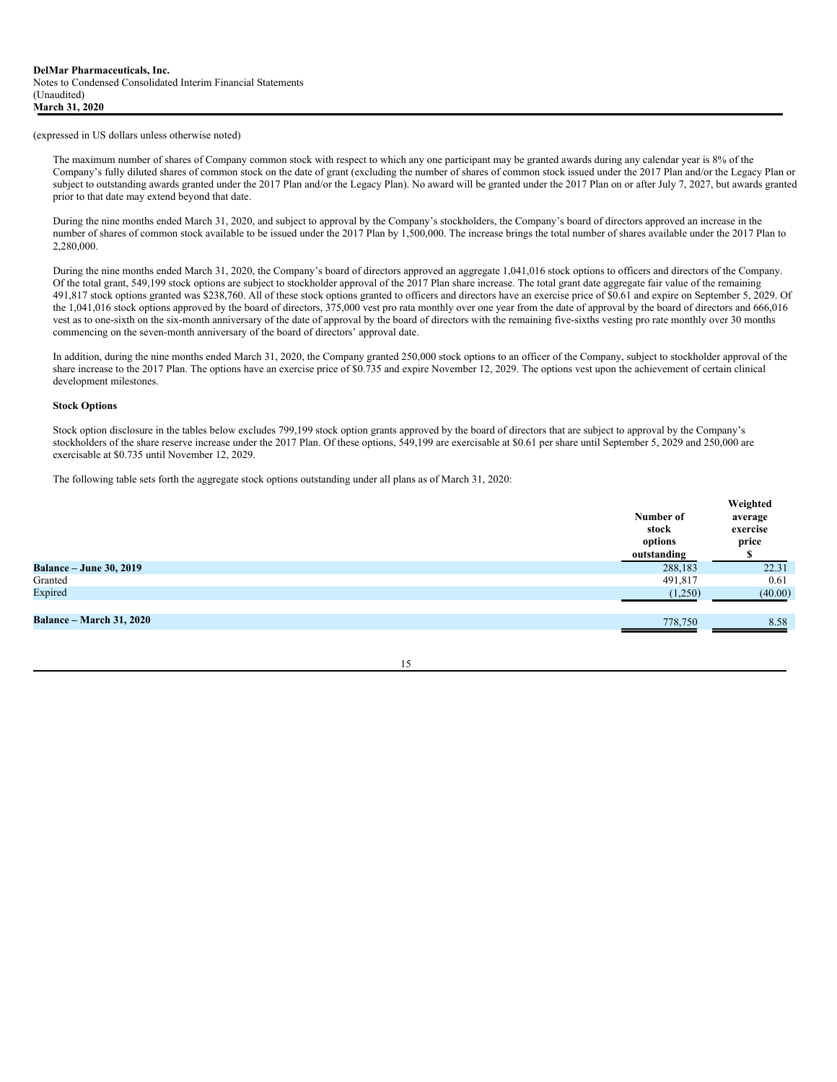The maximum number of shares of Company common stock with respect to which any one participant may be granted awards during any calendar year is 8% of the Company's fully diluted shares of common stock on the date of grant (excluding the number of shares of common stock issued under the 2017 Plan and/or the Legacy Plan or subject to outstanding awards granted under the 2017 Plan and/or the Legacy Plan). No award will be granted under the 2017 Plan on or after July 7, 2027, but awards granted prior to that date may extend beyond that date.

During the nine months ended March 31, 2020, and subject to approval by the Company's stockholders, the Company's board of directors approved an increase in the number of shares of common stock available to be issued under the 2017 Plan by 1,500,000. The increase brings the total number of shares available under the 2017 Plan to 2,280,000.

During the nine months ended March 31, 2020, the Company's board of directors approved an aggregate 1,041,016 stock options to officers and directors of the Company. Of the total grant, 549,199 stock options are subject to stockholder approval of the 2017 Plan share increase. The total grant date aggregate fair value of the remaining 491,817 stock options granted was \$238,760. All of these stock options granted to officers and directors have an exercise price of \$0.61 and expire on September 5, 2029. Of the 1,041,016 stock options approved by the board of directors, 375,000 vest pro rata monthly over one year from the date of approval by the board of directors and 666,016 vest as to one-sixth on the six-month anniversary of the date of approval by the board of directors with the remaining five-sixths vesting pro rate monthly over 30 months commencing on the seven-month anniversary of the board of directors' approval date.

In addition, during the nine months ended March 31, 2020, the Company granted 250,000 stock options to an officer of the Company, subject to stockholder approval of the share increase to the 2017 Plan. The options have an exercise price of \$0.735 and expire November 12, 2029. The options vest upon the achievement of certain clinical development milestones.

#### **Stock Options**

Stock option disclosure in the tables below excludes 799,199 stock option grants approved by the board of directors that are subject to approval by the Company's stockholders of the share reserve increase under the 2017 Plan. Of these options, 549,199 are exercisable at \$0.61 per share until September 5, 2029 and 250,000 are exercisable at \$0.735 until November 12, 2029.

The following table sets forth the aggregate stock options outstanding under all plans as of March 31, 2020:

|                                | Number of<br>stock<br>options<br>outstanding | Weighted<br>average<br>exercise<br>price |
|--------------------------------|----------------------------------------------|------------------------------------------|
| <b>Balance - June 30, 2019</b> | 288,183                                      | 22.31                                    |
| Granted                        | 491,817                                      | 0.61                                     |
| Expired                        | (1,250)                                      | (40.00)                                  |
| Balance – March 31, 2020       | 778,750                                      | 8.58                                     |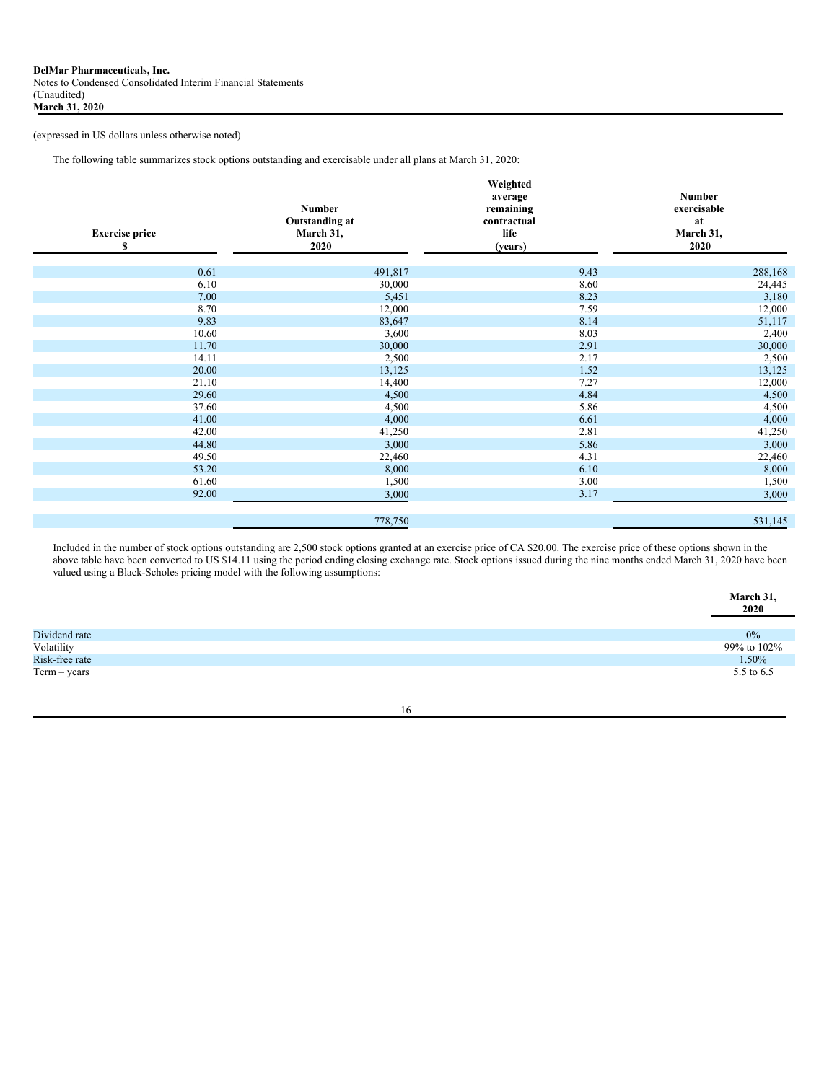### (expressed in US dollars unless otherwise noted)

The following table summarizes stock options outstanding and exercisable under all plans at March 31, 2020:

| <b>Exercise price</b><br>\$ | <b>Number</b><br><b>Outstanding at</b><br>March 31,<br>2020 | Weighted<br>average<br>remaining<br>contractual<br>life<br>(years) | <b>Number</b><br>exercisable<br>at<br>March 31,<br>2020 |
|-----------------------------|-------------------------------------------------------------|--------------------------------------------------------------------|---------------------------------------------------------|
| 0.61                        | 491,817                                                     | 9.43                                                               | 288,168                                                 |
| 6.10                        | 30,000                                                      | 8.60                                                               | 24,445                                                  |
| 7.00                        | 5,451                                                       | 8.23                                                               | 3,180                                                   |
| 8.70                        | 12,000                                                      | 7.59                                                               | 12,000                                                  |
| 9.83                        | 83,647                                                      | 8.14                                                               | 51,117                                                  |
| 10.60                       | 3,600                                                       | 8.03                                                               | 2,400                                                   |
| 11.70                       | 30,000                                                      | 2.91                                                               | 30,000                                                  |
| 14.11                       | 2,500                                                       | 2.17                                                               | 2,500                                                   |
| 20.00                       | 13,125                                                      | 1.52                                                               | 13,125                                                  |
| 21.10                       | 14,400                                                      | 7.27                                                               | 12,000                                                  |
| 29.60                       | 4,500                                                       | 4.84                                                               | 4,500                                                   |
| 37.60                       | 4,500                                                       | 5.86                                                               | 4,500                                                   |
| 41.00                       | 4,000                                                       | 6.61                                                               | 4,000                                                   |
| 42.00                       | 41,250                                                      | 2.81                                                               | 41,250                                                  |
| 44.80                       | 3,000                                                       | 5.86                                                               | 3,000                                                   |
| 49.50                       | 22,460                                                      | 4.31                                                               | 22,460                                                  |
| 53.20                       | 8,000                                                       | 6.10                                                               | 8,000                                                   |
| 61.60                       | 1,500                                                       | 3.00                                                               | 1,500                                                   |
| 92.00                       | 3,000                                                       | 3.17                                                               | 3,000                                                   |
|                             | 778,750                                                     |                                                                    | 531,145                                                 |
|                             |                                                             |                                                                    |                                                         |

Included in the number of stock options outstanding are 2,500 stock options granted at an exercise price of CA \$20.00. The exercise price of these options shown in the above table have been converted to US \$14.11 using the period ending closing exchange rate. Stock options issued during the nine months ended March 31, 2020 have been valued using a Black-Scholes pricing model with the following assumptions:

|                | March 31,<br>2020 |
|----------------|-------------------|
| Dividend rate  | $0\%$             |
| Volatility     | 99% to 102%       |
| Risk-free rate | 1.50%             |
| $Term - years$ | 5.5 to 6.5        |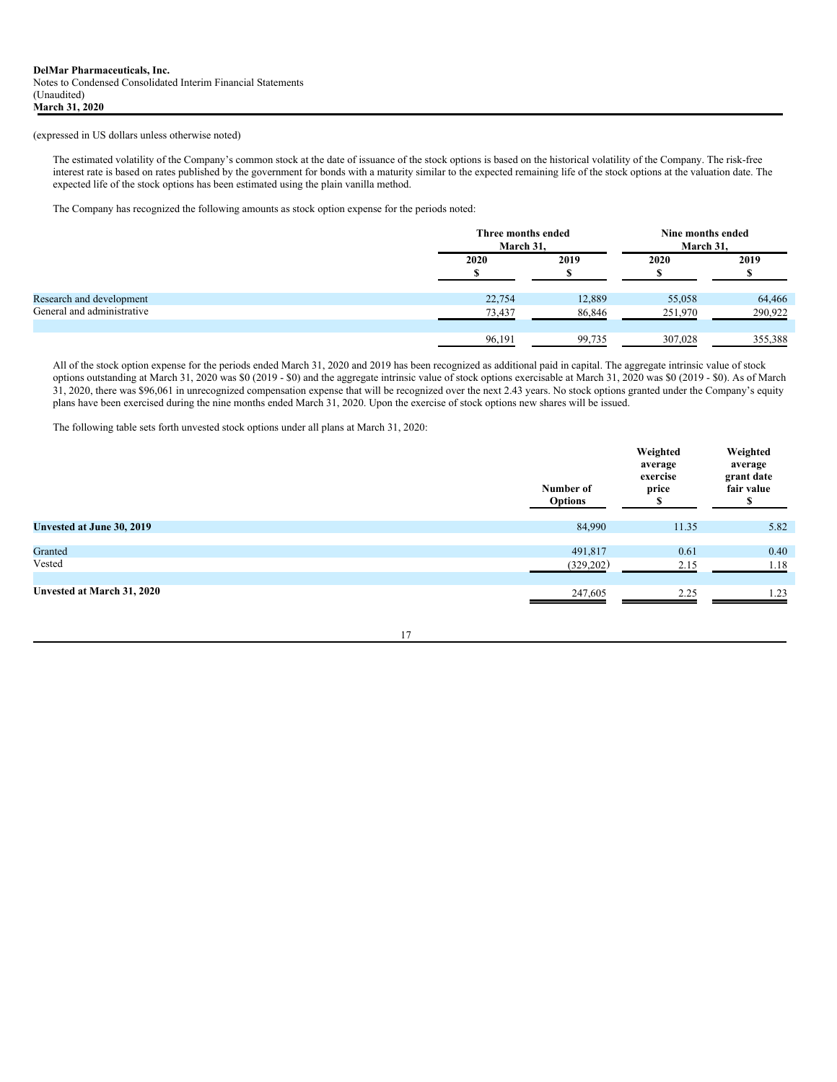### (expressed in US dollars unless otherwise noted)

The estimated volatility of the Company's common stock at the date of issuance of the stock options is based on the historical volatility of the Company. The risk-free interest rate is based on rates published by the government for bonds with a maturity similar to the expected remaining life of the stock options at the valuation date. The expected life of the stock options has been estimated using the plain vanilla method.

The Company has recognized the following amounts as stock option expense for the periods noted:

|                            |        | Three months ended<br>March 31, |         | Nine months ended<br>March 31, |  |
|----------------------------|--------|---------------------------------|---------|--------------------------------|--|
|                            | 2020   | 2019                            | 2020    | 2019                           |  |
|                            |        |                                 |         |                                |  |
| Research and development   | 22,754 | 12,889                          | 55,058  | 64,466                         |  |
| General and administrative | 73,437 | 86,846                          | 251,970 | 290,922                        |  |
|                            |        |                                 |         |                                |  |
|                            | 96,191 | 99,735                          | 307,028 | 355,388                        |  |

All of the stock option expense for the periods ended March 31, 2020 and 2019 has been recognized as additional paid in capital. The aggregate intrinsic value of stock options outstanding at March 31, 2020 was \$0 (2019 - \$0) and the aggregate intrinsic value of stock options exercisable at March 31, 2020 was \$0 (2019 - \$0). As of March 31, 2020, there was \$96,061 in unrecognized compensation expense that will be recognized over the next 2.43 years. No stock options granted under the Company's equity plans have been exercised during the nine months ended March 31, 2020. Upon the exercise of stock options new shares will be issued.

The following table sets forth unvested stock options under all plans at March 31, 2020:

|                            | Number of<br><b>Options</b> | Weighted<br>average<br>exercise<br>price | Weighted<br>average<br>grant date<br>fair value |
|----------------------------|-----------------------------|------------------------------------------|-------------------------------------------------|
| Unvested at June 30, 2019  | 84,990                      | 11.35                                    | 5.82                                            |
| Granted                    | 491,817                     | 0.61                                     | 0.40                                            |
| Vested                     | (329, 202)                  | 2.15                                     | 1.18                                            |
| Unvested at March 31, 2020 | 247,605                     | 2.25                                     | 1.23                                            |
|                            |                             |                                          |                                                 |

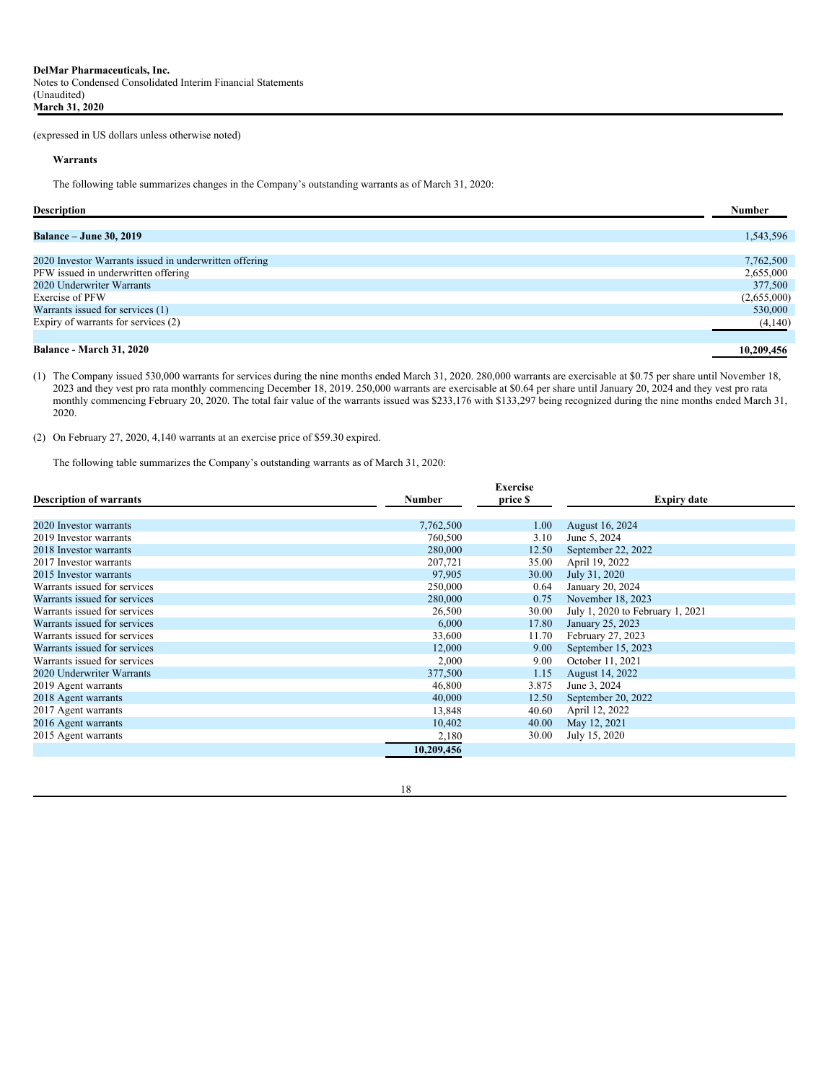(expressed in US dollars unless otherwise noted)

### **Warrants**

The following table summarizes changes in the Company's outstanding warrants as of March 31, 2020:

| <b>Description</b>                                     | <b>Number</b> |
|--------------------------------------------------------|---------------|
|                                                        |               |
| <b>Balance – June 30, 2019</b>                         | 1,543,596     |
|                                                        |               |
| 2020 Investor Warrants issued in underwritten offering | 7,762,500     |
| PFW issued in underwritten offering                    | 2,655,000     |
| 2020 Underwriter Warrants                              | 377,500       |
| Exercise of PFW                                        | (2,655,000)   |
| Warrants issued for services (1)                       | 530,000       |
| Expiry of warrants for services (2)                    | (4,140)       |
|                                                        |               |
| <b>Balance - March 31, 2020</b>                        | 10.209.456    |

(1) The Company issued 530,000 warrants for services during the nine months ended March 31, 2020. 280,000 warrants are exercisable at \$0.75 per share until November 18, 2023 and they vest pro rata monthly commencing December 18, 2019. 250,000 warrants are exercisable at \$0.64 per share until January 20, 2024 and they vest pro rata monthly commencing February 20, 2020. The total fair value of the warrants issued was \$233,176 with \$133,297 being recognized during the nine months ended March 31, 2020.

(2) On February 27, 2020, 4,140 warrants at an exercise price of \$59.30 expired.

The following table summarizes the Company's outstanding warrants as of March 31, 2020:

| <b>Description of warrants</b> | <b>Number</b> | Exercise<br>price \$ | <b>Expiry date</b>               |
|--------------------------------|---------------|----------------------|----------------------------------|
|                                |               |                      |                                  |
| 2020 Investor warrants         | 7,762,500     | 1.00                 | August 16, 2024                  |
| 2019 Investor warrants         | 760,500       | 3.10                 | June 5, 2024                     |
| 2018 Investor warrants         | 280,000       | 12.50                | September 22, 2022               |
| 2017 Investor warrants         | 207,721       | 35.00                | April 19, 2022                   |
| 2015 Investor warrants         | 97,905        | 30.00                | July 31, 2020                    |
| Warrants issued for services   | 250,000       | 0.64                 | January 20, 2024                 |
| Warrants issued for services   | 280,000       | 0.75                 | November 18, 2023                |
| Warrants issued for services   | 26,500        | 30.00                | July 1, 2020 to February 1, 2021 |
| Warrants issued for services   | 6,000         | 17.80                | January 25, 2023                 |
| Warrants issued for services   | 33,600        | 11.70                | February 27, 2023                |
| Warrants issued for services   | 12,000        | 9.00                 | September 15, 2023               |
| Warrants issued for services   | 2,000         | 9.00                 | October 11, 2021                 |
| 2020 Underwriter Warrants      | 377,500       | 1.15                 | August 14, 2022                  |
| 2019 Agent warrants            | 46,800        | 3.875                | June 3, 2024                     |
| 2018 Agent warrants            | 40,000        | 12.50                | September 20, 2022               |
| 2017 Agent warrants            | 13,848        | 40.60                | April 12, 2022                   |
| 2016 Agent warrants            | 10,402        | 40.00                | May 12, 2021                     |
| 2015 Agent warrants            | 2,180         | 30.00                | July 15, 2020                    |
|                                | 10,209,456    |                      |                                  |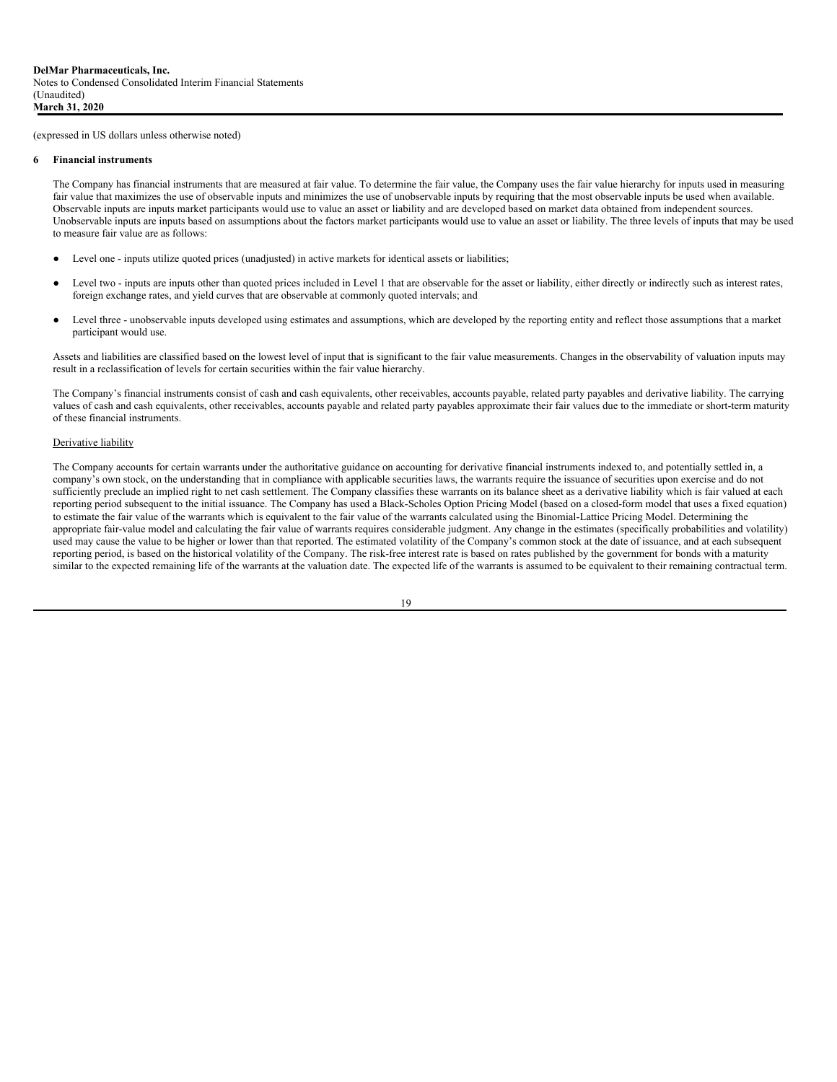#### **6 Financial instruments**

The Company has financial instruments that are measured at fair value. To determine the fair value, the Company uses the fair value hierarchy for inputs used in measuring fair value that maximizes the use of observable inputs and minimizes the use of unobservable inputs by requiring that the most observable inputs be used when available. Observable inputs are inputs market participants would use to value an asset or liability and are developed based on market data obtained from independent sources. Unobservable inputs are inputs based on assumptions about the factors market participants would use to value an asset or liability. The three levels of inputs that may be used to measure fair value are as follows:

- Level one inputs utilize quoted prices (unadjusted) in active markets for identical assets or liabilities;
- Level two inputs are inputs other than quoted prices included in Level 1 that are observable for the asset or liability, either directly or indirectly such as interest rates, foreign exchange rates, and yield curves that are observable at commonly quoted intervals; and
- Level three unobservable inputs developed using estimates and assumptions, which are developed by the reporting entity and reflect those assumptions that a market participant would use.

Assets and liabilities are classified based on the lowest level of input that is significant to the fair value measurements. Changes in the observability of valuation inputs may result in a reclassification of levels for certain securities within the fair value hierarchy.

The Company's financial instruments consist of cash and cash equivalents, other receivables, accounts payable, related party payables and derivative liability. The carrying values of cash and cash equivalents, other receivables, accounts payable and related party payables approximate their fair values due to the immediate or short-term maturity of these financial instruments.

### Derivative liability

The Company accounts for certain warrants under the authoritative guidance on accounting for derivative financial instruments indexed to, and potentially settled in, a company's own stock, on the understanding that in compliance with applicable securities laws, the warrants require the issuance of securities upon exercise and do not sufficiently preclude an implied right to net cash settlement. The Company classifies these warrants on its balance sheet as a derivative liability which is fair valued at each reporting period subsequent to the initial issuance. The Company has used a Black-Scholes Option Pricing Model (based on a closed-form model that uses a fixed equation) to estimate the fair value of the warrants which is equivalent to the fair value of the warrants calculated using the Binomial-Lattice Pricing Model. Determining the appropriate fair-value model and calculating the fair value of warrants requires considerable judgment. Any change in the estimates (specifically probabilities and volatility) used may cause the value to be higher or lower than that reported. The estimated volatility of the Company's common stock at the date of issuance, and at each subsequent reporting period, is based on the historical volatility of the Company. The risk-free interest rate is based on rates published by the government for bonds with a maturity similar to the expected remaining life of the warrants at the valuation date. The expected life of the warrants is assumed to be equivalent to their remaining contractual term.

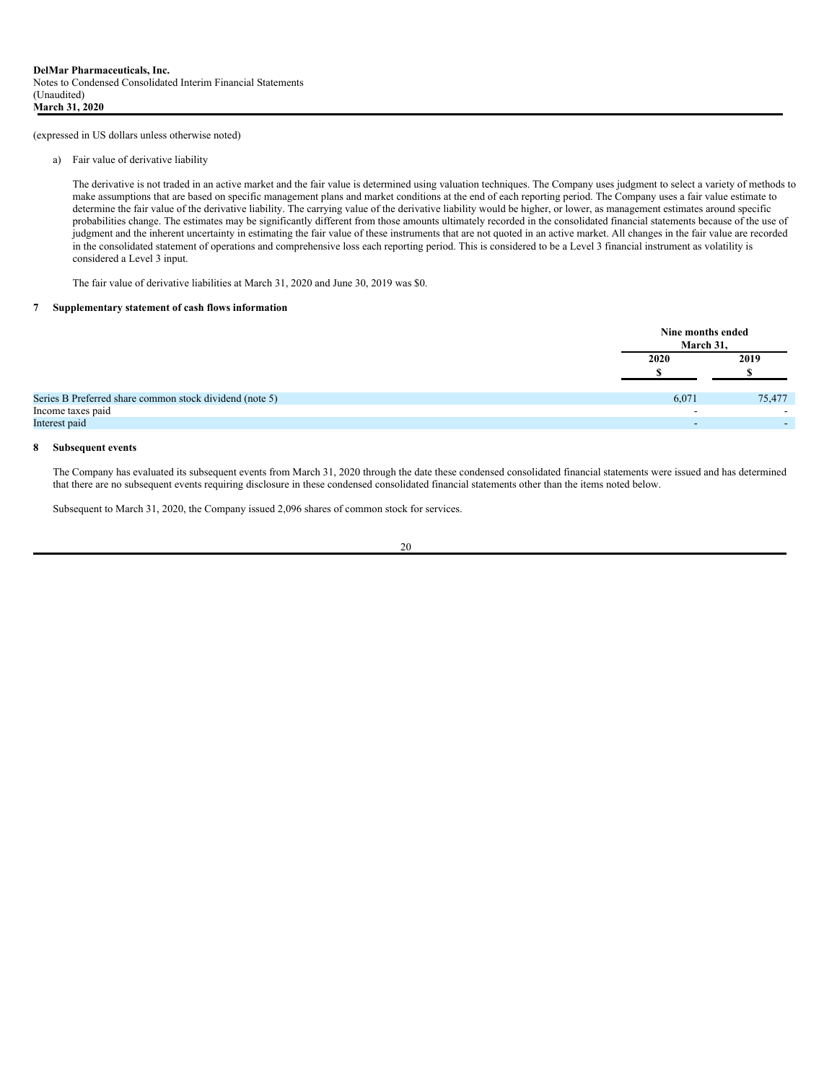a) Fair value of derivative liability

The derivative is not traded in an active market and the fair value is determined using valuation techniques. The Company uses judgment to select a variety of methods to make assumptions that are based on specific management plans and market conditions at the end of each reporting period. The Company uses a fair value estimate to determine the fair value of the derivative liability. The carrying value of the derivative liability would be higher, or lower, as management estimates around specific probabilities change. The estimates may be significantly different from those amounts ultimately recorded in the consolidated financial statements because of the use of judgment and the inherent uncertainty in estimating the fair value of these instruments that are not quoted in an active market. All changes in the fair value are recorded in the consolidated statement of operations and comprehensive loss each reporting period. This is considered to be a Level 3 financial instrument as volatility is considered a Level 3 input.

The fair value of derivative liabilities at March 31, 2020 and June 30, 2019 was \$0.

### **7 Supplementary statement of cash flows information**

|                                                         | Nine months ended<br>March 31, |                          |
|---------------------------------------------------------|--------------------------------|--------------------------|
|                                                         | 2020                           | 2019                     |
| Series B Preferred share common stock dividend (note 5) | 6,071                          | 75,477                   |
| Income taxes paid                                       |                                | $\overline{\phantom{a}}$ |
| Interest paid                                           | -                              |                          |

#### **8 Subsequent events**

The Company has evaluated its subsequent events from March 31, 2020 through the date these condensed consolidated financial statements were issued and has determined that there are no subsequent events requiring disclosure in these condensed consolidated financial statements other than the items noted below.

Subsequent to March 31, 2020, the Company issued 2,096 shares of common stock for services.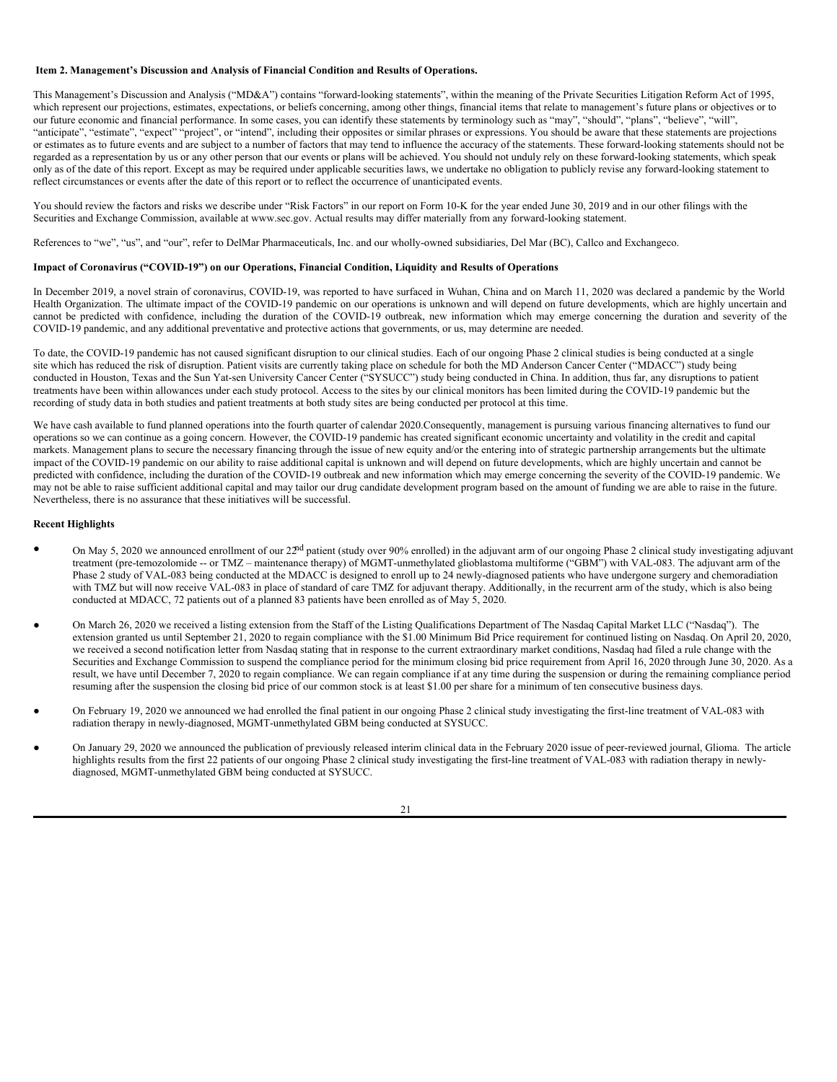#### <span id="page-22-0"></span>**Item 2. Management's Discussion and Analysis of Financial Condition and Results of Operations.**

This Management's Discussion and Analysis ("MD&A") contains "forward-looking statements", within the meaning of the Private Securities Litigation Reform Act of 1995, which represent our projections, estimates, expectations, or beliefs concerning, among other things, financial items that relate to management's future plans or objectives or to our future economic and financial performance. In some cases, you can identify these statements by terminology such as "may", "should", "plans", "believe", "will", "anticipate", "estimate", "expect" "project", or "intend", including their opposites or similar phrases or expressions. You should be aware that these statements are projections or estimates as to future events and are subject to a number of factors that may tend to influence the accuracy of the statements. These forward-looking statements should not be regarded as a representation by us or any other person that our events or plans will be achieved. You should not unduly rely on these forward-looking statements, which speak only as of the date of this report. Except as may be required under applicable securities laws, we undertake no obligation to publicly revise any forward-looking statement to reflect circumstances or events after the date of this report or to reflect the occurrence of unanticipated events.

You should review the factors and risks we describe under "Risk Factors" in our report on Form 10-K for the year ended June 30, 2019 and in our other filings with the Securities and Exchange Commission, available at www.sec.gov. Actual results may differ materially from any forward-looking statement.

References to "we", "us", and "our", refer to DelMar Pharmaceuticals, Inc. and our wholly-owned subsidiaries, Del Mar (BC), Callco and Exchangeco.

### **Impact of Coronavirus ("COVID-19") on our Operations, Financial Condition, Liquidity and Results of Operations**

In December 2019, a novel strain of coronavirus, COVID-19, was reported to have surfaced in Wuhan, China and on March 11, 2020 was declared a pandemic by the World Health Organization. The ultimate impact of the COVID-19 pandemic on our operations is unknown and will depend on future developments, which are highly uncertain and cannot be predicted with confidence, including the duration of the COVID-19 outbreak, new information which may emerge concerning the duration and severity of the COVID-19 pandemic, and any additional preventative and protective actions that governments, or us, may determine are needed.

To date, the COVID-19 pandemic has not caused significant disruption to our clinical studies. Each of our ongoing Phase 2 clinical studies is being conducted at a single site which has reduced the risk of disruption. Patient visits are currently taking place on schedule for both the MD Anderson Cancer Center ("MDACC") study being conducted in Houston, Texas and the Sun Yat-sen University Cancer Center ("SYSUCC") study being conducted in China. In addition, thus far, any disruptions to patient treatments have been within allowances under each study protocol. Access to the sites by our clinical monitors has been limited during the COVID-19 pandemic but the recording of study data in both studies and patient treatments at both study sites are being conducted per protocol at this time.

We have cash available to fund planned operations into the fourth quarter of calendar 2020. Consequently, management is pursuing various financing alternatives to fund our operations so we can continue as a going concern. However, the COVID-19 pandemic has created significant economic uncertainty and volatility in the credit and capital markets. Management plans to secure the necessary financing through the issue of new equity and/or the entering into of strategic partnership arrangements but the ultimate impact of the COVID-19 pandemic on our ability to raise additional capital is unknown and will depend on future developments, which are highly uncertain and cannot be predicted with confidence, including the duration of the COVID-19 outbreak and new information which may emerge concerning the severity of the COVID-19 pandemic. We may not be able to raise sufficient additional capital and may tailor our drug candidate development program based on the amount of funding we are able to raise in the future. Nevertheless, there is no assurance that these initiatives will be successful.

### **Recent Highlights**

- On May 5, 2020 we announced enrollment of our 22<sup>nd</sup> patient (study over 90% enrolled) in the adjuvant arm of our ongoing Phase 2 clinical study investigating adjuvant treatment (pre-temozolomide -- or TMZ – maintenance therapy) of MGMT-unmethylated glioblastoma multiforme ("GBM") with VAL-083. The adjuvant arm of the Phase 2 study of VAL-083 being conducted at the MDACC is designed to enroll up to 24 newly-diagnosed patients who have undergone surgery and chemoradiation with TMZ but will now receive VAL-083 in place of standard of care TMZ for adjuvant therapy. Additionally, in the recurrent arm of the study, which is also being conducted at MDACC, 72 patients out of a planned 83 patients have been enrolled as of May 5, 2020.
- On March 26, 2020 we received a listing extension from the Staff of the Listing Qualifications Department of The Nasdaq Capital Market LLC ("Nasdaq"). The extension granted us until September 21, 2020 to regain compliance with the \$1.00 Minimum Bid Price requirement for continued listing on Nasdaq. On April 20, 2020, we received a second notification letter from Nasdaq stating that in response to the current extraordinary market conditions, Nasdaq had filed a rule change with the Securities and Exchange Commission to suspend the compliance period for the minimum closing bid price requirement from April 16, 2020 through June 30, 2020. As a result, we have until December 7, 2020 to regain compliance. We can regain compliance if at any time during the suspension or during the remaining compliance period resuming after the suspension the closing bid price of our common stock is at least \$1.00 per share for a minimum of ten consecutive business days.
- On February 19, 2020 we announced we had enrolled the final patient in our ongoing Phase 2 clinical study investigating the first-line treatment of VAL-083 with radiation therapy in newly-diagnosed, MGMT-unmethylated GBM being conducted at SYSUCC.
- On January 29, 2020 we announced the publication of previously released interim clinical data in the February 2020 issue of peer-reviewed journal, Glioma. The article highlights results from the first 22 patients of our ongoing Phase 2 clinical study investigating the first-line treatment of VAL-083 with radiation therapy in newlydiagnosed, MGMT-unmethylated GBM being conducted at SYSUCC.

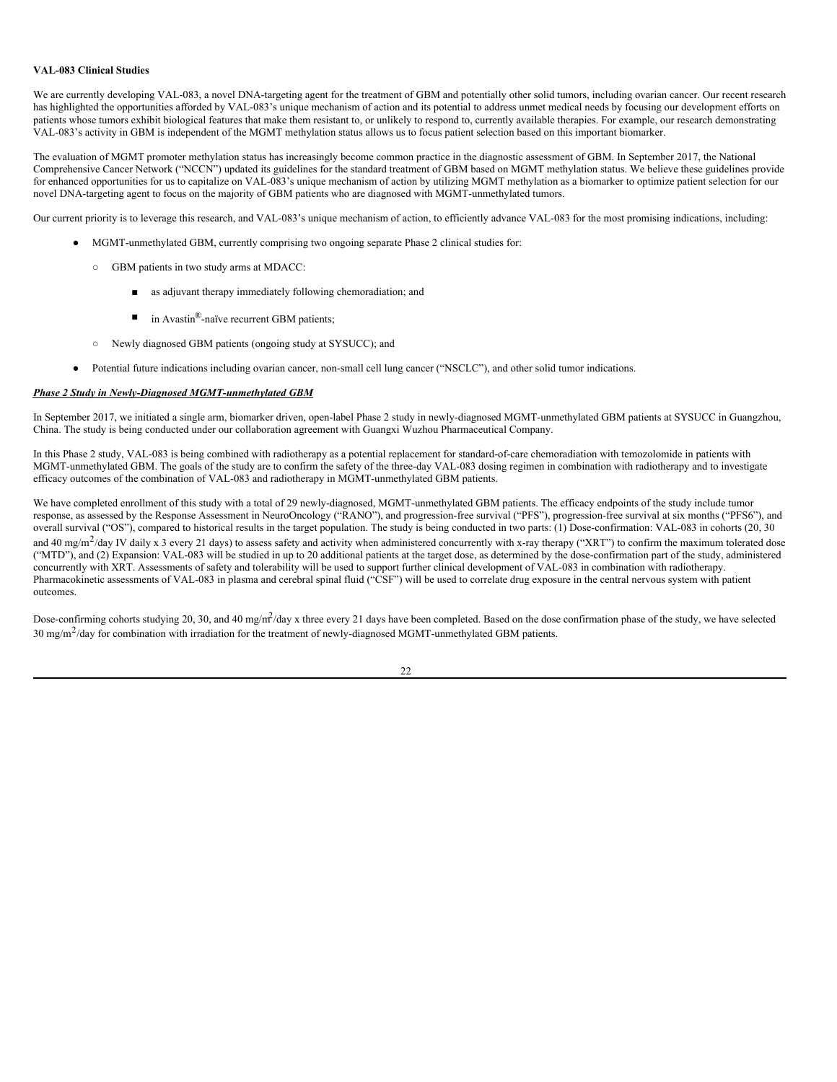### **VAL-083 Clinical Studies**

We are currently developing VAL-083, a novel DNA-targeting agent for the treatment of GBM and potentially other solid tumors, including ovarian cancer. Our recent research has highlighted the opportunities afforded by VAL-083's unique mechanism of action and its potential to address unmet medical needs by focusing our development efforts on patients whose tumors exhibit biological features that make them resistant to, or unlikely to respond to, currently available therapies. For example, our research demonstrating VAL-083's activity in GBM is independent of the MGMT methylation status allows us to focus patient selection based on this important biomarker.

The evaluation of MGMT promoter methylation status has increasingly become common practice in the diagnostic assessment of GBM. In September 2017, the National Comprehensive Cancer Network ("NCCN") updated its guidelines for the standard treatment of GBM based on MGMT methylation status. We believe these guidelines provide for enhanced opportunities for us to capitalize on VAL-083's unique mechanism of action by utilizing MGMT methylation as a biomarker to optimize patient selection for our novel DNA-targeting agent to focus on the majority of GBM patients who are diagnosed with MGMT-unmethylated tumors.

Our current priority is to leverage this research, and VAL-083's unique mechanism of action, to efficiently advance VAL-083 for the most promising indications, including:

- MGMT-unmethylated GBM, currently comprising two ongoing separate Phase 2 clinical studies for:
	- GBM patients in two study arms at MDACC:
		- as adjuvant therapy immediately following chemoradiation; and
		- in Avastin®-naïve recurrent GBM patients;
	- Newly diagnosed GBM patients (ongoing study at SYSUCC); and
- Potential future indications including ovarian cancer, non-small cell lung cancer ("NSCLC"), and other solid tumor indications.

#### *Phase 2 Study in Newly-Diagnosed MGMT-unmethylated GBM*

In September 2017, we initiated a single arm, biomarker driven, open-label Phase 2 study in newly-diagnosed MGMT-unmethylated GBM patients at SYSUCC in Guangzhou, China. The study is being conducted under our collaboration agreement with Guangxi Wuzhou Pharmaceutical Company.

In this Phase 2 study, VAL-083 is being combined with radiotherapy as a potential replacement for standard-of-care chemoradiation with temozolomide in patients with MGMT-unmethylated GBM. The goals of the study are to confirm the safety of the three-day VAL-083 dosing regimen in combination with radiotherapy and to investigate efficacy outcomes of the combination of VAL-083 and radiotherapy in MGMT-unmethylated GBM patients.

We have completed enrollment of this study with a total of 29 newly-diagnosed, MGMT-unmethylated GBM patients. The efficacy endpoints of the study include tumor response, as assessed by the Response Assessment in NeuroOncology ("RANO"), and progression-free survival ("PFS"), progression-free survival at six months ("PFS6"), and overall survival ("OS"), compared to historical results in the target population. The study is being conducted in two parts: (1) Dose-confirmation: VAL-083 in cohorts (20, 30 and 40 mg/m<sup>2</sup>/day IV daily x 3 every 21 days) to assess safety and activity when administered concurrently with x-ray therapy ("XRT") to confirm the maximum tolerated dose ("MTD"), and (2) Expansion: VAL-083 will be studied in up to 20 additional patients at the target dose, as determined by the dose-confirmation part of the study, administered concurrently with XRT. Assessments of safety and tolerability will be used to support further clinical development of VAL-083 in combination with radiotherapy. Pharmacokinetic assessments of VAL-083 in plasma and cerebral spinal fluid ("CSF") will be used to correlate drug exposure in the central nervous system with patient outcomes.

Dose-confirming cohorts studying 20, 30, and 40 mg/m<sup>2</sup>/day x three every 21 days have been completed. Based on the dose confirmation phase of the study, we have selected 30 mg/m<sup>2</sup>/day for combination with irradiation for the treatment of newly-diagnosed MGMT-unmethylated GBM patients.

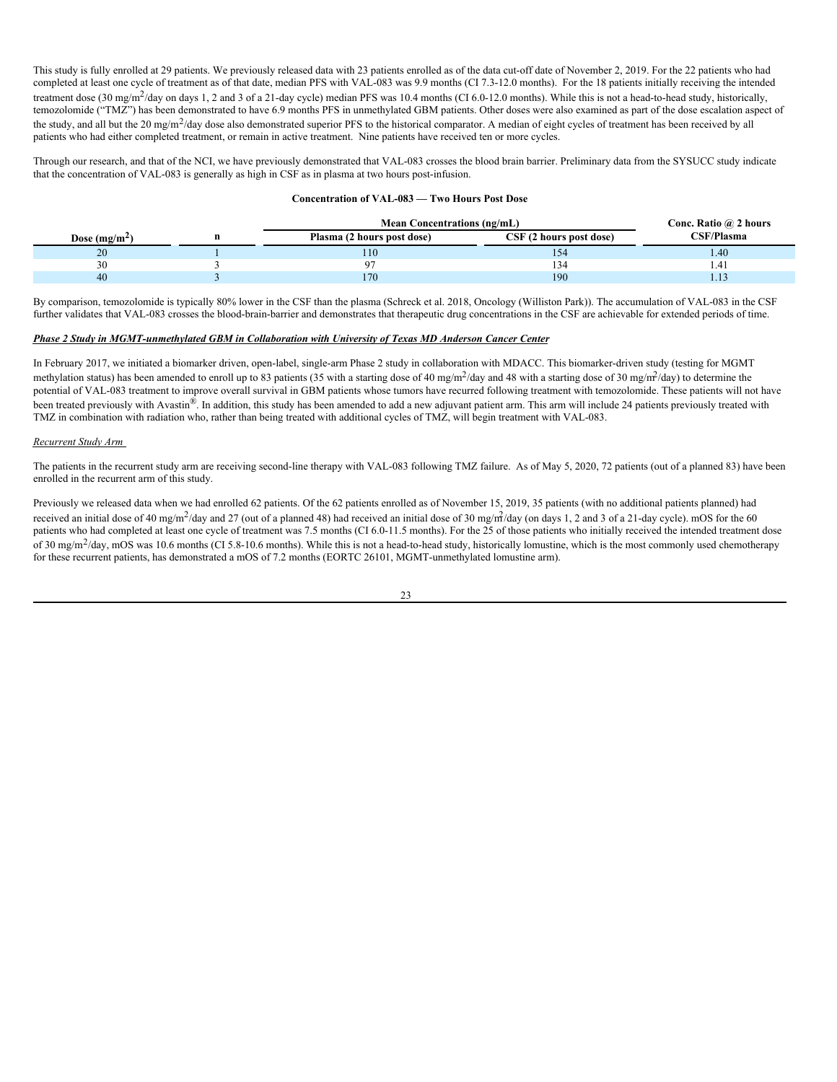This study is fully enrolled at 29 patients. We previously released data with 23 patients enrolled as of the data cut-off date of November 2, 2019. For the 22 patients who had completed at least one cycle of treatment as of that date, median PFS with VAL-083 was 9.9 months (CI 7.3-12.0 months). For the 18 patients initially receiving the intended treatment dose (30 mg/m<sup>2</sup>/day on days 1, 2 and 3 of a 21-day cycle) median PFS was 10.4 months (CI 6.0-12.0 months). While this is not a head-to-head study, historically, temozolomide ("TMZ") has been demonstrated to have 6.9 months PFS in unmethylated GBM patients. Other doses were also examined as part of the dose escalation aspect of the study, and all but the 20 mg/m<sup>2</sup>/day dose also demonstrated superior PFS to the historical comparator. A median of eight cycles of treatment has been received by all patients who had either completed treatment, or remain in active treatment. Nine patients have received ten or more cycles.

Through our research, and that of the NCI, we have previously demonstrated that VAL-083 crosses the blood brain barrier. Preliminary data from the SYSUCC study indicate that the concentration of VAL-083 is generally as high in CSF as in plasma at two hours post-infusion.

### **Concentration of VAL-083 — Two Hours Post Dose**

|                 | <b>Mean Concentrations (ng/mL)</b> |                         | Conc. Ratio @ 2 hours |
|-----------------|------------------------------------|-------------------------|-----------------------|
| Dose $(mg/m^2)$ | Plasma (2 hours post dose)         | CSF (2 hours post dose) | CSF/Plasma            |
| 20              | 110                                | 154                     | 1.40                  |
| 30              |                                    | 154                     | 1.41                  |
| 40              | 170                                | 190                     |                       |

By comparison, temozolomide is typically 80% lower in the CSF than the plasma (Schreck et al. 2018, Oncology (Williston Park)). The accumulation of VAL-083 in the CSF further validates that VAL-083 crosses the blood-brain-barrier and demonstrates that therapeutic drug concentrations in the CSF are achievable for extended periods of time.

### *Phase 2 Study in MGMT-unmethylated GBM in Collaboration with University of Texas MD Anderson Cancer Center*

In February 2017, we initiated a biomarker driven, open-label, single-arm Phase 2 study in collaboration with MDACC. This biomarker-driven study (testing for MGMT methylation status) has been amended to enroll up to 83 patients (35 with a starting dose of 40 mg/m<sup>2</sup>/day and 48 with a starting dose of 30 mg/m<sup>2</sup>/day) to determine the potential of VAL-083 treatment to improve overall survival in GBM patients whose tumors have recurred following treatment with temozolomide. These patients will not have been treated previously with Avastin®. In addition, this study has been amended to add a new adjuvant patient arm. This arm will include 24 patients previously treated with TMZ in combination with radiation who, rather than being treated with additional cycles of TMZ, will begin treatment with VAL-083.

### *Recurrent Study Arm*

The patients in the recurrent study arm are receiving second-line therapy with VAL-083 following TMZ failure. As of May 5, 2020, 72 patients (out of a planned 83) have been enrolled in the recurrent arm of this study.

Previously we released data when we had enrolled 62 patients. Of the 62 patients enrolled as of November 15, 2019, 35 patients (with no additional patients planned) had received an initial dose of 40 mg/m<sup>2</sup>/day and 27 (out of a planned 48) had received an initial dose of 30 mg/m<sup>2</sup>/day (on days 1, 2 and 3 of a 21-day cycle). mOS for the 60 patients who had completed at least one cycle of treatment was 7.5 months (CI 6.0-11.5 months). For the 25 of those patients who initially received the intended treatment dose of 30 mg/m<sup>2</sup>/day, mOS was 10.6 months (CI 5.8-10.6 months). While this is not a head-to-head study, historically lomustine, which is the most commonly used chemotherapy for these recurrent patients, has demonstrated a mOS of 7.2 months (EORTC 26101, MGMT-unmethylated lomustine arm).

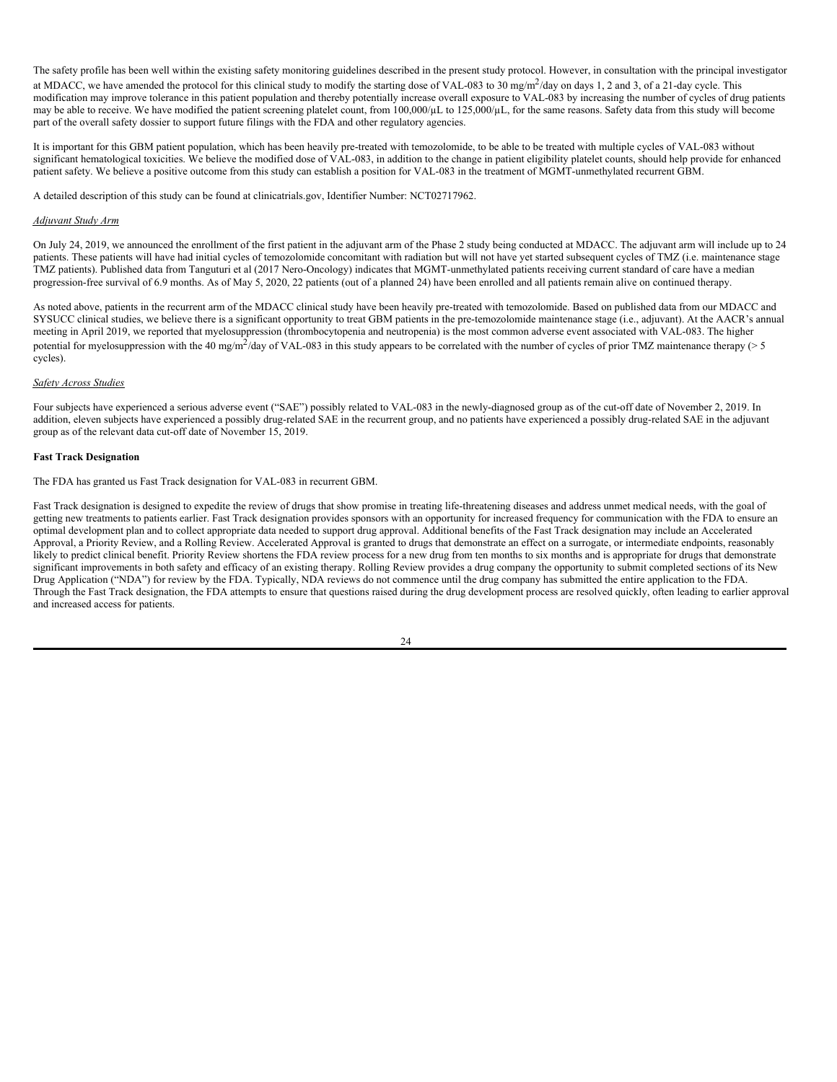The safety profile has been well within the existing safety monitoring guidelines described in the present study protocol. However, in consultation with the principal investigator at MDACC, we have amended the protocol for this clinical study to modify the starting dose of VAL-083 to 30 mg/m<sup>2</sup>/day on days 1, 2 and 3, of a 21-day cycle. This modification may improve tolerance in this patient population and thereby potentially increase overall exposure to VAL-083 by increasing the number of cycles of drug patients may be able to receive. We have modified the patient screening platelet count, from 100,000/µL to 125,000/µL, for the same reasons. Safety data from this study will become part of the overall safety dossier to support future filings with the FDA and other regulatory agencies.

It is important for this GBM patient population, which has been heavily pre-treated with temozolomide, to be able to be treated with multiple cycles of VAL-083 without significant hematological toxicities. We believe the modified dose of VAL-083, in addition to the change in patient eligibility platelet counts, should help provide for enhanced patient safety. We believe a positive outcome from this study can establish a position for VAL-083 in the treatment of MGMT-unmethylated recurrent GBM.

A detailed description of this study can be found at clinicatrials.gov, Identifier Number: NCT02717962.

#### *Adjuvant Study Arm*

On July 24, 2019, we announced the enrollment of the first patient in the adjuvant arm of the Phase 2 study being conducted at MDACC. The adjuvant arm will include up to 24 patients. These patients will have had initial cycles of temozolomide concomitant with radiation but will not have yet started subsequent cycles of TMZ (i.e. maintenance stage TMZ patients). Published data from Tanguturi et al (2017 Nero-Oncology) indicates that MGMT-unmethylated patients receiving current standard of care have a median progression-free survival of 6.9 months. As of May 5, 2020, 22 patients (out of a planned 24) have been enrolled and all patients remain alive on continued therapy.

As noted above, patients in the recurrent arm of the MDACC clinical study have been heavily pre-treated with temozolomide. Based on published data from our MDACC and SYSUCC clinical studies, we believe there is a significant opportunity to treat GBM patients in the pre-temozolomide maintenance stage (i.e., adjuvant). At the AACR's annual meeting in April 2019, we reported that myelosuppression (thrombocytopenia and neutropenia) is the most common adverse event associated with VAL-083. The higher potential for myelosuppression with the 40 mg/m<sup>2</sup>/day of VAL-083 in this study appears to be correlated with the number of cycles of prior TMZ maintenance therapy (> 5 cycles).

### *Safety Across Studies*

Four subjects have experienced a serious adverse event ("SAE") possibly related to VAL-083 in the newly-diagnosed group as of the cut-off date of November 2, 2019. In addition, eleven subjects have experienced a possibly drug-related SAE in the recurrent group, and no patients have experienced a possibly drug-related SAE in the adjuvant group as of the relevant data cut-off date of November 15, 2019.

### **Fast Track Designation**

The FDA has granted us Fast Track designation for VAL-083 in recurrent GBM.

Fast Track designation is designed to expedite the review of drugs that show promise in treating life-threatening diseases and address unmet medical needs, with the goal of getting new treatments to patients earlier. Fast Track designation provides sponsors with an opportunity for increased frequency for communication with the FDA to ensure an optimal development plan and to collect appropriate data needed to support drug approval. Additional benefits of the Fast Track designation may include an Accelerated Approval, a Priority Review, and a Rolling Review. Accelerated Approval is granted to drugs that demonstrate an effect on a surrogate, or intermediate endpoints, reasonably likely to predict clinical benefit. Priority Review shortens the FDA review process for a new drug from ten months to six months and is appropriate for drugs that demonstrate significant improvements in both safety and efficacy of an existing therapy. Rolling Review provides a drug company the opportunity to submit completed sections of its New Drug Application ("NDA") for review by the FDA. Typically, NDA reviews do not commence until the drug company has submitted the entire application to the FDA. Through the Fast Track designation, the FDA attempts to ensure that questions raised during the drug development process are resolved quickly, often leading to earlier approval and increased access for patients.

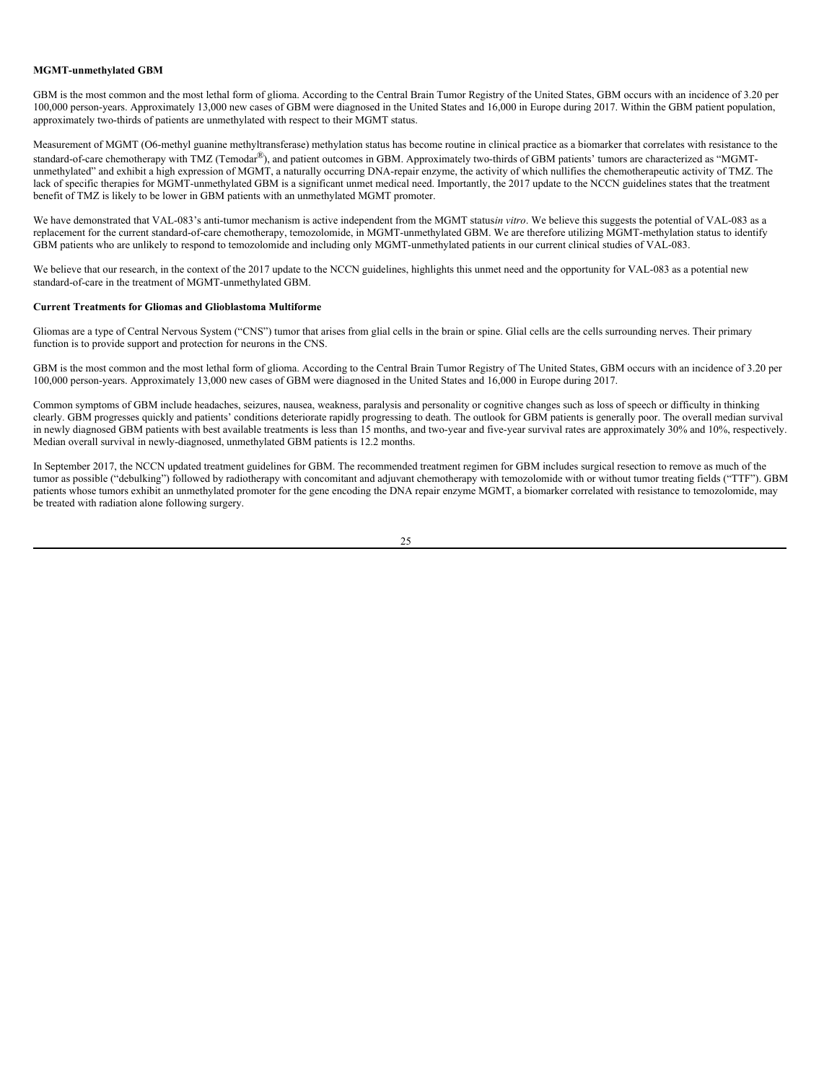#### **MGMT-unmethylated GBM**

GBM is the most common and the most lethal form of glioma. According to the Central Brain Tumor Registry of the United States, GBM occurs with an incidence of 3.20 per 100,000 person-years. Approximately 13,000 new cases of GBM were diagnosed in the United States and 16,000 in Europe during 2017. Within the GBM patient population, approximately two-thirds of patients are unmethylated with respect to their MGMT status.

Measurement of MGMT (O6-methyl guanine methyltransferase) methylation status has become routine in clinical practice as a biomarker that correlates with resistance to the standard-of-care chemotherapy with TMZ (Temodar®), and patient outcomes in GBM. Approximately two-thirds of GBM patients' tumors are characterized as "MGMTunmethylated" and exhibit a high expression of MGMT, a naturally occurring DNA-repair enzyme, the activity of which nullifies the chemotherapeutic activity of TMZ. The lack of specific therapies for MGMT-unmethylated GBM is a significant unmet medical need. Importantly, the 2017 update to the NCCN guidelines states that the treatment benefit of TMZ is likely to be lower in GBM patients with an unmethylated MGMT promoter.

We have demonstrated that VAL-083's anti-tumor mechanism is active independent from the MGMT status*in vitro*. We believe this suggests the potential of VAL-083 as a replacement for the current standard-of-care chemotherapy, temozolomide, in MGMT-unmethylated GBM. We are therefore utilizing MGMT-methylation status to identify GBM patients who are unlikely to respond to temozolomide and including only MGMT-unmethylated patients in our current clinical studies of VAL-083.

We believe that our research, in the context of the 2017 update to the NCCN guidelines, highlights this unmet need and the opportunity for VAL-083 as a potential new standard-of-care in the treatment of MGMT-unmethylated GBM.

### **Current Treatments for Gliomas and Glioblastoma Multiforme**

Gliomas are a type of Central Nervous System ("CNS") tumor that arises from glial cells in the brain or spine. Glial cells are the cells surrounding nerves. Their primary function is to provide support and protection for neurons in the CNS.

GBM is the most common and the most lethal form of glioma. According to the Central Brain Tumor Registry of The United States, GBM occurs with an incidence of 3.20 per 100,000 person-years. Approximately 13,000 new cases of GBM were diagnosed in the United States and 16,000 in Europe during 2017.

Common symptoms of GBM include headaches, seizures, nausea, weakness, paralysis and personality or cognitive changes such as loss of speech or difficulty in thinking clearly. GBM progresses quickly and patients' conditions deteriorate rapidly progressing to death. The outlook for GBM patients is generally poor. The overall median survival in newly diagnosed GBM patients with best available treatments is less than 15 months, and two-year and five-year survival rates are approximately 30% and 10%, respectively. Median overall survival in newly-diagnosed, unmethylated GBM patients is 12.2 months.

In September 2017, the NCCN updated treatment guidelines for GBM. The recommended treatment regimen for GBM includes surgical resection to remove as much of the tumor as possible ("debulking") followed by radiotherapy with concomitant and adjuvant chemotherapy with temozolomide with or without tumor treating fields ("TTF"). GBM patients whose tumors exhibit an unmethylated promoter for the gene encoding the DNA repair enzyme MGMT, a biomarker correlated with resistance to temozolomide, may be treated with radiation alone following surgery.

| ×,<br>I | ۰. |  |
|---------|----|--|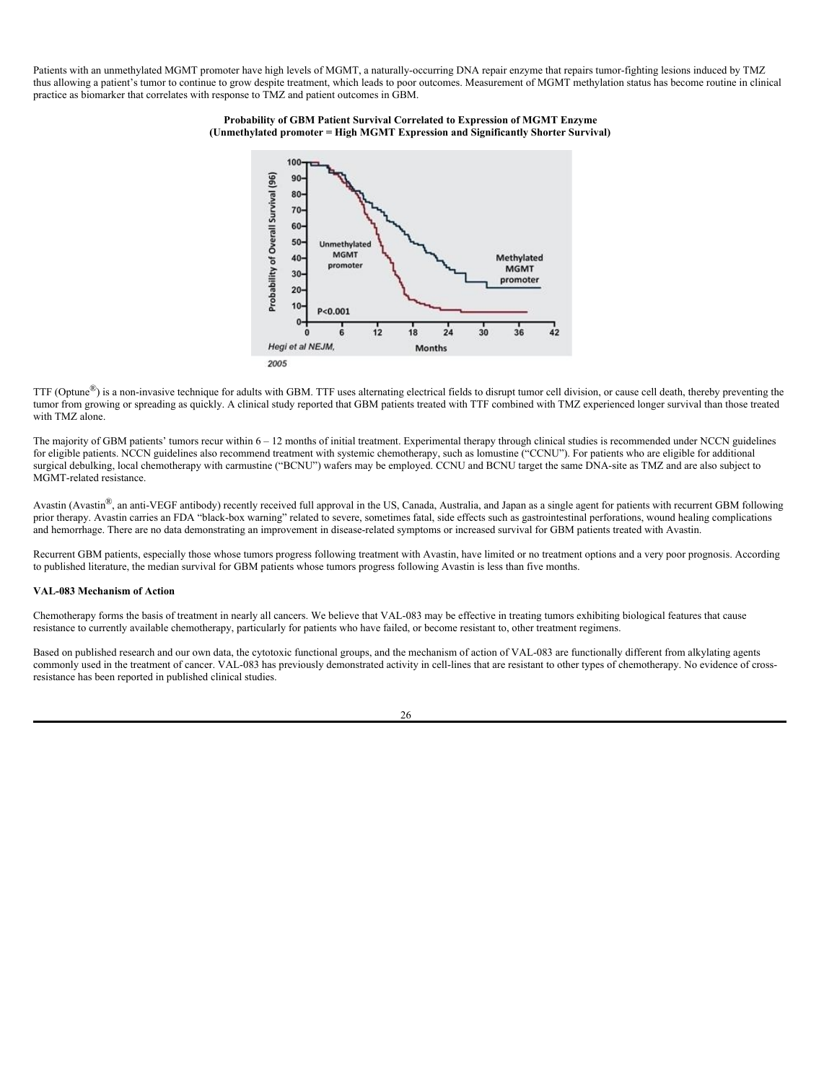Patients with an unmethylated MGMT promoter have high levels of MGMT, a naturally-occurring DNA repair enzyme that repairs tumor-fighting lesions induced by TMZ thus allowing a patient's tumor to continue to grow despite treatment, which leads to poor outcomes. Measurement of MGMT methylation status has become routine in clinical practice as biomarker that correlates with response to TMZ and patient outcomes in GBM.



### **Probability of GBM Patient Survival Correlated to Expression of MGMT Enzyme (Unmethylated promoter = High MGMT Expression and Significantly Shorter Survival)**

TTF (Optune<sup>®</sup>) is a non-invasive technique for adults with GBM. TTF uses alternating electrical fields to disrupt tumor cell division, or cause cell death, thereby preventing the tumor from growing or spreading as quickly. A clinical study reported that GBM patients treated with TTF combined with TMZ experienced longer survival than those treated with TMZ alone.

The majority of GBM patients' tumors recur within  $6 - 12$  months of initial treatment. Experimental therapy through clinical studies is recommended under NCCN guidelines for eligible patients. NCCN guidelines also recommend treatment with systemic chemotherapy, such as lomustine ("CCNU"). For patients who are eligible for additional surgical debulking, local chemotherapy with carmustine ("BCNU") wafers may be employed. CCNU and BCNU target the same DNA-site as TMZ and are also subject to MGMT-related resistance.

Avastin (Avastin<sup>®</sup>, an anti-VEGF antibody) recently received full approval in the US, Canada, Australia, and Japan as a single agent for patients with recurrent GBM following prior therapy. Avastin carries an FDA "black-box warning" related to severe, sometimes fatal, side effects such as gastrointestinal perforations, wound healing complications and hemorrhage. There are no data demonstrating an improvement in disease-related symptoms or increased survival for GBM patients treated with Avastin.

Recurrent GBM patients, especially those whose tumors progress following treatment with Avastin, have limited or no treatment options and a very poor prognosis. According to published literature, the median survival for GBM patients whose tumors progress following Avastin is less than five months.

### **VAL-083 Mechanism of Action**

Chemotherapy forms the basis of treatment in nearly all cancers. We believe that VAL-083 may be effective in treating tumors exhibiting biological features that cause resistance to currently available chemotherapy, particularly for patients who have failed, or become resistant to, other treatment regimens.

Based on published research and our own data, the cytotoxic functional groups, and the mechanism of action of VAL-083 are functionally different from alkylating agents commonly used in the treatment of cancer. VAL-083 has previously demonstrated activity in cell-lines that are resistant to other types of chemotherapy. No evidence of crossresistance has been reported in published clinical studies.

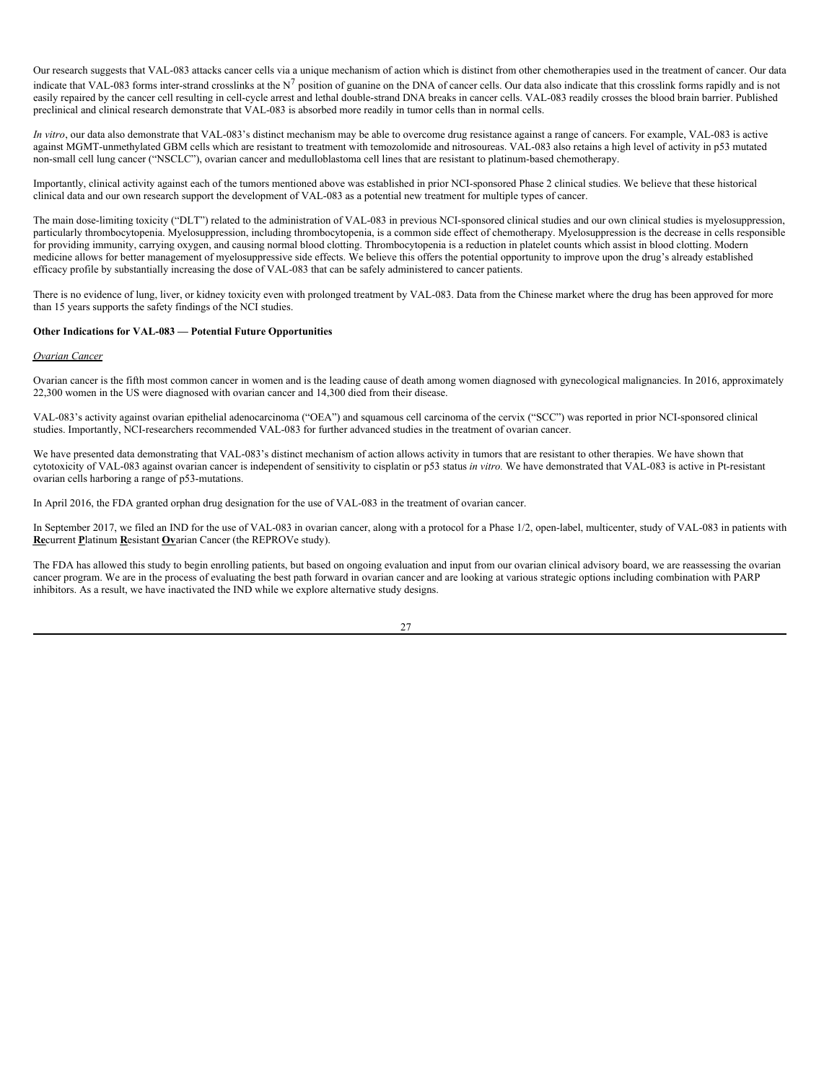Our research suggests that VAL-083 attacks cancer cells via a unique mechanism of action which is distinct from other chemotherapies used in the treatment of cancer. Our data indicate that VAL-083 forms inter-strand crosslinks at the  $N^7$  position of guanine on the DNA of cancer cells. Our data also indicate that this crosslink forms rapidly and is not easily repaired by the cancer cell resulting in cell-cycle arrest and lethal double-strand DNA breaks in cancer cells. VAL-083 readily crosses the blood brain barrier. Published preclinical and clinical research demonstrate that VAL-083 is absorbed more readily in tumor cells than in normal cells.

*In vitro*, our data also demonstrate that VAL-083's distinct mechanism may be able to overcome drug resistance against a range of cancers. For example, VAL-083 is active against MGMT-unmethylated GBM cells which are resistant to treatment with temozolomide and nitrosoureas. VAL-083 also retains a high level of activity in p53 mutated non-small cell lung cancer ("NSCLC"), ovarian cancer and medulloblastoma cell lines that are resistant to platinum-based chemotherapy.

Importantly, clinical activity against each of the tumors mentioned above was established in prior NCI-sponsored Phase 2 clinical studies. We believe that these historical clinical data and our own research support the development of VAL-083 as a potential new treatment for multiple types of cancer.

The main dose-limiting toxicity ("DLT") related to the administration of VAL-083 in previous NCI-sponsored clinical studies and our own clinical studies is myelosuppression, particularly thrombocytopenia. Myelosuppression, including thrombocytopenia, is a common side effect of chemotherapy. Myelosuppression is the decrease in cells responsible for providing immunity, carrying oxygen, and causing normal blood clotting. Thrombocytopenia is a reduction in platelet counts which assist in blood clotting. Modern medicine allows for better management of myelosuppressive side effects. We believe this offers the potential opportunity to improve upon the drug's already established efficacy profile by substantially increasing the dose of VAL-083 that can be safely administered to cancer patients.

There is no evidence of lung, liver, or kidney toxicity even with prolonged treatment by VAL-083. Data from the Chinese market where the drug has been approved for more than 15 years supports the safety findings of the NCI studies.

### **Other Indications for VAL-083 — Potential Future Opportunities**

### *Ovarian Cancer*

Ovarian cancer is the fifth most common cancer in women and is the leading cause of death among women diagnosed with gynecological malignancies. In 2016, approximately 22,300 women in the US were diagnosed with ovarian cancer and 14,300 died from their disease.

VAL-083's activity against ovarian epithelial adenocarcinoma ("OEA") and squamous cell carcinoma of the cervix ("SCC") was reported in prior NCI-sponsored clinical studies. Importantly, NCI-researchers recommended VAL-083 for further advanced studies in the treatment of ovarian cancer.

We have presented data demonstrating that VAL-083's distinct mechanism of action allows activity in tumors that are resistant to other therapies. We have shown that cytotoxicity of VAL-083 against ovarian cancer is independent of sensitivity to cisplatin or p53 status *in vitro.* We have demonstrated that VAL-083 is active in Pt-resistant ovarian cells harboring a range of p53-mutations.

In April 2016, the FDA granted orphan drug designation for the use of VAL-083 in the treatment of ovarian cancer.

In September 2017, we filed an IND for the use of VAL-083 in ovarian cancer, along with a protocol for a Phase 1/2, open-label, multicenter, study of VAL-083 in patients with **Re**current **P**latinum **R**esistant **Ov**arian Cancer (the REPROVe study).

The FDA has allowed this study to begin enrolling patients, but based on ongoing evaluation and input from our ovarian clinical advisory board, we are reassessing the ovarian cancer program. We are in the process of evaluating the best path forward in ovarian cancer and are looking at various strategic options including combination with PARP inhibitors. As a result, we have inactivated the IND while we explore alternative study designs.

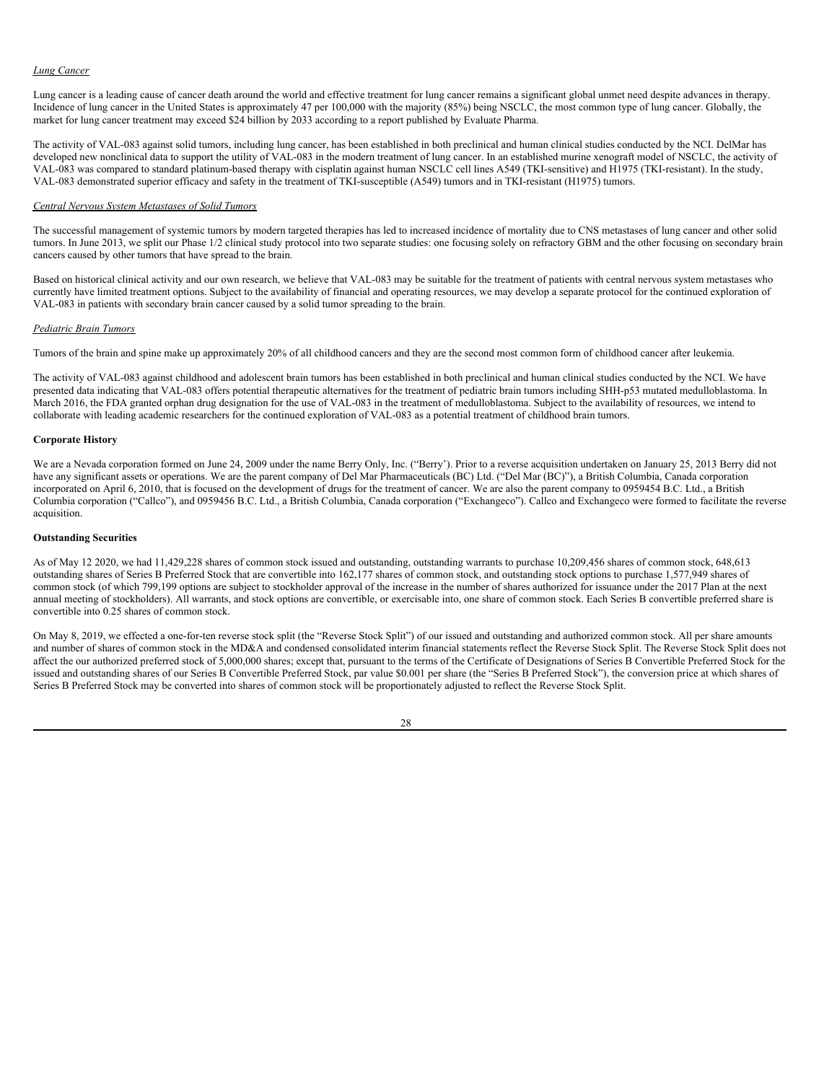### *Lung Cancer*

Lung cancer is a leading cause of cancer death around the world and effective treatment for lung cancer remains a significant global unmet need despite advances in therapy. Incidence of lung cancer in the United States is approximately 47 per 100,000 with the majority (85%) being NSCLC, the most common type of lung cancer. Globally, the market for lung cancer treatment may exceed \$24 billion by 2033 according to a report published by Evaluate Pharma.

The activity of VAL-083 against solid tumors, including lung cancer, has been established in both preclinical and human clinical studies conducted by the NCI. DelMar has developed new nonclinical data to support the utility of VAL-083 in the modern treatment of lung cancer. In an established murine xenograft model of NSCLC, the activity of VAL-083 was compared to standard platinum-based therapy with cisplatin against human NSCLC cell lines A549 (TKI-sensitive) and H1975 (TKI-resistant). In the study, VAL-083 demonstrated superior efficacy and safety in the treatment of TKI-susceptible (A549) tumors and in TKI-resistant (H1975) tumors.

### *Central Nervous System Metastases of Solid Tumors*

The successful management of systemic tumors by modern targeted therapies has led to increased incidence of mortality due to CNS metastases of lung cancer and other solid tumors. In June 2013, we split our Phase 1/2 clinical study protocol into two separate studies: one focusing solely on refractory GBM and the other focusing on secondary brain cancers caused by other tumors that have spread to the brain.

Based on historical clinical activity and our own research, we believe that VAL-083 may be suitable for the treatment of patients with central nervous system metastases who currently have limited treatment options. Subject to the availability of financial and operating resources, we may develop a separate protocol for the continued exploration of VAL-083 in patients with secondary brain cancer caused by a solid tumor spreading to the brain.

### *Pediatric Brain Tumors*

Tumors of the brain and spine make up approximately 20% of all childhood cancers and they are the second most common form of childhood cancer after leukemia.

The activity of VAL-083 against childhood and adolescent brain tumors has been established in both preclinical and human clinical studies conducted by the NCI. We have presented data indicating that VAL-083 offers potential therapeutic alternatives for the treatment of pediatric brain tumors including SHH-p53 mutated medulloblastoma. In March 2016, the FDA granted orphan drug designation for the use of VAL-083 in the treatment of medulloblastoma. Subject to the availability of resources, we intend to collaborate with leading academic researchers for the continued exploration of VAL-083 as a potential treatment of childhood brain tumors.

#### **Corporate History**

We are a Nevada corporation formed on June 24, 2009 under the name Berry Only, Inc. ("Berry'). Prior to a reverse acquisition undertaken on January 25, 2013 Berry did not have any significant assets or operations. We are the parent company of Del Mar Pharmaceuticals (BC) Ltd. ("Del Mar (BC)"), a British Columbia, Canada corporation incorporated on April 6, 2010, that is focused on the development of drugs for the treatment of cancer. We are also the parent company to 0959454 B.C. Ltd., a British Columbia corporation ("Callco"), and 0959456 B.C. Ltd., a British Columbia, Canada corporation ("Exchangeco"). Callco and Exchangeco were formed to facilitate the reverse acquisition.

#### **Outstanding Securities**

As of May 12 2020, we had 11,429,228 shares of common stock issued and outstanding, outstanding warrants to purchase 10,209,456 shares of common stock, 648,613 outstanding shares of Series B Preferred Stock that are convertible into 162,177 shares of common stock, and outstanding stock options to purchase 1,577,949 shares of common stock (of which 799,199 options are subject to stockholder approval of the increase in the number of shares authorized for issuance under the 2017 Plan at the next annual meeting of stockholders). All warrants, and stock options are convertible, or exercisable into, one share of common stock. Each Series B convertible preferred share is convertible into 0.25 shares of common stock.

On May 8, 2019, we effected a one-for-ten reverse stock split (the "Reverse Stock Split") of our issued and outstanding and authorized common stock. All per share amounts and number of shares of common stock in the MD&A and condensed consolidated interim financial statements reflect the Reverse Stock Split. The Reverse Stock Split does not affect the our authorized preferred stock of 5,000,000 shares; except that, pursuant to the terms of the Certificate of Designations of Series B Convertible Preferred Stock for the issued and outstanding shares of our Series B Convertible Preferred Stock, par value \$0.001 per share (the "Series B Preferred Stock"), the conversion price at which shares of Series B Preferred Stock may be converted into shares of common stock will be proportionately adjusted to reflect the Reverse Stock Split.

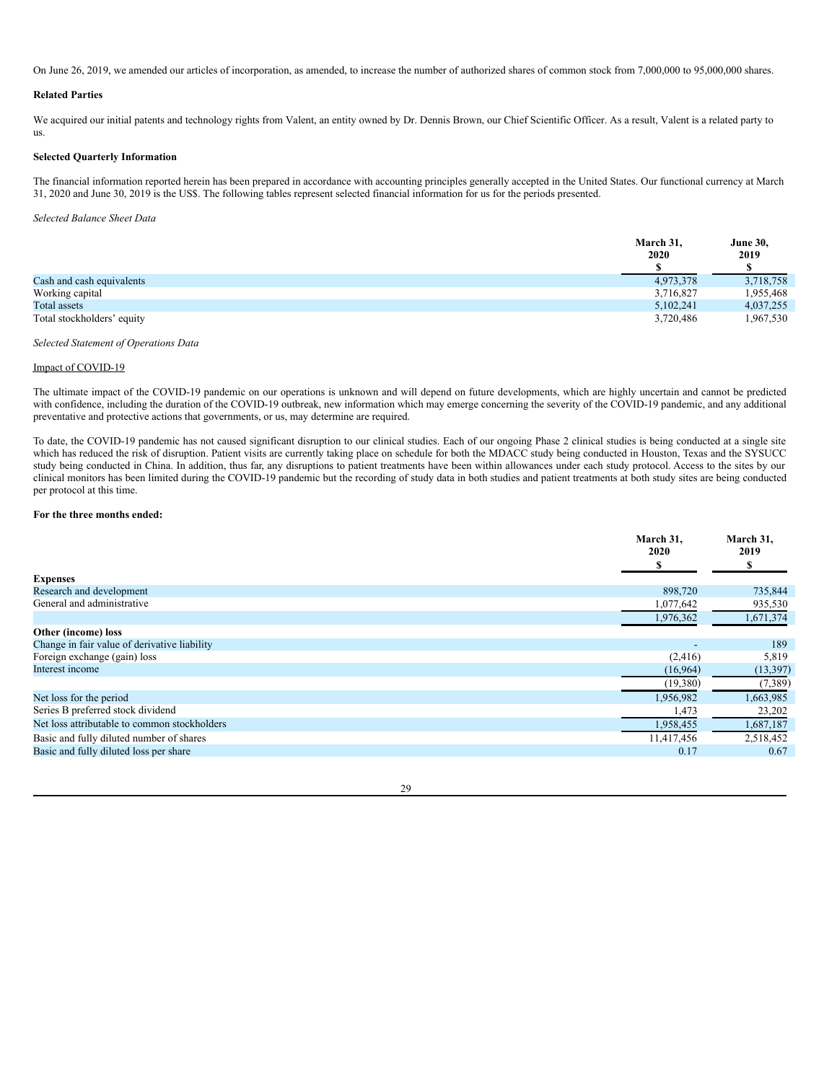On June 26, 2019, we amended our articles of incorporation, as amended, to increase the number of authorized shares of common stock from 7,000,000 to 95,000,000 shares.

### **Related Parties**

We acquired our initial patents and technology rights from Valent, an entity owned by Dr. Dennis Brown, our Chief Scientific Officer. As a result, Valent is a related party to us.

### **Selected Quarterly Information**

The financial information reported herein has been prepared in accordance with accounting principles generally accepted in the United States. Our functional currency at March 31, 2020 and June 30, 2019 is the US\$. The following tables represent selected financial information for us for the periods presented.

*Selected Balance Sheet Data*

|                            | March 31,<br>2020 | <b>June 30,</b><br>2019 |
|----------------------------|-------------------|-------------------------|
| Cash and cash equivalents  | 4,973,378         | 3,718,758               |
| Working capital            | 3,716,827         | .955,468                |
| Total assets               | 5,102,241         | 4,037,255               |
| Total stockholders' equity | 3,720,486         | 967,530                 |

#### *Selected Statement of Operations Data*

### Impact of COVID-19

The ultimate impact of the COVID-19 pandemic on our operations is unknown and will depend on future developments, which are highly uncertain and cannot be predicted with confidence, including the duration of the COVID-19 outbreak, new information which may emerge concerning the severity of the COVID-19 pandemic, and any additional preventative and protective actions that governments, or us, may determine are required.

To date, the COVID-19 pandemic has not caused significant disruption to our clinical studies. Each of our ongoing Phase 2 clinical studies is being conducted at a single site which has reduced the risk of disruption. Patient visits are currently taking place on schedule for both the MDACC study being conducted in Houston, Texas and the SYSUCC study being conducted in China. In addition, thus far, any disruptions to patient treatments have been within allowances under each study protocol. Access to the sites by our clinical monitors has been limited during the COVID-19 pandemic but the recording of study data in both studies and patient treatments at both study sites are being conducted per protocol at this time.

#### **For the three months ended:**

|                                              | March 31,<br>2020 | March 31,<br>2019 |
|----------------------------------------------|-------------------|-------------------|
|                                              |                   |                   |
| <b>Expenses</b>                              |                   |                   |
| Research and development                     | 898,720           | 735,844           |
| General and administrative                   | 1,077,642         | 935,530           |
|                                              | 1,976,362         | 1,671,374         |
| Other (income) loss                          |                   |                   |
| Change in fair value of derivative liability |                   | 189               |
| Foreign exchange (gain) loss                 | (2, 416)          | 5,819             |
| Interest income                              | (16,964)          | (13, 397)         |
|                                              | (19,380)          | (7,389)           |
| Net loss for the period                      | 1,956,982         | 1,663,985         |
| Series B preferred stock dividend            | 1,473             | 23,202            |
| Net loss attributable to common stockholders | 1,958,455         | 1,687,187         |
| Basic and fully diluted number of shares     | 11,417,456        | 2,518,452         |
| Basic and fully diluted loss per share       | 0.17              | 0.67              |
|                                              |                   |                   |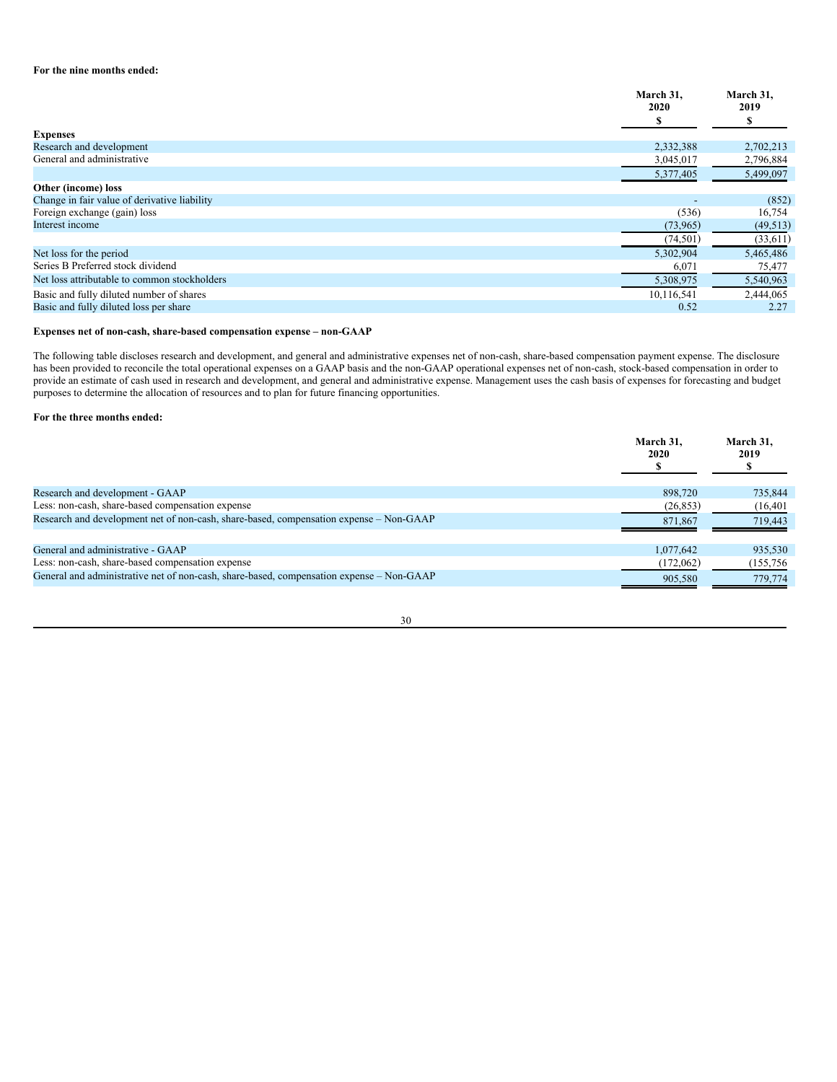## **For the nine months ended:**

|                                              | March 31,<br>2020 | March 31,<br>2019<br>S |
|----------------------------------------------|-------------------|------------------------|
| <b>Expenses</b>                              |                   |                        |
| Research and development                     | 2,332,388         | 2,702,213              |
| General and administrative                   | 3,045,017         | 2,796,884              |
|                                              | 5,377,405         | 5,499,097              |
| Other (income) loss                          |                   |                        |
| Change in fair value of derivative liability |                   | (852)                  |
| Foreign exchange (gain) loss                 | (536)             | 16,754                 |
| Interest income                              | (73,965)          | (49, 513)              |
|                                              | (74, 501)         | (33,611)               |
| Net loss for the period                      | 5,302,904         | 5,465,486              |
| Series B Preferred stock dividend            | 6,071             | 75,477                 |
| Net loss attributable to common stockholders | 5,308,975         | 5,540,963              |
| Basic and fully diluted number of shares     | 10,116,541        | 2,444,065              |
| Basic and fully diluted loss per share       | 0.52              | 2.27                   |

## **Expenses net of non-cash, share-based compensation expense – non-GAAP**

The following table discloses research and development, and general and administrative expenses net of non-cash, share-based compensation payment expense. The disclosure has been provided to reconcile the total operational expenses on a GAAP basis and the non-GAAP operational expenses net of non-cash, stock-based compensation in order to provide an estimate of cash used in research and development, and general and administrative expense. Management uses the cash basis of expenses for forecasting and budget purposes to determine the allocation of resources and to plan for future financing opportunities.

### **For the three months ended:**

| March 31.<br>2020                                                                                   | March 31,<br>2019 |
|-----------------------------------------------------------------------------------------------------|-------------------|
| Research and development - GAAP<br>898,720                                                          | 735,844           |
| Less: non-cash, share-based compensation expense<br>(26, 853)                                       | (16, 401)         |
| Research and development net of non-cash, share-based, compensation expense – Non-GAAP<br>871,867   | 719,443           |
|                                                                                                     |                   |
| General and administrative - GAAP<br>1.077.642                                                      | 935,530           |
| Less: non-cash, share-based compensation expense<br>(172,062)                                       | (155, 756)        |
| General and administrative net of non-cash, share-based, compensation expense – Non-GAAP<br>905,580 | 779,774           |

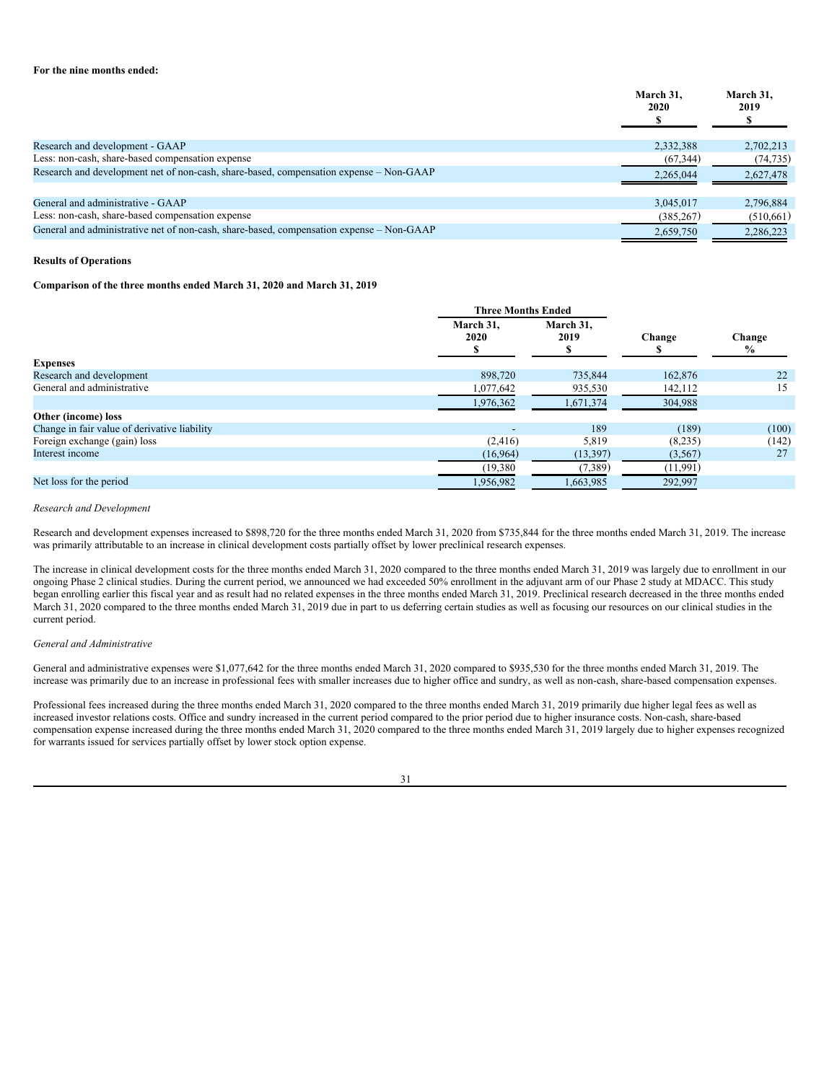|                                                                                          | March 31.<br>2020 | March 31,<br>2019 |
|------------------------------------------------------------------------------------------|-------------------|-------------------|
| Research and development - GAAP                                                          | 2.332.388         | 2,702,213         |
| Less: non-cash, share-based compensation expense                                         | (67, 344)         | (74, 735)         |
| Research and development net of non-cash, share-based, compensation expense – Non-GAAP   | 2.265,044         | 2,627,478         |
|                                                                                          |                   |                   |
| General and administrative - GAAP                                                        | 3.045.017         | 2,796,884         |
| Less: non-cash, share-based compensation expense                                         | (385, 267)        | (510, 661)        |
| General and administrative net of non-cash, share-based, compensation expense – Non-GAAP | 2,659,750         | 2,286,223         |
|                                                                                          |                   |                   |

### **Results of Operations**

### **Comparison of the three months ended March 31, 2020 and March 31, 2019**

|                                              | <b>Three Months Ended</b> |                   |          |                |
|----------------------------------------------|---------------------------|-------------------|----------|----------------|
|                                              | March 31,<br>2020         | March 31.<br>2019 | Change   | Change<br>$\%$ |
| <b>Expenses</b>                              |                           |                   |          |                |
| Research and development                     | 898,720                   | 735.844           | 162,876  | 22             |
| General and administrative                   | 1,077,642                 | 935,530           | 142,112  | 15             |
|                                              | 1,976,362                 | 1,671,374         | 304,988  |                |
| Other (income) loss                          |                           |                   |          |                |
| Change in fair value of derivative liability |                           | 189               | (189)    | (100)          |
| Foreign exchange (gain) loss                 | (2, 416)                  | 5,819             | (8,235)  | (142)          |
| Interest income                              | (16,964)                  | (13,397)          | (3, 567) | 27             |
|                                              | (19,380)                  | (7, 389)          | (11,991) |                |
| Net loss for the period                      | 1,956,982                 | 1,663,985         | 292,997  |                |

#### *Research and Development*

Research and development expenses increased to \$898,720 for the three months ended March 31, 2020 from \$735,844 for the three months ended March 31, 2019. The increase was primarily attributable to an increase in clinical development costs partially offset by lower preclinical research expenses.

The increase in clinical development costs for the three months ended March 31, 2020 compared to the three months ended March 31, 2019 was largely due to enrollment in our ongoing Phase 2 clinical studies. During the current period, we announced we had exceeded 50% enrollment in the adjuvant arm of our Phase 2 study at MDACC. This study began enrolling earlier this fiscal year and as result had no related expenses in the three months ended March 31, 2019. Preclinical research decreased in the three months ended March 31, 2020 compared to the three months ended March 31, 2019 due in part to us deferring certain studies as well as focusing our resources on our clinical studies in the current period.

### *General and Administrative*

General and administrative expenses were \$1,077,642 for the three months ended March 31, 2020 compared to \$935,530 for the three months ended March 31, 2019. The increase was primarily due to an increase in professional fees with smaller increases due to higher office and sundry, as well as non-cash, share-based compensation expenses.

Professional fees increased during the three months ended March 31, 2020 compared to the three months ended March 31, 2019 primarily due higher legal fees as well as increased investor relations costs. Office and sundry increased in the current period compared to the prior period due to higher insurance costs. Non-cash, share-based compensation expense increased during the three months ended March 31, 2020 compared to the three months ended March 31, 2019 largely due to higher expenses recognized for warrants issued for services partially offset by lower stock option expense.

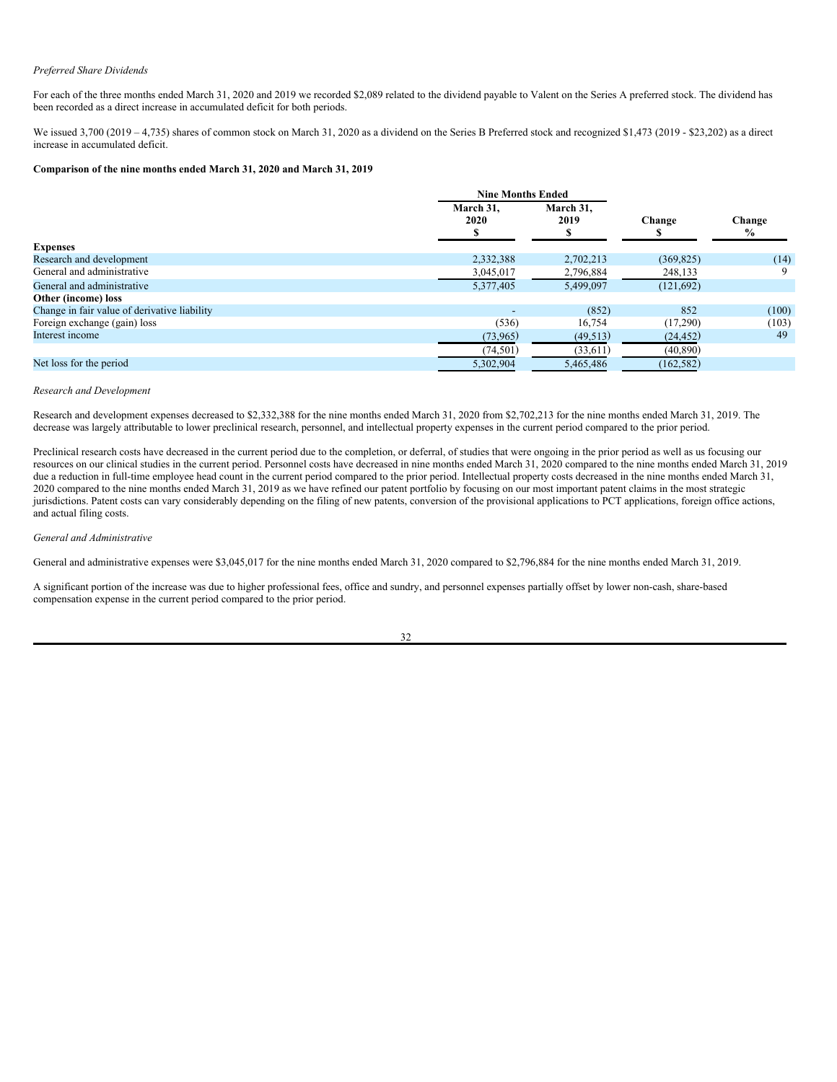#### *Preferred Share Dividends*

For each of the three months ended March 31, 2020 and 2019 we recorded \$2,089 related to the dividend payable to Valent on the Series A preferred stock. The dividend has been recorded as a direct increase in accumulated deficit for both periods.

We issued 3,700 (2019 – 4,735) shares of common stock on March 31, 2020 as a dividend on the Series B Preferred stock and recognized \$1,473 (2019 - \$23,202) as a direct increase in accumulated deficit.

### **Comparison of the nine months ended March 31, 2020 and March 31, 2019**

|                                              | <b>Nine Months Ended</b> |                   |            |                         |
|----------------------------------------------|--------------------------|-------------------|------------|-------------------------|
|                                              | March 31,<br>2020        | March 31,<br>2019 | Change     | Change<br>$\frac{0}{0}$ |
| <b>Expenses</b>                              |                          |                   |            |                         |
| Research and development                     | 2,332,388                | 2.702.213         | (369, 825) | (14)                    |
| General and administrative                   | 3,045,017                | 2,796,884         | 248,133    | 9                       |
| General and administrative                   | 5.377.405                | 5,499,097         | (121,692)  |                         |
| Other (income) loss                          |                          |                   |            |                         |
| Change in fair value of derivative liability |                          | (852)             | 852        | (100)                   |
| Foreign exchange (gain) loss                 | (536)                    | 16,754            | (17,290)   | (103)                   |
| Interest income                              | (73, 965)                | (49, 513)         | (24, 452)  | 49                      |
|                                              | (74, 501)                | (33,611)          | (40, 890)  |                         |
| Net loss for the period                      | 5.302.904                | 5.465.486         | (162, 582) |                         |

#### *Research and Development*

Research and development expenses decreased to \$2,332,388 for the nine months ended March 31, 2020 from \$2,702,213 for the nine months ended March 31, 2019. The decrease was largely attributable to lower preclinical research, personnel, and intellectual property expenses in the current period compared to the prior period.

Preclinical research costs have decreased in the current period due to the completion, or deferral, of studies that were ongoing in the prior period as well as us focusing our resources on our clinical studies in the current period. Personnel costs have decreased in nine months ended March 31, 2020 compared to the nine months ended March 31, 2019 due a reduction in full-time employee head count in the current period compared to the prior period. Intellectual property costs decreased in the nine months ended March 31, 2020 compared to the nine months ended March 31, 2019 as we have refined our patent portfolio by focusing on our most important patent claims in the most strategic jurisdictions. Patent costs can vary considerably depending on the filing of new patents, conversion of the provisional applications to PCT applications, foreign office actions, and actual filing costs.

#### *General and Administrative*

General and administrative expenses were \$3,045,017 for the nine months ended March 31, 2020 compared to \$2,796,884 for the nine months ended March 31, 2019.

A significant portion of the increase was due to higher professional fees, office and sundry, and personnel expenses partially offset by lower non-cash, share-based compensation expense in the current period compared to the prior period.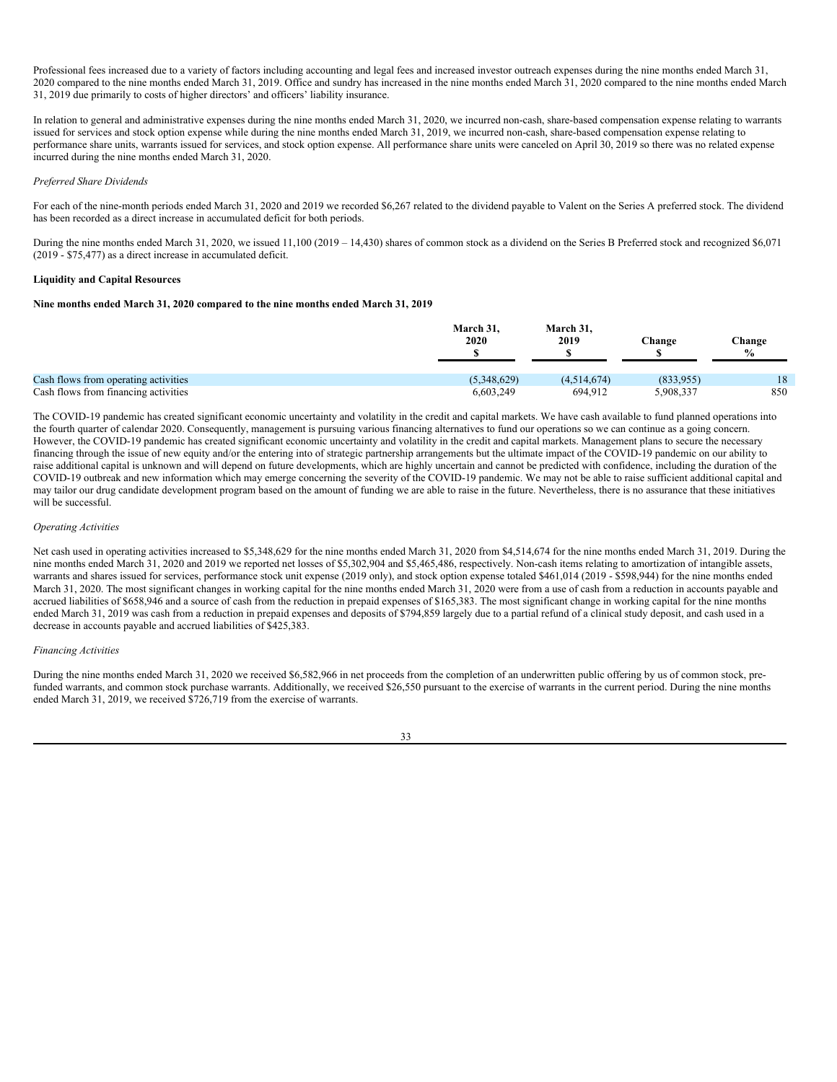Professional fees increased due to a variety of factors including accounting and legal fees and increased investor outreach expenses during the nine months ended March 31, 2020 compared to the nine months ended March 31, 2019. Office and sundry has increased in the nine months ended March 31, 2020 compared to the nine months ended March 31, 2019 due primarily to costs of higher directors' and officers' liability insurance.

In relation to general and administrative expenses during the nine months ended March 31, 2020, we incurred non-cash, share-based compensation expense relating to warrants issued for services and stock option expense while during the nine months ended March 31, 2019, we incurred non-cash, share-based compensation expense relating to performance share units, warrants issued for services, and stock option expense. All performance share units were canceled on April 30, 2019 so there was no related expense incurred during the nine months ended March 31, 2020.

### *Preferred Share Dividends*

For each of the nine-month periods ended March 31, 2020 and 2019 we recorded \$6,267 related to the dividend payable to Valent on the Series A preferred stock. The dividend has been recorded as a direct increase in accumulated deficit for both periods.

During the nine months ended March 31, 2020, we issued 11,100 (2019 – 14,430) shares of common stock as a dividend on the Series B Preferred stock and recognized \$6,071 (2019 - \$75,477) as a direct increase in accumulated deficit.

#### **Liquidity and Capital Resources**

### **Nine months ended March 31, 2020 compared to the nine months ended March 31, 2019**

|                                      | March 31.<br>2020 | March 31.<br>2019 | Change    | Change<br>$\frac{0}{0}$ |
|--------------------------------------|-------------------|-------------------|-----------|-------------------------|
| Cash flows from operating activities | (5,348,629)       | (4,514,674)       | (833.955) | 18                      |
| Cash flows from financing activities | 6,603,249         | 694.912           | 5,908,337 | 850                     |

The COVID-19 pandemic has created significant economic uncertainty and volatility in the credit and capital markets. We have cash available to fund planned operations into the fourth quarter of calendar 2020. Consequently, management is pursuing various financing alternatives to fund our operations so we can continue as a going concern. However, the COVID-19 pandemic has created significant economic uncertainty and volatility in the credit and capital markets. Management plans to secure the necessary financing through the issue of new equity and/or the entering into of strategic partnership arrangements but the ultimate impact of the COVID-19 pandemic on our ability to raise additional capital is unknown and will depend on future developments, which are highly uncertain and cannot be predicted with confidence, including the duration of the COVID-19 outbreak and new information which may emerge concerning the severity of the COVID-19 pandemic. We may not be able to raise sufficient additional capital and may tailor our drug candidate development program based on the amount of funding we are able to raise in the future. Nevertheless, there is no assurance that these initiatives will be successful.

### *Operating Activities*

Net cash used in operating activities increased to \$5,348,629 for the nine months ended March 31, 2020 from \$4,514,674 for the nine months ended March 31, 2019. During the nine months ended March 31, 2020 and 2019 we reported net losses of \$5,302,904 and \$5,465,486, respectively. Non-cash items relating to amortization of intangible assets, warrants and shares issued for services, performance stock unit expense (2019 only), and stock option expense totaled \$461,014 (2019 - \$598,944) for the nine months ended March 31, 2020. The most significant changes in working capital for the nine months ended March 31, 2020 were from a use of cash from a reduction in accounts payable and accrued liabilities of \$658,946 and a source of cash from the reduction in prepaid expenses of \$165,383. The most significant change in working capital for the nine months ended March 31, 2019 was cash from a reduction in prepaid expenses and deposits of \$794,859 largely due to a partial refund of a clinical study deposit, and cash used in a decrease in accounts payable and accrued liabilities of \$425,383.

### *Financing Activities*

During the nine months ended March 31, 2020 we received \$6,582,966 in net proceeds from the completion of an underwritten public offering by us of common stock, prefunded warrants, and common stock purchase warrants. Additionally, we received \$26,550 pursuant to the exercise of warrants in the current period. During the nine months ended March 31, 2019, we received \$726,719 from the exercise of warrants.

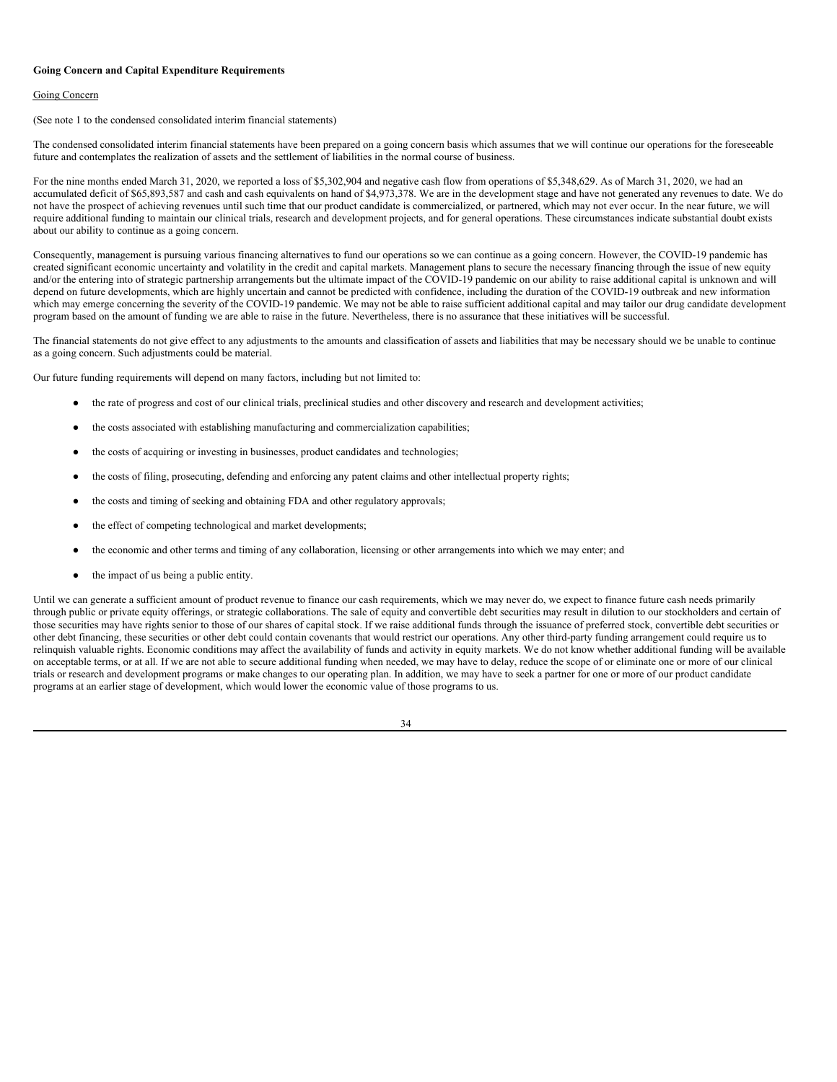### **Going Concern and Capital Expenditure Requirements**

### Going Concern

(See note 1 to the condensed consolidated interim financial statements)

The condensed consolidated interim financial statements have been prepared on a going concern basis which assumes that we will continue our operations for the foreseeable future and contemplates the realization of assets and the settlement of liabilities in the normal course of business.

For the nine months ended March 31, 2020, we reported a loss of \$5,302,904 and negative cash flow from operations of \$5,348,629. As of March 31, 2020, we had an accumulated deficit of \$65,893,587 and cash and cash equivalents on hand of \$4,973,378. We are in the development stage and have not generated any revenues to date. We do not have the prospect of achieving revenues until such time that our product candidate is commercialized, or partnered, which may not ever occur. In the near future, we will require additional funding to maintain our clinical trials, research and development projects, and for general operations. These circumstances indicate substantial doubt exists about our ability to continue as a going concern.

Consequently, management is pursuing various financing alternatives to fund our operations so we can continue as a going concern. However, the COVID-19 pandemic has created significant economic uncertainty and volatility in the credit and capital markets. Management plans to secure the necessary financing through the issue of new equity and/or the entering into of strategic partnership arrangements but the ultimate impact of the COVID-19 pandemic on our ability to raise additional capital is unknown and will depend on future developments, which are highly uncertain and cannot be predicted with confidence, including the duration of the COVID-19 outbreak and new information which may emerge concerning the severity of the COVID-19 pandemic. We may not be able to raise sufficient additional capital and may tailor our drug candidate development program based on the amount of funding we are able to raise in the future. Nevertheless, there is no assurance that these initiatives will be successful.

The financial statements do not give effect to any adjustments to the amounts and classification of assets and liabilities that may be necessary should we be unable to continue as a going concern. Such adjustments could be material.

Our future funding requirements will depend on many factors, including but not limited to:

- the rate of progress and cost of our clinical trials, preclinical studies and other discovery and research and development activities;
- the costs associated with establishing manufacturing and commercialization capabilities;
- the costs of acquiring or investing in businesses, product candidates and technologies;
- the costs of filing, prosecuting, defending and enforcing any patent claims and other intellectual property rights;
- the costs and timing of seeking and obtaining FDA and other regulatory approvals;
- the effect of competing technological and market developments;
- the economic and other terms and timing of any collaboration, licensing or other arrangements into which we may enter; and
- the impact of us being a public entity.

Until we can generate a sufficient amount of product revenue to finance our cash requirements, which we may never do, we expect to finance future cash needs primarily through public or private equity offerings, or strategic collaborations. The sale of equity and convertible debt securities may result in dilution to our stockholders and certain of those securities may have rights senior to those of our shares of capital stock. If we raise additional funds through the issuance of preferred stock, convertible debt securities or other debt financing, these securities or other debt could contain covenants that would restrict our operations. Any other third-party funding arrangement could require us to relinquish valuable rights. Economic conditions may affect the availability of funds and activity in equity markets. We do not know whether additional funding will be available on acceptable terms, or at all. If we are not able to secure additional funding when needed, we may have to delay, reduce the scope of or eliminate one or more of our clinical trials or research and development programs or make changes to our operating plan. In addition, we may have to seek a partner for one or more of our product candidate programs at an earlier stage of development, which would lower the economic value of those programs to us.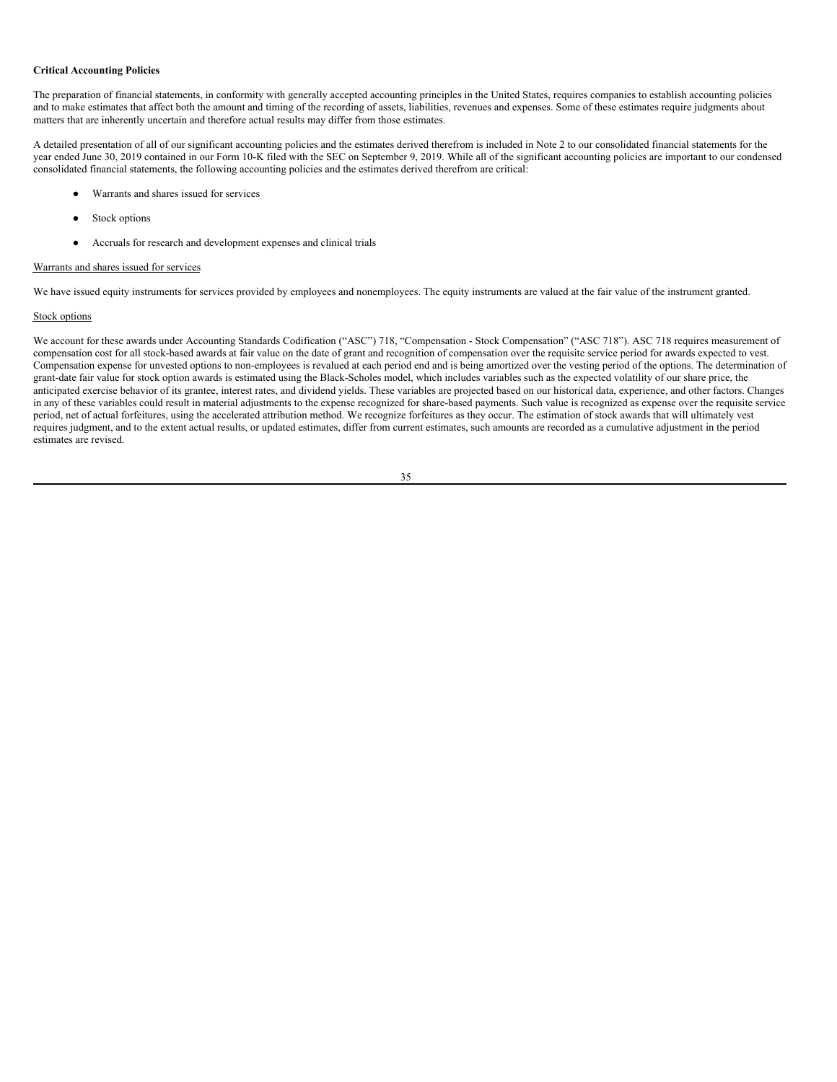#### **Critical Accounting Policies**

The preparation of financial statements, in conformity with generally accepted accounting principles in the United States, requires companies to establish accounting policies and to make estimates that affect both the amount and timing of the recording of assets, liabilities, revenues and expenses. Some of these estimates require judgments about matters that are inherently uncertain and therefore actual results may differ from those estimates.

A detailed presentation of all of our significant accounting policies and the estimates derived therefrom is included in Note 2 to our consolidated financial statements for the year ended June 30, 2019 contained in our Form 10-K filed with the SEC on September 9, 2019. While all of the significant accounting policies are important to our condensed consolidated financial statements, the following accounting policies and the estimates derived therefrom are critical:

- Warrants and shares issued for services
- Stock options
- Accruals for research and development expenses and clinical trials

### Warrants and shares issued for services

We have issued equity instruments for services provided by employees and nonemployees. The equity instruments are valued at the fair value of the instrument granted.

#### Stock options

We account for these awards under Accounting Standards Codification ("ASC") 718, "Compensation - Stock Compensation" ("ASC 718"). ASC 718 requires measurement of compensation cost for all stock-based awards at fair value on the date of grant and recognition of compensation over the requisite service period for awards expected to vest. Compensation expense for unvested options to non-employees is revalued at each period end and is being amortized over the vesting period of the options. The determination of grant-date fair value for stock option awards is estimated using the Black-Scholes model, which includes variables such as the expected volatility of our share price, the anticipated exercise behavior of its grantee, interest rates, and dividend yields. These variables are projected based on our historical data, experience, and other factors. Changes in any of these variables could result in material adjustments to the expense recognized for share-based payments. Such value is recognized as expense over the requisite service period, net of actual forfeitures, using the accelerated attribution method. We recognize forfeitures as they occur. The estimation of stock awards that will ultimately vest requires judgment, and to the extent actual results, or updated estimates, differ from current estimates, such amounts are recorded as a cumulative adjustment in the period estimates are revised.

| I<br>I<br>- | ۰.<br>$\sim$ |  |
|-------------|--------------|--|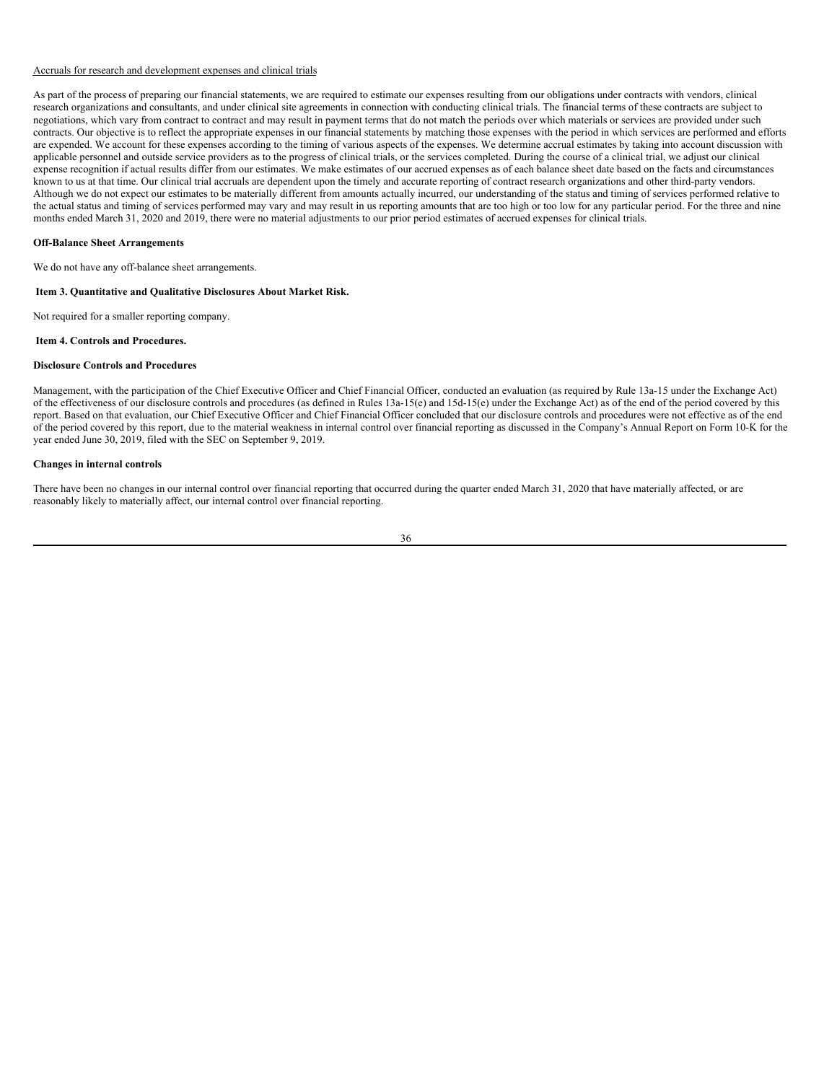### Accruals for research and development expenses and clinical trials

As part of the process of preparing our financial statements, we are required to estimate our expenses resulting from our obligations under contracts with vendors, clinical research organizations and consultants, and under clinical site agreements in connection with conducting clinical trials. The financial terms of these contracts are subject to negotiations, which vary from contract to contract and may result in payment terms that do not match the periods over which materials or services are provided under such contracts. Our objective is to reflect the appropriate expenses in our financial statements by matching those expenses with the period in which services are performed and efforts are expended. We account for these expenses according to the timing of various aspects of the expenses. We determine accrual estimates by taking into account discussion with applicable personnel and outside service providers as to the progress of clinical trials, or the services completed. During the course of a clinical trial, we adjust our clinical expense recognition if actual results differ from our estimates. We make estimates of our accrued expenses as of each balance sheet date based on the facts and circumstances known to us at that time. Our clinical trial accruals are dependent upon the timely and accurate reporting of contract research organizations and other third-party vendors. Although we do not expect our estimates to be materially different from amounts actually incurred, our understanding of the status and timing of services performed relative to the actual status and timing of services performed may vary and may result in us reporting amounts that are too high or too low for any particular period. For the three and nine months ended March 31, 2020 and 2019, there were no material adjustments to our prior period estimates of accrued expenses for clinical trials.

#### **Off-Balance Sheet Arrangements**

We do not have any off-balance sheet arrangements.

### <span id="page-37-0"></span>**Item 3. Quantitative and Qualitative Disclosures About Market Risk.**

Not required for a smaller reporting company.

#### <span id="page-37-1"></span>**Item 4. Controls and Procedures.**

### **Disclosure Controls and Procedures**

Management, with the participation of the Chief Executive Officer and Chief Financial Officer, conducted an evaluation (as required by Rule 13a-15 under the Exchange Act) of the effectiveness of our disclosure controls and procedures (as defined in Rules 13a-15(e) and 15d-15(e) under the Exchange Act) as of the end of the period covered by this report. Based on that evaluation, our Chief Executive Officer and Chief Financial Officer concluded that our disclosure controls and procedures were not effective as of the end of the period covered by this report, due to the material weakness in internal control over financial reporting as discussed in the Company's Annual Report on Form 10-K for the year ended June 30, 2019, filed with the SEC on September 9, 2019.

#### **Changes in internal controls**

There have been no changes in our internal control over financial reporting that occurred during the quarter ended March 31, 2020 that have materially affected, or are reasonably likely to materially affect, our internal control over financial reporting.

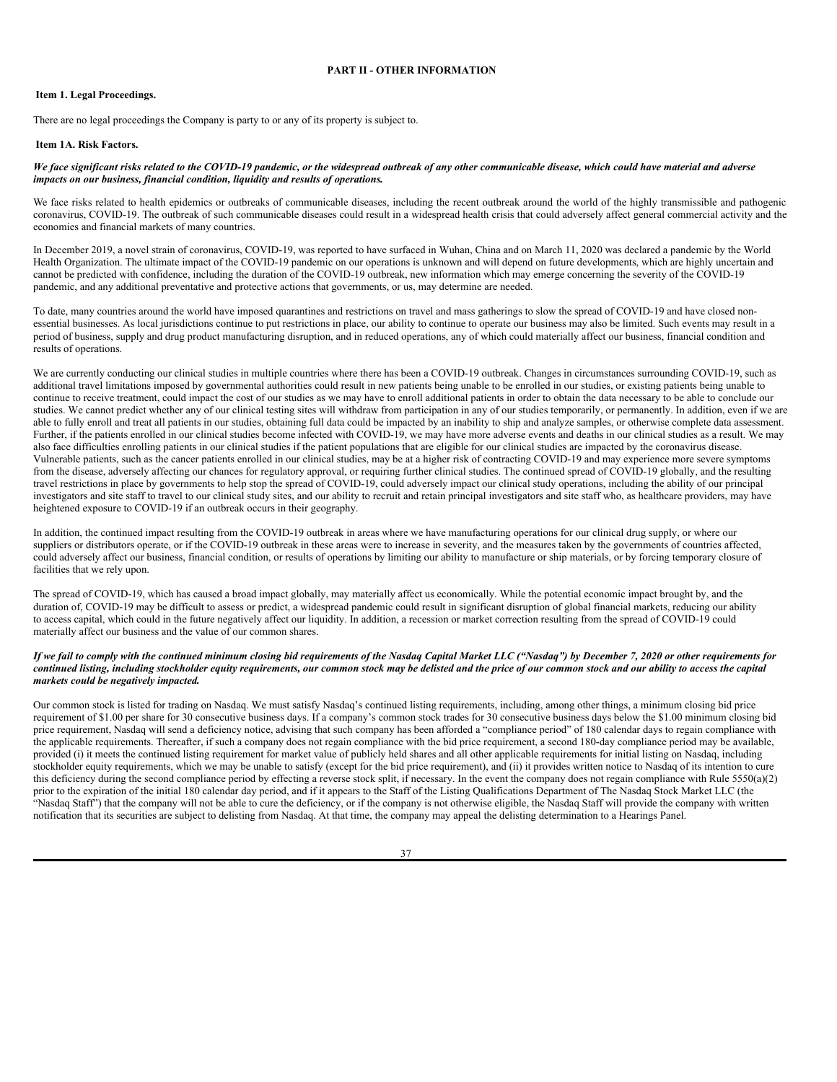### <span id="page-38-0"></span>**PART II - OTHER INFORMATION**

### <span id="page-38-1"></span>**Item 1. Legal Proceedings.**

There are no legal proceedings the Company is party to or any of its property is subject to.

### <span id="page-38-2"></span>**Item 1A. Risk Factors.**

### We face significant risks related to the COVID-19 pandemic, or the widespread outbreak of any other communicable disease, which could have material and adverse *impacts on our business, financial condition, liquidity and results of operations.*

We face risks related to health epidemics or outbreaks of communicable diseases, including the recent outbreak around the world of the highly transmissible and pathogenic coronavirus, COVID-19. The outbreak of such communicable diseases could result in a widespread health crisis that could adversely affect general commercial activity and the economies and financial markets of many countries.

In December 2019, a novel strain of coronavirus, COVID-19, was reported to have surfaced in Wuhan, China and on March 11, 2020 was declared a pandemic by the World Health Organization. The ultimate impact of the COVID-19 pandemic on our operations is unknown and will depend on future developments, which are highly uncertain and cannot be predicted with confidence, including the duration of the COVID-19 outbreak, new information which may emerge concerning the severity of the COVID-19 pandemic, and any additional preventative and protective actions that governments, or us, may determine are needed.

To date, many countries around the world have imposed quarantines and restrictions on travel and mass gatherings to slow the spread of COVID-19 and have closed nonessential businesses. As local jurisdictions continue to put restrictions in place, our ability to continue to operate our business may also be limited. Such events may result in a period of business, supply and drug product manufacturing disruption, and in reduced operations, any of which could materially affect our business, financial condition and results of operations.

We are currently conducting our clinical studies in multiple countries where there has been a COVID-19 outbreak. Changes in circumstances surrounding COVID-19, such as additional travel limitations imposed by governmental authorities could result in new patients being unable to be enrolled in our studies, or existing patients being unable to continue to receive treatment, could impact the cost of our studies as we may have to enroll additional patients in order to obtain the data necessary to be able to conclude our studies. We cannot predict whether any of our clinical testing sites will withdraw from participation in any of our studies temporarily, or permanently. In addition, even if we are able to fully enroll and treat all patients in our studies, obtaining full data could be impacted by an inability to ship and analyze samples, or otherwise complete data assessment. Further, if the patients enrolled in our clinical studies become infected with COVID-19, we may have more adverse events and deaths in our clinical studies as a result. We may also face difficulties enrolling patients in our clinical studies if the patient populations that are eligible for our clinical studies are impacted by the coronavirus disease. Vulnerable patients, such as the cancer patients enrolled in our clinical studies, may be at a higher risk of contracting COVID-19 and may experience more severe symptoms from the disease, adversely affecting our chances for regulatory approval, or requiring further clinical studies. The continued spread of COVID-19 globally, and the resulting travel restrictions in place by governments to help stop the spread of COVID-19, could adversely impact our clinical study operations, including the ability of our principal investigators and site staff to travel to our clinical study sites, and our ability to recruit and retain principal investigators and site staff who, as healthcare providers, may have heightened exposure to COVID-19 if an outbreak occurs in their geography.

In addition, the continued impact resulting from the COVID-19 outbreak in areas where we have manufacturing operations for our clinical drug supply, or where our suppliers or distributors operate, or if the COVID-19 outbreak in these areas were to increase in severity, and the measures taken by the governments of countries affected, could adversely affect our business, financial condition, or results of operations by limiting our ability to manufacture or ship materials, or by forcing temporary closure of facilities that we rely upon.

The spread of COVID-19, which has caused a broad impact globally, may materially affect us economically. While the potential economic impact brought by, and the duration of, COVID-19 may be difficult to assess or predict, a widespread pandemic could result in significant disruption of global financial markets, reducing our ability to access capital, which could in the future negatively affect our liquidity. In addition, a recession or market correction resulting from the spread of COVID-19 could materially affect our business and the value of our common shares.

### If we fail to comply with the continued minimum closing bid requirements of the Nasdaq Capital Market LLC ("Nasdaq") by December 7, 2020 or other requirements for continued listing, including stockholder equity requirements, our common stock may be delisted and the price of our common stock and our ability to access the capital *markets could be negatively impacted.*

Our common stock is listed for trading on Nasdaq. We must satisfy Nasdaq's continued listing requirements, including, among other things, a minimum closing bid price requirement of \$1.00 per share for 30 consecutive business days. If a company's common stock trades for 30 consecutive business days below the \$1.00 minimum closing bid price requirement, Nasdaq will send a deficiency notice, advising that such company has been afforded a "compliance period" of 180 calendar days to regain compliance with the applicable requirements. Thereafter, if such a company does not regain compliance with the bid price requirement, a second 180-day compliance period may be available, provided (i) it meets the continued listing requirement for market value of publicly held shares and all other applicable requirements for initial listing on Nasdaq, including stockholder equity requirements, which we may be unable to satisfy (except for the bid price requirement), and (ii) it provides written notice to Nasdaq of its intention to cure this deficiency during the second compliance period by effecting a reverse stock split, if necessary. In the event the company does not regain compliance with Rule 5550(a)(2) prior to the expiration of the initial 180 calendar day period, and if it appears to the Staff of the Listing Qualifications Department of The Nasdaq Stock Market LLC (the "Nasdaq Staff") that the company will not be able to cure the deficiency, or if the company is not otherwise eligible, the Nasdaq Staff will provide the company with written notification that its securities are subject to delisting from Nasdaq. At that time, the company may appeal the delisting determination to a Hearings Panel.

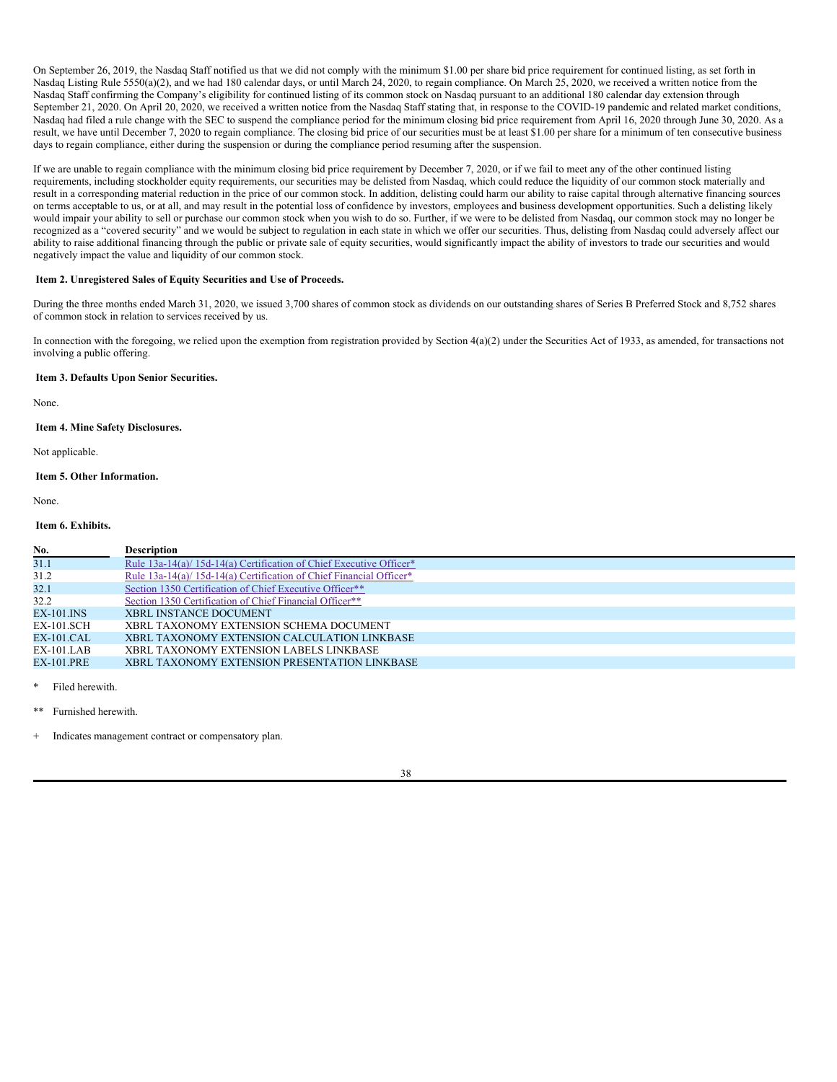On September 26, 2019, the Nasdaq Staff notified us that we did not comply with the minimum \$1.00 per share bid price requirement for continued listing, as set forth in Nasdaq Listing Rule 5550(a)(2), and we had 180 calendar days, or until March 24, 2020, to regain compliance. On March 25, 2020, we received a written notice from the Nasdaq Staff confirming the Company's eligibility for continued listing of its common stock on Nasdaq pursuant to an additional 180 calendar day extension through September 21, 2020. On April 20, 2020, we received a written notice from the Nasdaq Staff stating that, in response to the COVID-19 pandemic and related market conditions, Nasdaq had filed a rule change with the SEC to suspend the compliance period for the minimum closing bid price requirement from April 16, 2020 through June 30, 2020. As a result, we have until December 7, 2020 to regain compliance. The closing bid price of our securities must be at least \$1.00 per share for a minimum of ten consecutive business days to regain compliance, either during the suspension or during the compliance period resuming after the suspension.

If we are unable to regain compliance with the minimum closing bid price requirement by December 7, 2020, or if we fail to meet any of the other continued listing requirements, including stockholder equity requirements, our securities may be delisted from Nasdaq, which could reduce the liquidity of our common stock materially and result in a corresponding material reduction in the price of our common stock. In addition, delisting could harm our ability to raise capital through alternative financing sources on terms acceptable to us, or at all, and may result in the potential loss of confidence by investors, employees and business development opportunities. Such a delisting likely would impair your ability to sell or purchase our common stock when you wish to do so. Further, if we were to be delisted from Nasdaq, our common stock may no longer be recognized as a "covered security" and we would be subject to regulation in each state in which we offer our securities. Thus, delisting from Nasdaq could adversely affect our ability to raise additional financing through the public or private sale of equity securities, would significantly impact the ability of investors to trade our securities and would negatively impact the value and liquidity of our common stock.

### <span id="page-39-0"></span>**Item 2. Unregistered Sales of Equity Securities and Use of Proceeds.**

During the three months ended March 31, 2020, we issued 3,700 shares of common stock as dividends on our outstanding shares of Series B Preferred Stock and 8,752 shares of common stock in relation to services received by us.

In connection with the foregoing, we relied upon the exemption from registration provided by Section 4(a)(2) under the Securities Act of 1933, as amended, for transactions not involving a public offering.

#### <span id="page-39-1"></span>**Item 3. Defaults Upon Senior Securities.**

None.

### <span id="page-39-2"></span>**Item 4. Mine Safety Disclosures.**

Not applicable.

## <span id="page-39-3"></span>**Item 5. Other Information.**

None.

### <span id="page-39-4"></span>**Item 6. Exhibits.**

| No.               | <b>Description</b>                                                  |
|-------------------|---------------------------------------------------------------------|
| 31.1              | Rule 13a-14(a)/ 15d-14(a) Certification of Chief Executive Officer* |
| 31.2              | Rule 13a-14(a)/ 15d-14(a) Certification of Chief Financial Officer* |
| 32.1              | Section 1350 Certification of Chief Executive Officer**             |
| 32.2              | Section 1350 Certification of Chief Financial Officer**             |
| EX-101.INS        | <b>XBRL INSTANCE DOCUMENT</b>                                       |
| $EX-101$ .SCH     | XBRL TAXONOMY EXTENSION SCHEMA DOCUMENT                             |
| EX-101.CAL        | XBRL TAXONOMY EXTENSION CALCULATION LINKBASE                        |
| $EX-101.LAB$      | XBRL TAXONOMY EXTENSION LABELS LINKBASE                             |
| <b>EX-101.PRE</b> | XBRL TAXONOMY EXTENSION PRESENTATION LINKBASE                       |

Filed herewith.

Furnished herewith.

Indicates management contract or compensatory plan.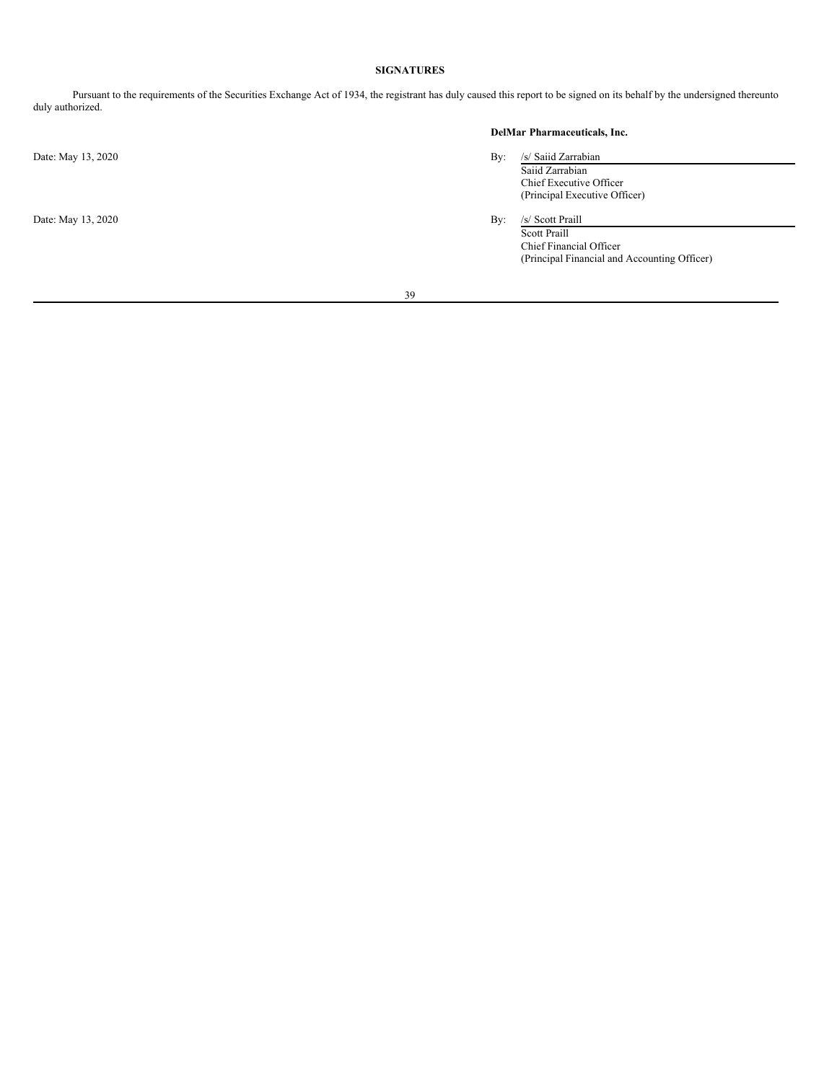## **SIGNATURES**

Pursuant to the requirements of the Securities Exchange Act of 1934, the registrant has duly caused this report to be signed on its behalf by the undersigned thereunto duly authorized.

## **DelMar Pharmaceuticals, Inc.**

Date: May 13, 2020 By: /s/ Saiid Zarrabian Saiid Zarrabian Chief Executive Officer (Principal Executive Officer)

Date: May 13, 2020 By: /s/ Scott Praill Scott Praill

Chief Financial Officer (Principal Financial and Accounting Officer)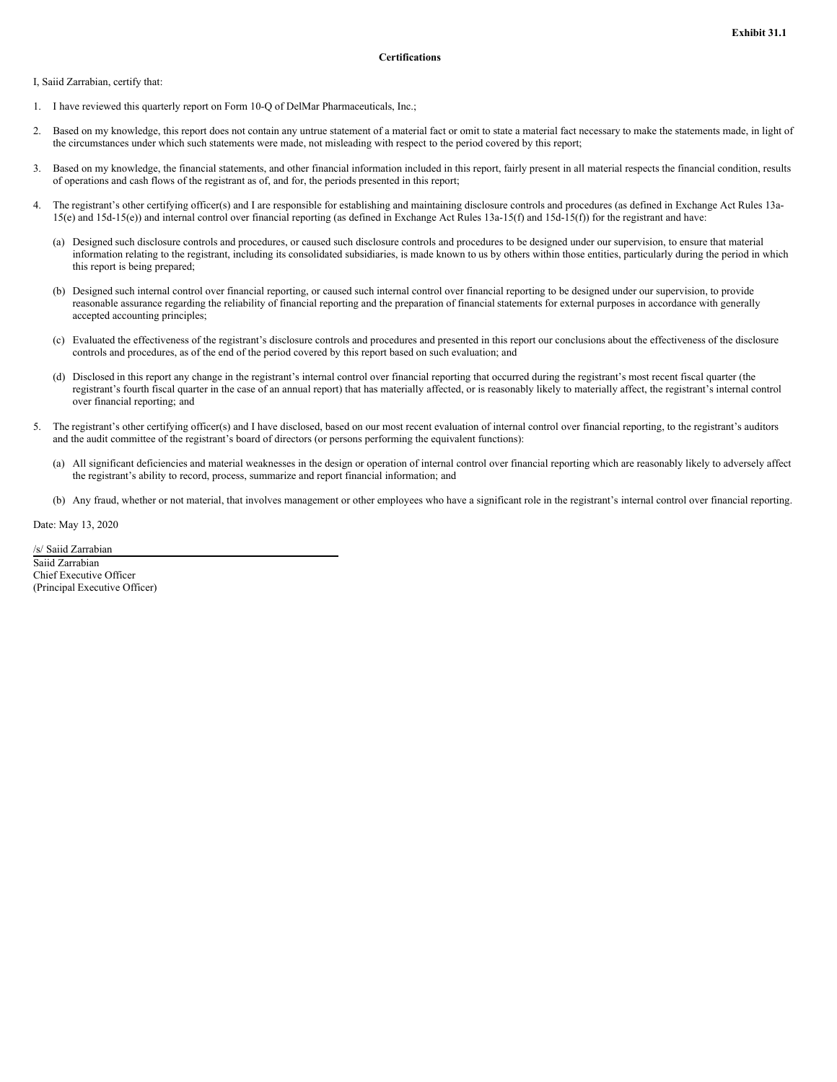<span id="page-41-0"></span>I, Saiid Zarrabian, certify that:

- 1. I have reviewed this quarterly report on Form 10-Q of DelMar Pharmaceuticals, Inc.;
- 2. Based on my knowledge, this report does not contain any untrue statement of a material fact or omit to state a material fact necessary to make the statements made, in light of the circumstances under which such statements were made, not misleading with respect to the period covered by this report;
- 3. Based on my knowledge, the financial statements, and other financial information included in this report, fairly present in all material respects the financial condition, results of operations and cash flows of the registrant as of, and for, the periods presented in this report;
- The registrant's other certifying officer(s) and I are responsible for establishing and maintaining disclosure controls and procedures (as defined in Exchange Act Rules 13a-15(e) and 15d-15(e)) and internal control over financial reporting (as defined in Exchange Act Rules 13a-15(f) and 15d-15(f)) for the registrant and have:
	- (a) Designed such disclosure controls and procedures, or caused such disclosure controls and procedures to be designed under our supervision, to ensure that material information relating to the registrant, including its consolidated subsidiaries, is made known to us by others within those entities, particularly during the period in which this report is being prepared;
	- (b) Designed such internal control over financial reporting, or caused such internal control over financial reporting to be designed under our supervision, to provide reasonable assurance regarding the reliability of financial reporting and the preparation of financial statements for external purposes in accordance with generally accepted accounting principles;
	- (c) Evaluated the effectiveness of the registrant's disclosure controls and procedures and presented in this report our conclusions about the effectiveness of the disclosure controls and procedures, as of the end of the period covered by this report based on such evaluation; and
	- (d) Disclosed in this report any change in the registrant's internal control over financial reporting that occurred during the registrant's most recent fiscal quarter (the registrant's fourth fiscal quarter in the case of an annual report) that has materially affected, or is reasonably likely to materially affect, the registrant's internal control over financial reporting; and
- 5. The registrant's other certifying officer(s) and I have disclosed, based on our most recent evaluation of internal control over financial reporting, to the registrant's auditors and the audit committee of the registrant's board of directors (or persons performing the equivalent functions):
	- (a) All significant deficiencies and material weaknesses in the design or operation of internal control over financial reporting which are reasonably likely to adversely affect the registrant's ability to record, process, summarize and report financial information; and
	- (b) Any fraud, whether or not material, that involves management or other employees who have a significant role in the registrant's internal control over financial reporting.

Date: May 13, 2020

/s/ Saiid Zarrabian

Saiid Zarrabian Chief Executive Officer (Principal Executive Officer)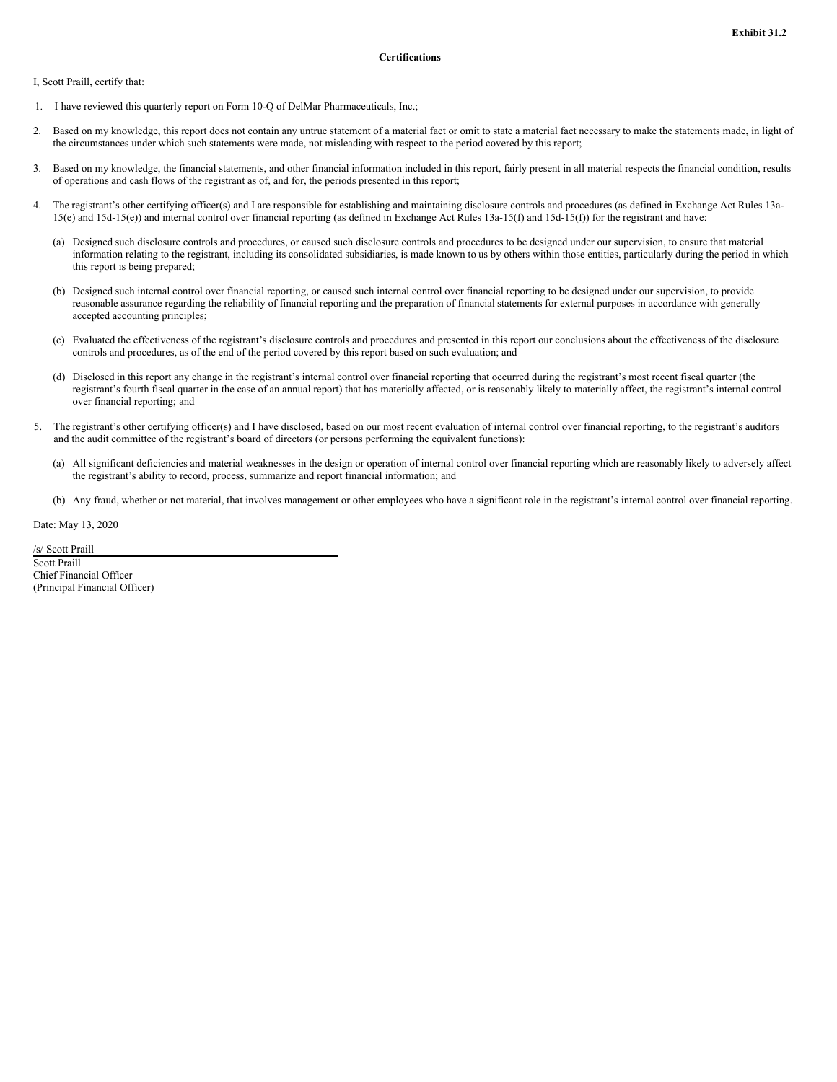<span id="page-42-0"></span>I, Scott Praill, certify that:

- 1. I have reviewed this quarterly report on Form 10-Q of DelMar Pharmaceuticals, Inc.;
- 2. Based on my knowledge, this report does not contain any untrue statement of a material fact or omit to state a material fact necessary to make the statements made, in light of the circumstances under which such statements were made, not misleading with respect to the period covered by this report;
- 3. Based on my knowledge, the financial statements, and other financial information included in this report, fairly present in all material respects the financial condition, results of operations and cash flows of the registrant as of, and for, the periods presented in this report;
- The registrant's other certifying officer(s) and I are responsible for establishing and maintaining disclosure controls and procedures (as defined in Exchange Act Rules 13a-15(e) and 15d-15(e)) and internal control over financial reporting (as defined in Exchange Act Rules 13a-15(f) and 15d-15(f)) for the registrant and have:
	- (a) Designed such disclosure controls and procedures, or caused such disclosure controls and procedures to be designed under our supervision, to ensure that material information relating to the registrant, including its consolidated subsidiaries, is made known to us by others within those entities, particularly during the period in which this report is being prepared;
	- (b) Designed such internal control over financial reporting, or caused such internal control over financial reporting to be designed under our supervision, to provide reasonable assurance regarding the reliability of financial reporting and the preparation of financial statements for external purposes in accordance with generally accepted accounting principles;
	- (c) Evaluated the effectiveness of the registrant's disclosure controls and procedures and presented in this report our conclusions about the effectiveness of the disclosure controls and procedures, as of the end of the period covered by this report based on such evaluation; and
	- (d) Disclosed in this report any change in the registrant's internal control over financial reporting that occurred during the registrant's most recent fiscal quarter (the registrant's fourth fiscal quarter in the case of an annual report) that has materially affected, or is reasonably likely to materially affect, the registrant's internal control over financial reporting; and
- 5. The registrant's other certifying officer(s) and I have disclosed, based on our most recent evaluation of internal control over financial reporting, to the registrant's auditors and the audit committee of the registrant's board of directors (or persons performing the equivalent functions):
	- (a) All significant deficiencies and material weaknesses in the design or operation of internal control over financial reporting which are reasonably likely to adversely affect the registrant's ability to record, process, summarize and report financial information; and
	- (b) Any fraud, whether or not material, that involves management or other employees who have a significant role in the registrant's internal control over financial reporting.

Date: May 13, 2020

/s/ Scott Praill Scott Praill

Chief Financial Officer (Principal Financial Officer)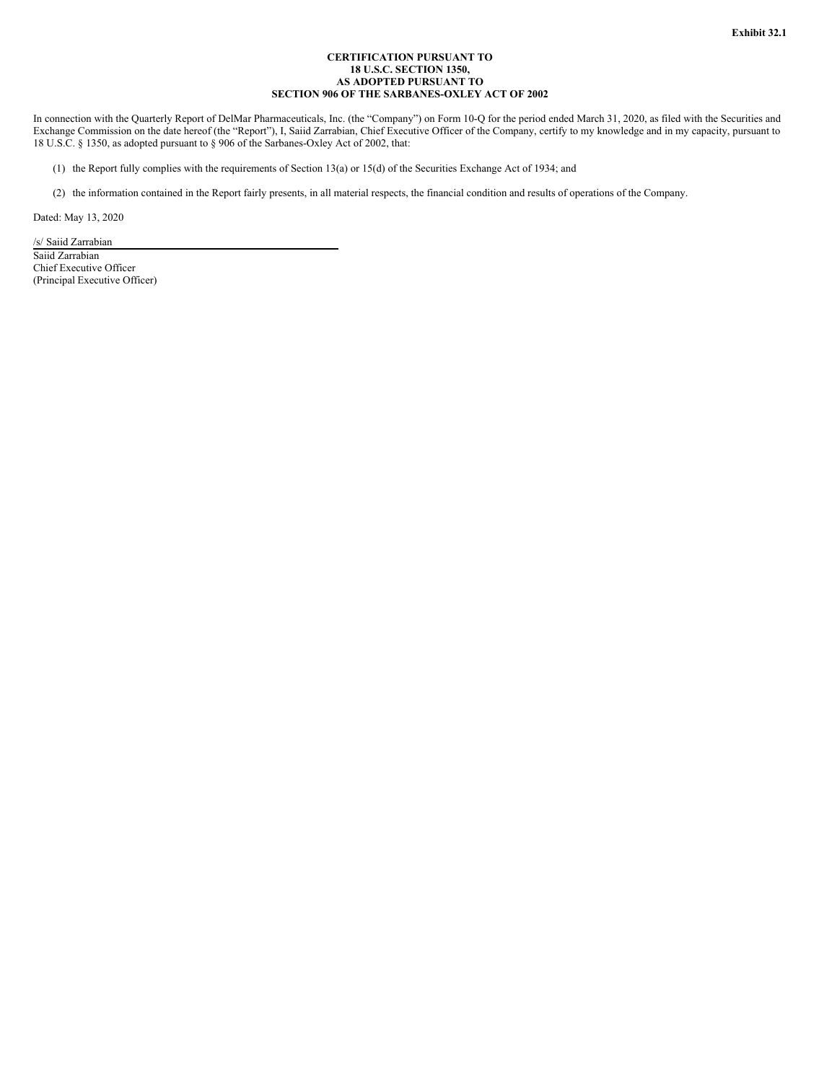### **CERTIFICATION PURSUANT TO 18 U.S.C. SECTION 1350, AS ADOPTED PURSUANT TO SECTION 906 OF THE SARBANES-OXLEY ACT OF 2002**

<span id="page-43-0"></span>In connection with the Quarterly Report of DelMar Pharmaceuticals, Inc. (the "Company") on Form 10-Q for the period ended March 31, 2020, as filed with the Securities and Exchange Commission on the date hereof (the "Report"), I, Saiid Zarrabian, Chief Executive Officer of the Company, certify to my knowledge and in my capacity, pursuant to 18 U.S.C. § 1350, as adopted pursuant to § 906 of the Sarbanes-Oxley Act of 2002, that:

(1) the Report fully complies with the requirements of Section 13(a) or 15(d) of the Securities Exchange Act of 1934; and

(2) the information contained in the Report fairly presents, in all material respects, the financial condition and results of operations of the Company.

Dated: May 13, 2020

/s/ Saiid Zarrabian Saiid Zarrabian Chief Executive Officer (Principal Executive Officer)